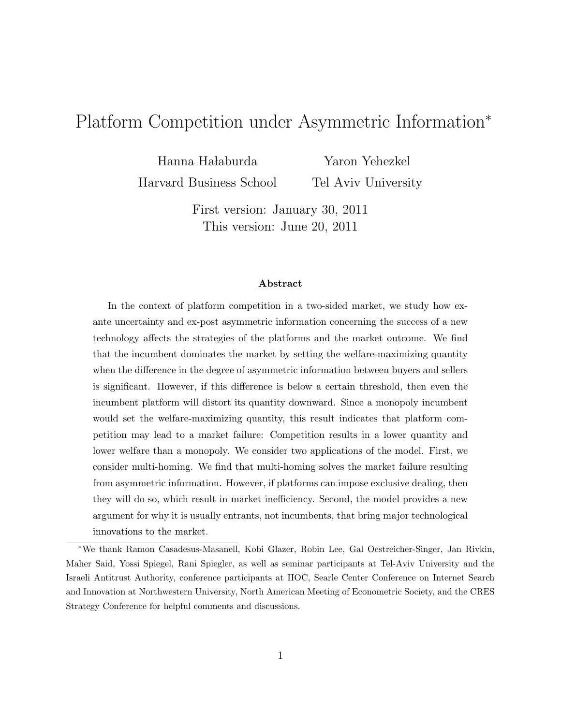# Platform Competition under Asymmetric Information<sup>∗</sup>

Hanna Halaburda

Yaron Yehezkel

Harvard Business School

Tel Aviv University

First version: January 30, 2011 This version: June 20, 2011

#### Abstract

In the context of platform competition in a two-sided market, we study how exante uncertainty and ex-post asymmetric information concerning the success of a new technology affects the strategies of the platforms and the market outcome. We find that the incumbent dominates the market by setting the welfare-maximizing quantity when the difference in the degree of asymmetric information between buyers and sellers is significant. However, if this difference is below a certain threshold, then even the incumbent platform will distort its quantity downward. Since a monopoly incumbent would set the welfare-maximizing quantity, this result indicates that platform competition may lead to a market failure: Competition results in a lower quantity and lower welfare than a monopoly. We consider two applications of the model. First, we consider multi-homing. We find that multi-homing solves the market failure resulting from asymmetric information. However, if platforms can impose exclusive dealing, then they will do so, which result in market inefficiency. Second, the model provides a new argument for why it is usually entrants, not incumbents, that bring major technological innovations to the market.

<sup>∗</sup>We thank Ramon Casadesus-Masanell, Kobi Glazer, Robin Lee, Gal Oestreicher-Singer, Jan Rivkin, Maher Said, Yossi Spiegel, Rani Spiegler, as well as seminar participants at Tel-Aviv University and the Israeli Antitrust Authority, conference participants at IIOC, Searle Center Conference on Internet Search and Innovation at Northwestern University, North American Meeting of Econometric Society, and the CRES Strategy Conference for helpful comments and discussions.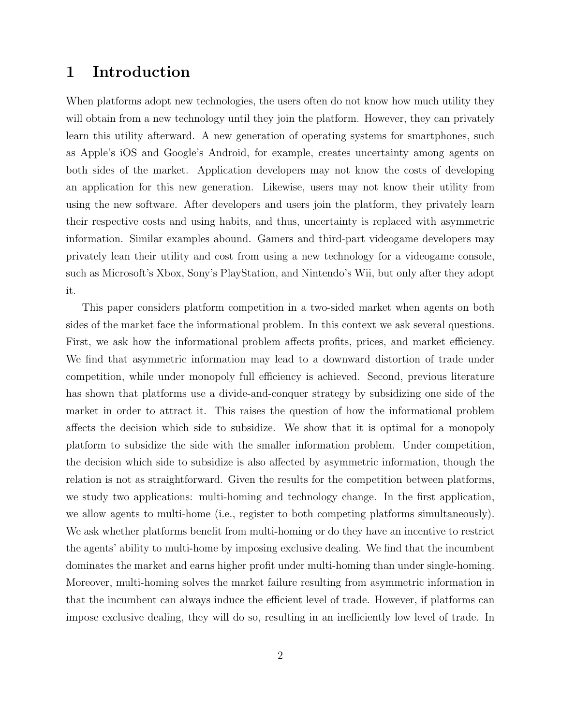### 1 Introduction

When platforms adopt new technologies, the users often do not know how much utility they will obtain from a new technology until they join the platform. However, they can privately learn this utility afterward. A new generation of operating systems for smartphones, such as Apple's iOS and Google's Android, for example, creates uncertainty among agents on both sides of the market. Application developers may not know the costs of developing an application for this new generation. Likewise, users may not know their utility from using the new software. After developers and users join the platform, they privately learn their respective costs and using habits, and thus, uncertainty is replaced with asymmetric information. Similar examples abound. Gamers and third-part videogame developers may privately lean their utility and cost from using a new technology for a videogame console, such as Microsoft's Xbox, Sony's PlayStation, and Nintendo's Wii, but only after they adopt it.

This paper considers platform competition in a two-sided market when agents on both sides of the market face the informational problem. In this context we ask several questions. First, we ask how the informational problem affects profits, prices, and market efficiency. We find that asymmetric information may lead to a downward distortion of trade under competition, while under monopoly full efficiency is achieved. Second, previous literature has shown that platforms use a divide-and-conquer strategy by subsidizing one side of the market in order to attract it. This raises the question of how the informational problem affects the decision which side to subsidize. We show that it is optimal for a monopoly platform to subsidize the side with the smaller information problem. Under competition, the decision which side to subsidize is also affected by asymmetric information, though the relation is not as straightforward. Given the results for the competition between platforms, we study two applications: multi-homing and technology change. In the first application, we allow agents to multi-home (i.e., register to both competing platforms simultaneously). We ask whether platforms benefit from multi-homing or do they have an incentive to restrict the agents' ability to multi-home by imposing exclusive dealing. We find that the incumbent dominates the market and earns higher profit under multi-homing than under single-homing. Moreover, multi-homing solves the market failure resulting from asymmetric information in that the incumbent can always induce the efficient level of trade. However, if platforms can impose exclusive dealing, they will do so, resulting in an inefficiently low level of trade. In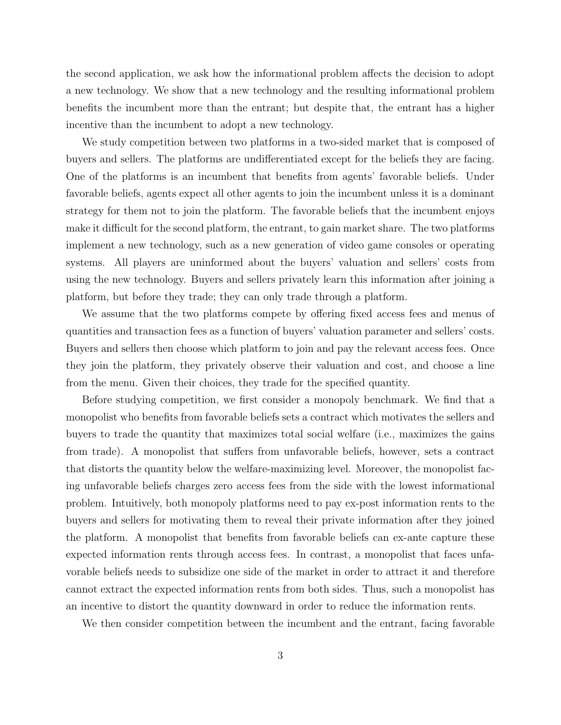the second application, we ask how the informational problem affects the decision to adopt a new technology. We show that a new technology and the resulting informational problem benefits the incumbent more than the entrant; but despite that, the entrant has a higher incentive than the incumbent to adopt a new technology.

We study competition between two platforms in a two-sided market that is composed of buyers and sellers. The platforms are undifferentiated except for the beliefs they are facing. One of the platforms is an incumbent that benefits from agents' favorable beliefs. Under favorable beliefs, agents expect all other agents to join the incumbent unless it is a dominant strategy for them not to join the platform. The favorable beliefs that the incumbent enjoys make it difficult for the second platform, the entrant, to gain market share. The two platforms implement a new technology, such as a new generation of video game consoles or operating systems. All players are uninformed about the buyers' valuation and sellers' costs from using the new technology. Buyers and sellers privately learn this information after joining a platform, but before they trade; they can only trade through a platform.

We assume that the two platforms compete by offering fixed access fees and menus of quantities and transaction fees as a function of buyers' valuation parameter and sellers' costs. Buyers and sellers then choose which platform to join and pay the relevant access fees. Once they join the platform, they privately observe their valuation and cost, and choose a line from the menu. Given their choices, they trade for the specified quantity.

Before studying competition, we first consider a monopoly benchmark. We find that a monopolist who benefits from favorable beliefs sets a contract which motivates the sellers and buyers to trade the quantity that maximizes total social welfare (i.e., maximizes the gains from trade). A monopolist that suffers from unfavorable beliefs, however, sets a contract that distorts the quantity below the welfare-maximizing level. Moreover, the monopolist facing unfavorable beliefs charges zero access fees from the side with the lowest informational problem. Intuitively, both monopoly platforms need to pay ex-post information rents to the buyers and sellers for motivating them to reveal their private information after they joined the platform. A monopolist that benefits from favorable beliefs can ex-ante capture these expected information rents through access fees. In contrast, a monopolist that faces unfavorable beliefs needs to subsidize one side of the market in order to attract it and therefore cannot extract the expected information rents from both sides. Thus, such a monopolist has an incentive to distort the quantity downward in order to reduce the information rents.

We then consider competition between the incumbent and the entrant, facing favorable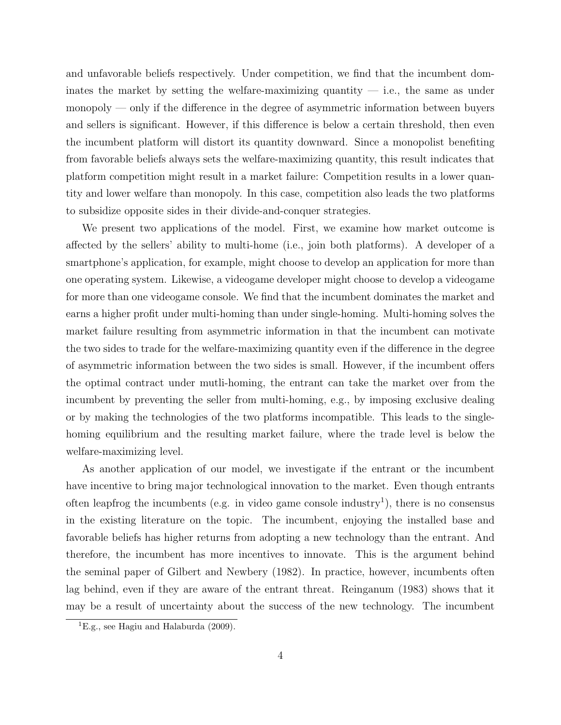and unfavorable beliefs respectively. Under competition, we find that the incumbent dominates the market by setting the welfare-maximizing quantity  $-$  i.e., the same as under monopoly — only if the difference in the degree of asymmetric information between buyers and sellers is significant. However, if this difference is below a certain threshold, then even the incumbent platform will distort its quantity downward. Since a monopolist benefiting from favorable beliefs always sets the welfare-maximizing quantity, this result indicates that platform competition might result in a market failure: Competition results in a lower quantity and lower welfare than monopoly. In this case, competition also leads the two platforms to subsidize opposite sides in their divide-and-conquer strategies.

We present two applications of the model. First, we examine how market outcome is affected by the sellers' ability to multi-home (i.e., join both platforms). A developer of a smartphone's application, for example, might choose to develop an application for more than one operating system. Likewise, a videogame developer might choose to develop a videogame for more than one videogame console. We find that the incumbent dominates the market and earns a higher profit under multi-homing than under single-homing. Multi-homing solves the market failure resulting from asymmetric information in that the incumbent can motivate the two sides to trade for the welfare-maximizing quantity even if the difference in the degree of asymmetric information between the two sides is small. However, if the incumbent offers the optimal contract under mutli-homing, the entrant can take the market over from the incumbent by preventing the seller from multi-homing, e.g., by imposing exclusive dealing or by making the technologies of the two platforms incompatible. This leads to the singlehoming equilibrium and the resulting market failure, where the trade level is below the welfare-maximizing level.

As another application of our model, we investigate if the entrant or the incumbent have incentive to bring major technological innovation to the market. Even though entrants often leapfrog the incumbents (e.g. in video game console industry<sup>1</sup>), there is no consensus in the existing literature on the topic. The incumbent, enjoying the installed base and favorable beliefs has higher returns from adopting a new technology than the entrant. And therefore, the incumbent has more incentives to innovate. This is the argument behind the seminal paper of Gilbert and Newbery (1982). In practice, however, incumbents often lag behind, even if they are aware of the entrant threat. Reinganum (1983) shows that it may be a result of uncertainty about the success of the new technology. The incumbent

<sup>&</sup>lt;sup>1</sup>E.g., see Hagiu and Halaburda  $(2009)$ .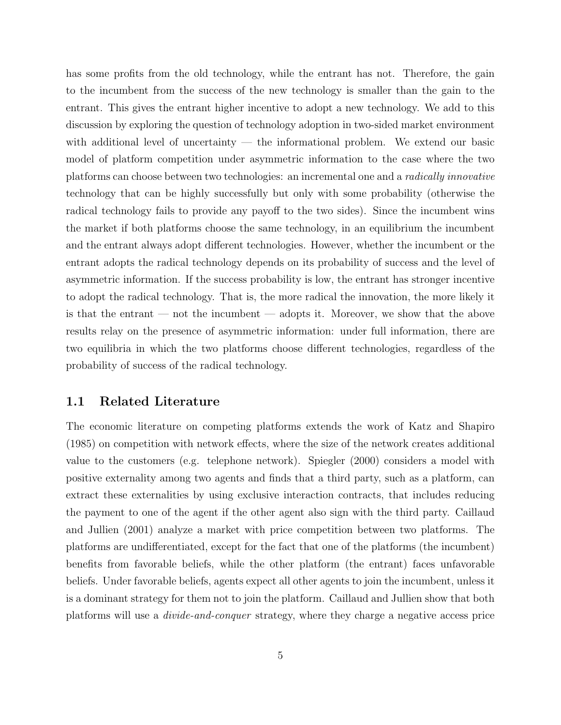has some profits from the old technology, while the entrant has not. Therefore, the gain to the incumbent from the success of the new technology is smaller than the gain to the entrant. This gives the entrant higher incentive to adopt a new technology. We add to this discussion by exploring the question of technology adoption in two-sided market environment with additional level of uncertainty — the informational problem. We extend our basic model of platform competition under asymmetric information to the case where the two platforms can choose between two technologies: an incremental one and a radically innovative technology that can be highly successfully but only with some probability (otherwise the radical technology fails to provide any payoff to the two sides). Since the incumbent wins the market if both platforms choose the same technology, in an equilibrium the incumbent and the entrant always adopt different technologies. However, whether the incumbent or the entrant adopts the radical technology depends on its probability of success and the level of asymmetric information. If the success probability is low, the entrant has stronger incentive to adopt the radical technology. That is, the more radical the innovation, the more likely it is that the entrant — not the incumbent — adopts it. Moreover, we show that the above results relay on the presence of asymmetric information: under full information, there are two equilibria in which the two platforms choose different technologies, regardless of the probability of success of the radical technology.

#### 1.1 Related Literature

The economic literature on competing platforms extends the work of Katz and Shapiro (1985) on competition with network effects, where the size of the network creates additional value to the customers (e.g. telephone network). Spiegler (2000) considers a model with positive externality among two agents and finds that a third party, such as a platform, can extract these externalities by using exclusive interaction contracts, that includes reducing the payment to one of the agent if the other agent also sign with the third party. Caillaud and Jullien (2001) analyze a market with price competition between two platforms. The platforms are undifferentiated, except for the fact that one of the platforms (the incumbent) benefits from favorable beliefs, while the other platform (the entrant) faces unfavorable beliefs. Under favorable beliefs, agents expect all other agents to join the incumbent, unless it is a dominant strategy for them not to join the platform. Caillaud and Jullien show that both platforms will use a divide-and-conquer strategy, where they charge a negative access price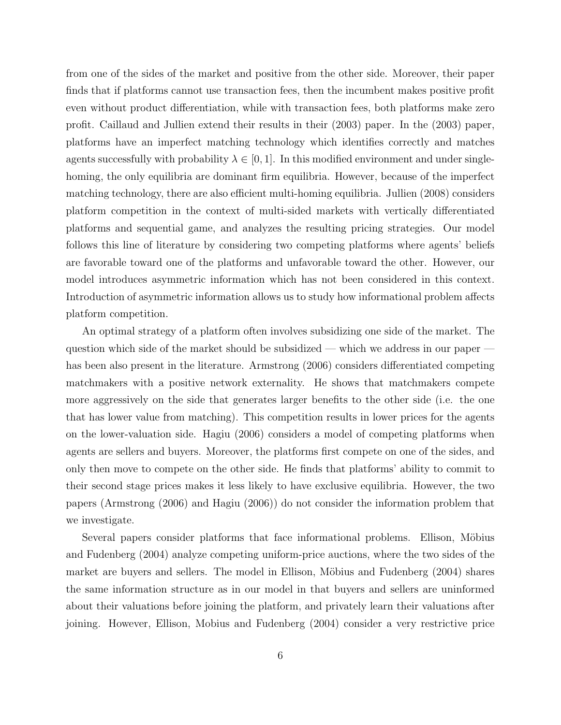from one of the sides of the market and positive from the other side. Moreover, their paper finds that if platforms cannot use transaction fees, then the incumbent makes positive profit even without product differentiation, while with transaction fees, both platforms make zero profit. Caillaud and Jullien extend their results in their (2003) paper. In the (2003) paper, platforms have an imperfect matching technology which identifies correctly and matches agents successfully with probability  $\lambda \in [0, 1]$ . In this modified environment and under singlehoming, the only equilibria are dominant firm equilibria. However, because of the imperfect matching technology, there are also efficient multi-homing equilibria. Jullien (2008) considers platform competition in the context of multi-sided markets with vertically differentiated platforms and sequential game, and analyzes the resulting pricing strategies. Our model follows this line of literature by considering two competing platforms where agents' beliefs are favorable toward one of the platforms and unfavorable toward the other. However, our model introduces asymmetric information which has not been considered in this context. Introduction of asymmetric information allows us to study how informational problem affects platform competition.

An optimal strategy of a platform often involves subsidizing one side of the market. The question which side of the market should be subsidized — which we address in our paper has been also present in the literature. Armstrong (2006) considers differentiated competing matchmakers with a positive network externality. He shows that matchmakers compete more aggressively on the side that generates larger benefits to the other side (i.e. the one that has lower value from matching). This competition results in lower prices for the agents on the lower-valuation side. Hagiu (2006) considers a model of competing platforms when agents are sellers and buyers. Moreover, the platforms first compete on one of the sides, and only then move to compete on the other side. He finds that platforms' ability to commit to their second stage prices makes it less likely to have exclusive equilibria. However, the two papers (Armstrong (2006) and Hagiu (2006)) do not consider the information problem that we investigate.

Several papers consider platforms that face informational problems. Ellison, Möbius and Fudenberg (2004) analyze competing uniform-price auctions, where the two sides of the market are buyers and sellers. The model in Ellison, Möbius and Fudenberg (2004) shares the same information structure as in our model in that buyers and sellers are uninformed about their valuations before joining the platform, and privately learn their valuations after joining. However, Ellison, Mobius and Fudenberg (2004) consider a very restrictive price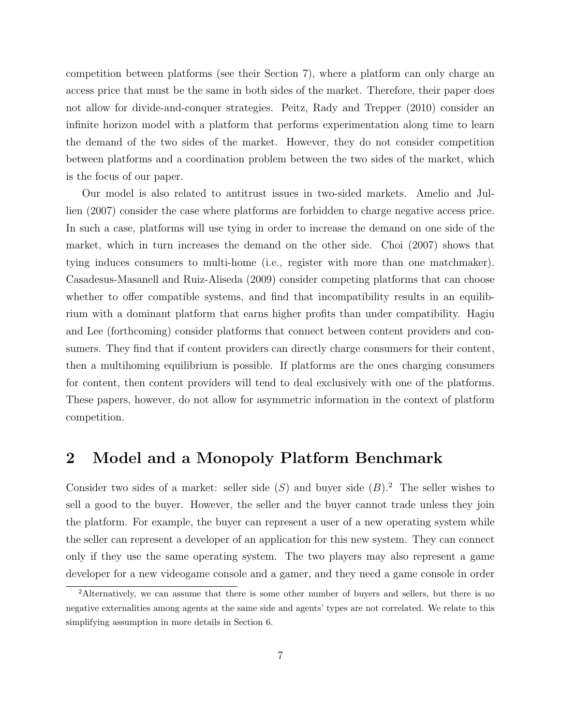competition between platforms (see their Section 7), where a platform can only charge an access price that must be the same in both sides of the market. Therefore, their paper does not allow for divide-and-conquer strategies. Peitz, Rady and Trepper (2010) consider an infinite horizon model with a platform that performs experimentation along time to learn the demand of the two sides of the market. However, they do not consider competition between platforms and a coordination problem between the two sides of the market, which is the focus of our paper.

Our model is also related to antitrust issues in two-sided markets. Amelio and Jullien (2007) consider the case where platforms are forbidden to charge negative access price. In such a case, platforms will use tying in order to increase the demand on one side of the market, which in turn increases the demand on the other side. Choi (2007) shows that tying induces consumers to multi-home (i.e., register with more than one matchmaker). Casadesus-Masanell and Ruiz-Aliseda (2009) consider competing platforms that can choose whether to offer compatible systems, and find that incompatibility results in an equilibrium with a dominant platform that earns higher profits than under compatibility. Hagiu and Lee (forthcoming) consider platforms that connect between content providers and consumers. They find that if content providers can directly charge consumers for their content, then a multihoming equilibrium is possible. If platforms are the ones charging consumers for content, then content providers will tend to deal exclusively with one of the platforms. These papers, however, do not allow for asymmetric information in the context of platform competition.

### 2 Model and a Monopoly Platform Benchmark

Consider two sides of a market: seller side  $(S)$  and buyer side  $(B)$ .<sup>2</sup> The seller wishes to sell a good to the buyer. However, the seller and the buyer cannot trade unless they join the platform. For example, the buyer can represent a user of a new operating system while the seller can represent a developer of an application for this new system. They can connect only if they use the same operating system. The two players may also represent a game developer for a new videogame console and a gamer, and they need a game console in order

<sup>&</sup>lt;sup>2</sup>Alternatively, we can assume that there is some other number of buyers and sellers, but there is no negative externalities among agents at the same side and agents' types are not correlated. We relate to this simplifying assumption in more details in Section 6.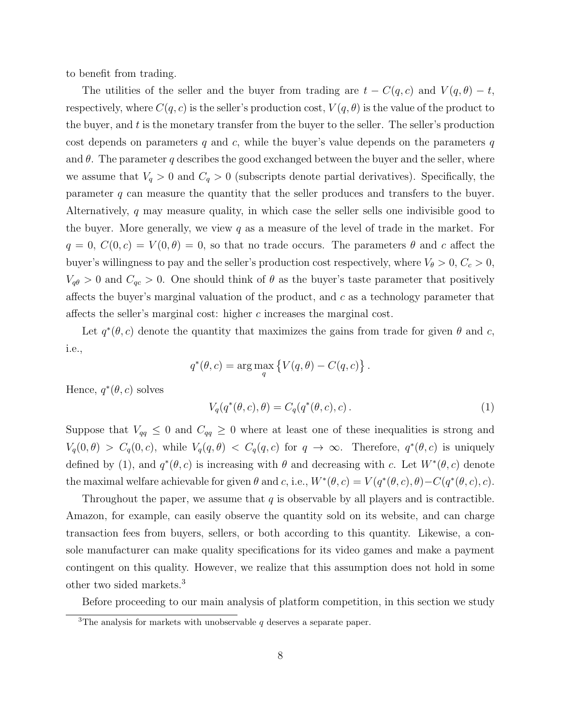to benefit from trading.

The utilities of the seller and the buyer from trading are  $t - C(q, c)$  and  $V(q, \theta) - t$ , respectively, where  $C(q, c)$  is the seller's production cost,  $V(q, \theta)$  is the value of the product to the buyer, and  $t$  is the monetary transfer from the buyer to the seller. The seller's production cost depends on parameters q and c, while the buyer's value depends on the parameters q and  $\theta$ . The parameter q describes the good exchanged between the buyer and the seller, where we assume that  $V_q > 0$  and  $C_q > 0$  (subscripts denote partial derivatives). Specifically, the parameter q can measure the quantity that the seller produces and transfers to the buyer. Alternatively, q may measure quality, in which case the seller sells one indivisible good to the buyer. More generally, we view q as a measure of the level of trade in the market. For  $q = 0, C(0, c) = V(0, \theta) = 0$ , so that no trade occurs. The parameters  $\theta$  and c affect the buyer's willingness to pay and the seller's production cost respectively, where  $V_{\theta} > 0$ ,  $C_c > 0$ ,  $V_{q\theta} > 0$  and  $C_{qc} > 0$ . One should think of  $\theta$  as the buyer's taste parameter that positively affects the buyer's marginal valuation of the product, and c as a technology parameter that affects the seller's marginal cost: higher c increases the marginal cost.

Let  $q^*(\theta, c)$  denote the quantity that maximizes the gains from trade for given  $\theta$  and  $c$ , i.e.,

$$
q^*(\theta, c) = \arg\max_{q} \{ V(q, \theta) - C(q, c) \}.
$$

Hence,  $q^*(\theta, c)$  solves

$$
V_q(q^*(\theta, c), \theta) = C_q(q^*(\theta, c), c).
$$
 (1)

Suppose that  $V_{qq} \leq 0$  and  $C_{qq} \geq 0$  where at least one of these inequalities is strong and  $V_q(0, \theta) > C_q(0, c)$ , while  $V_q(q, \theta) < C_q(q, c)$  for  $q \to \infty$ . Therefore,  $q^*(\theta, c)$  is uniquely defined by (1), and  $q^*(\theta, c)$  is increasing with  $\theta$  and decreasing with c. Let  $W^*(\theta, c)$  denote the maximal welfare achievable for given  $\theta$  and c, i.e.,  $W^*(\theta, c) = V(q^*(\theta, c), \theta) - C(q^*(\theta, c), c)$ .

Throughout the paper, we assume that  $q$  is observable by all players and is contractible. Amazon, for example, can easily observe the quantity sold on its website, and can charge transaction fees from buyers, sellers, or both according to this quantity. Likewise, a console manufacturer can make quality specifications for its video games and make a payment contingent on this quality. However, we realize that this assumption does not hold in some other two sided markets.<sup>3</sup>

Before proceeding to our main analysis of platform competition, in this section we study

<sup>&</sup>lt;sup>3</sup>The analysis for markets with unobservable q deserves a separate paper.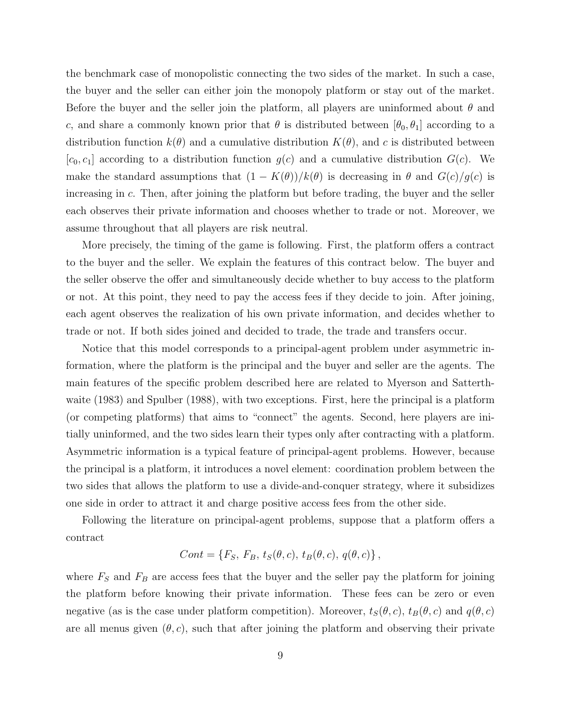the benchmark case of monopolistic connecting the two sides of the market. In such a case, the buyer and the seller can either join the monopoly platform or stay out of the market. Before the buyer and the seller join the platform, all players are uninformed about  $\theta$  and c, and share a commonly known prior that  $\theta$  is distributed between  $[\theta_0, \theta_1]$  according to a distribution function  $k(\theta)$  and a cumulative distribution  $K(\theta)$ , and c is distributed between  $[c_0, c_1]$  according to a distribution function  $g(c)$  and a cumulative distribution  $G(c)$ . We make the standard assumptions that  $(1 - K(\theta))/k(\theta)$  is decreasing in  $\theta$  and  $G(c)/g(c)$  is increasing in c. Then, after joining the platform but before trading, the buyer and the seller each observes their private information and chooses whether to trade or not. Moreover, we assume throughout that all players are risk neutral.

More precisely, the timing of the game is following. First, the platform offers a contract to the buyer and the seller. We explain the features of this contract below. The buyer and the seller observe the offer and simultaneously decide whether to buy access to the platform or not. At this point, they need to pay the access fees if they decide to join. After joining, each agent observes the realization of his own private information, and decides whether to trade or not. If both sides joined and decided to trade, the trade and transfers occur.

Notice that this model corresponds to a principal-agent problem under asymmetric information, where the platform is the principal and the buyer and seller are the agents. The main features of the specific problem described here are related to Myerson and Satterthwaite (1983) and Spulber (1988), with two exceptions. First, here the principal is a platform (or competing platforms) that aims to "connect" the agents. Second, here players are initially uninformed, and the two sides learn their types only after contracting with a platform. Asymmetric information is a typical feature of principal-agent problems. However, because the principal is a platform, it introduces a novel element: coordination problem between the two sides that allows the platform to use a divide-and-conquer strategy, where it subsidizes one side in order to attract it and charge positive access fees from the other side.

Following the literature on principal-agent problems, suppose that a platform offers a contract

$$
Cont = \{F_S, F_B, t_S(\theta, c), t_B(\theta, c), q(\theta, c)\},
$$

where  $F<sub>S</sub>$  and  $F<sub>B</sub>$  are access fees that the buyer and the seller pay the platform for joining the platform before knowing their private information. These fees can be zero or even negative (as is the case under platform competition). Moreover,  $t_S(\theta, c)$ ,  $t_B(\theta, c)$  and  $q(\theta, c)$ are all menus given  $(\theta, c)$ , such that after joining the platform and observing their private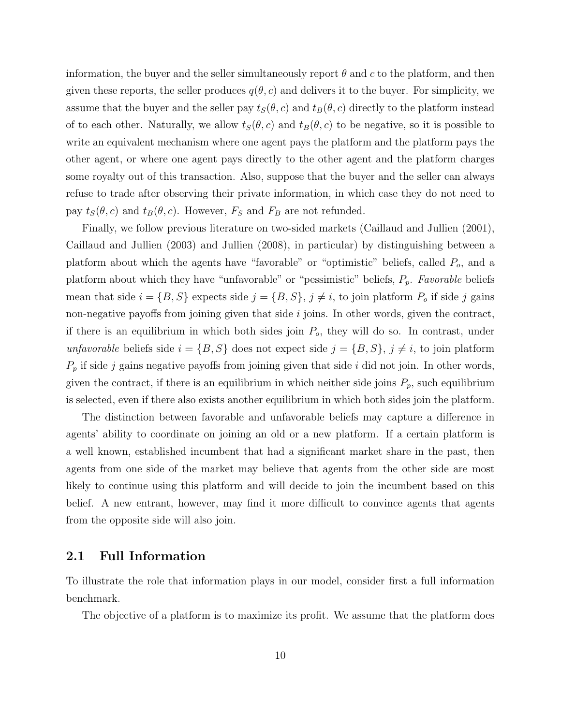information, the buyer and the seller simultaneously report  $\theta$  and c to the platform, and then given these reports, the seller produces  $q(\theta, c)$  and delivers it to the buyer. For simplicity, we assume that the buyer and the seller pay  $t_S(\theta, c)$  and  $t_B(\theta, c)$  directly to the platform instead of to each other. Naturally, we allow  $t_S(\theta, c)$  and  $t_B(\theta, c)$  to be negative, so it is possible to write an equivalent mechanism where one agent pays the platform and the platform pays the other agent, or where one agent pays directly to the other agent and the platform charges some royalty out of this transaction. Also, suppose that the buyer and the seller can always refuse to trade after observing their private information, in which case they do not need to pay  $t_S(\theta, c)$  and  $t_B(\theta, c)$ . However,  $F_S$  and  $F_B$  are not refunded.

Finally, we follow previous literature on two-sided markets (Caillaud and Jullien (2001), Caillaud and Jullien (2003) and Jullien (2008), in particular) by distinguishing between a platform about which the agents have "favorable" or "optimistic" beliefs, called  $P<sub>o</sub>$ , and a platform about which they have "unfavorable" or "pessimistic" beliefs,  $P_p$ . Favorable beliefs mean that side  $i = \{B, S\}$  expects side  $j = \{B, S\}, j \neq i$ , to join platform  $P_o$  if side j gains non-negative payoffs from joining given that side  $i$  joins. In other words, given the contract, if there is an equilibrium in which both sides join  $P<sub>o</sub>$ , they will do so. In contrast, under unfavorable beliefs side  $i = \{B, S\}$  does not expect side  $j = \{B, S\}$ ,  $j \neq i$ , to join platform  $P_p$  if side j gains negative payoffs from joining given that side i did not join. In other words, given the contract, if there is an equilibrium in which neither side joins  $P_p$ , such equilibrium is selected, even if there also exists another equilibrium in which both sides join the platform.

The distinction between favorable and unfavorable beliefs may capture a difference in agents' ability to coordinate on joining an old or a new platform. If a certain platform is a well known, established incumbent that had a significant market share in the past, then agents from one side of the market may believe that agents from the other side are most likely to continue using this platform and will decide to join the incumbent based on this belief. A new entrant, however, may find it more difficult to convince agents that agents from the opposite side will also join.

#### 2.1 Full Information

To illustrate the role that information plays in our model, consider first a full information benchmark.

The objective of a platform is to maximize its profit. We assume that the platform does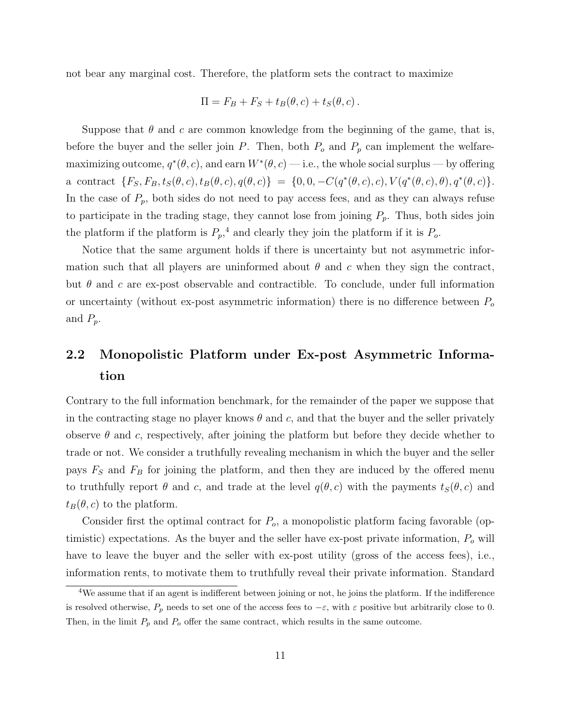not bear any marginal cost. Therefore, the platform sets the contract to maximize

$$
\Pi = F_B + F_S + t_B(\theta, c) + t_S(\theta, c).
$$

Suppose that  $\theta$  and c are common knowledge from the beginning of the game, that is, before the buyer and the seller join P. Then, both  $P_o$  and  $P_p$  can implement the welfaremaximizing outcome,  $q^*(\theta, c)$ , and earn  $W^*(\theta, c)$  — i.e., the whole social surplus — by offering a contract  $\{F_S, F_B, t_S(\theta, c), t_B(\theta, c), q(\theta, c)\} = \{0, 0, -C(q^*(\theta, c), c), V(q^*(\theta, c), \theta), q^*(\theta, c)\}.$ In the case of  $P_p$ , both sides do not need to pay access fees, and as they can always refuse to participate in the trading stage, they cannot lose from joining  $P_p$ . Thus, both sides join the platform if the platform is  $P_p$ <sup>4</sup>, and clearly they join the platform if it is  $P_o$ .

Notice that the same argument holds if there is uncertainty but not asymmetric information such that all players are uninformed about  $\theta$  and c when they sign the contract, but  $\theta$  and c are ex-post observable and contractible. To conclude, under full information or uncertainty (without ex-post asymmetric information) there is no difference between  $P<sub>o</sub>$ and  $P_p$ .

# 2.2 Monopolistic Platform under Ex-post Asymmetric Information

Contrary to the full information benchmark, for the remainder of the paper we suppose that in the contracting stage no player knows  $\theta$  and c, and that the buyer and the seller privately observe  $\theta$  and c, respectively, after joining the platform but before they decide whether to trade or not. We consider a truthfully revealing mechanism in which the buyer and the seller pays  $F_S$  and  $F_B$  for joining the platform, and then they are induced by the offered menu to truthfully report  $\theta$  and c, and trade at the level  $q(\theta, c)$  with the payments  $t_S(\theta, c)$  and  $t_B(\theta, c)$  to the platform.

Consider first the optimal contract for  $P<sub>o</sub>$ , a monopolistic platform facing favorable (optimistic) expectations. As the buyer and the seller have ex-post private information,  $P<sub>o</sub>$  will have to leave the buyer and the seller with ex-post utility (gross of the access fees), i.e., information rents, to motivate them to truthfully reveal their private information. Standard

<sup>4</sup>We assume that if an agent is indifferent between joining or not, he joins the platform. If the indifference is resolved otherwise,  $P_p$  needs to set one of the access fees to  $-\varepsilon$ , with  $\varepsilon$  positive but arbitrarily close to 0. Then, in the limit  $P_p$  and  $P_o$  offer the same contract, which results in the same outcome.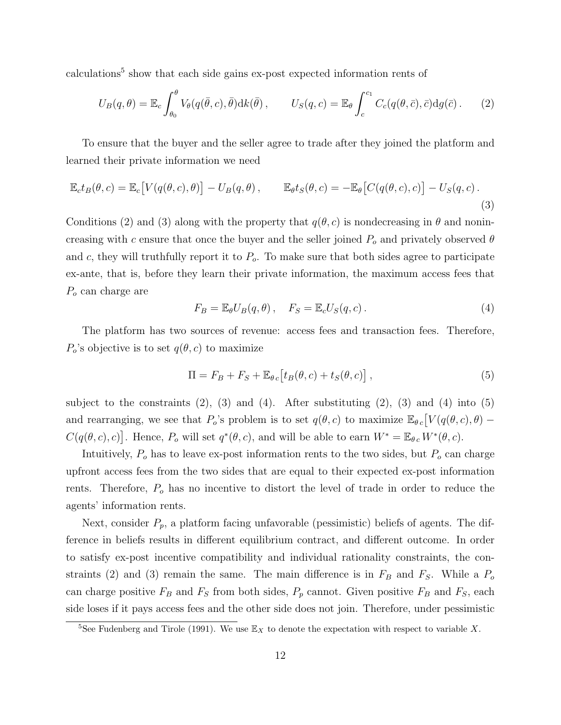calculations<sup>5</sup> show that each side gains ex-post expected information rents of

$$
U_B(q,\theta) = \mathbb{E}_c \int_{\theta_0}^{\theta} V_{\theta}(q(\bar{\theta},c),\bar{\theta}) \mathrm{d}k(\bar{\theta}), \qquad U_S(q,c) = \mathbb{E}_{\theta} \int_{c}^{c_1} C_c(q(\theta,\bar{c}),\bar{c}) \mathrm{d}g(\bar{c}). \tag{2}
$$

To ensure that the buyer and the seller agree to trade after they joined the platform and learned their private information we need

$$
\mathbb{E}_c t_B(\theta, c) = \mathbb{E}_c \big[ V(q(\theta, c), \theta) \big] - U_B(q, \theta), \qquad \mathbb{E}_\theta t_S(\theta, c) = - \mathbb{E}_\theta \big[ C(q(\theta, c), c) \big] - U_S(q, c).
$$
\n(3)

Conditions (2) and (3) along with the property that  $q(\theta, c)$  is nondecreasing in  $\theta$  and nonincreasing with c ensure that once the buyer and the seller joined  $P_o$  and privately observed  $\theta$ and c, they will truthfully report it to  $P<sub>o</sub>$ . To make sure that both sides agree to participate ex-ante, that is, before they learn their private information, the maximum access fees that  $P<sub>o</sub>$  can charge are

$$
F_B = \mathbb{E}_{\theta} U_B(q, \theta), \quad F_S = \mathbb{E}_c U_S(q, c).
$$
 (4)

The platform has two sources of revenue: access fees and transaction fees. Therefore,  $P_o$ 's objective is to set  $q(\theta, c)$  to maximize

$$
\Pi = F_B + F_S + \mathbb{E}_{\theta c} \left[ t_B(\theta, c) + t_S(\theta, c) \right],\tag{5}
$$

subject to the constraints  $(2)$ ,  $(3)$  and  $(4)$ . After substituting  $(2)$ ,  $(3)$  and  $(4)$  into  $(5)$ and rearranging, we see that  $P_o$ 's problem is to set  $q(\theta, c)$  to maximize  $\mathbb{E}_{\theta c}[V(q(\theta, c), \theta) C(q(\theta, c), c)$ . Hence,  $P_o$  will set  $q^*(\theta, c)$ , and will be able to earn  $W^* = \mathbb{E}_{\theta c} W^*(\theta, c)$ .

Intuitively,  $P_o$  has to leave ex-post information rents to the two sides, but  $P_o$  can charge upfront access fees from the two sides that are equal to their expected ex-post information rents. Therefore,  $P<sub>o</sub>$  has no incentive to distort the level of trade in order to reduce the agents' information rents.

Next, consider  $P_p$ , a platform facing unfavorable (pessimistic) beliefs of agents. The difference in beliefs results in different equilibrium contract, and different outcome. In order to satisfy ex-post incentive compatibility and individual rationality constraints, the constraints (2) and (3) remain the same. The main difference is in  $F_B$  and  $F_S$ . While a  $P_o$ can charge positive  $F_B$  and  $F_S$  from both sides,  $P_p$  cannot. Given positive  $F_B$  and  $F_S$ , each side loses if it pays access fees and the other side does not join. Therefore, under pessimistic

<sup>&</sup>lt;sup>5</sup>See Fudenberg and Tirole (1991). We use  $\mathbb{E}_X$  to denote the expectation with respect to variable X.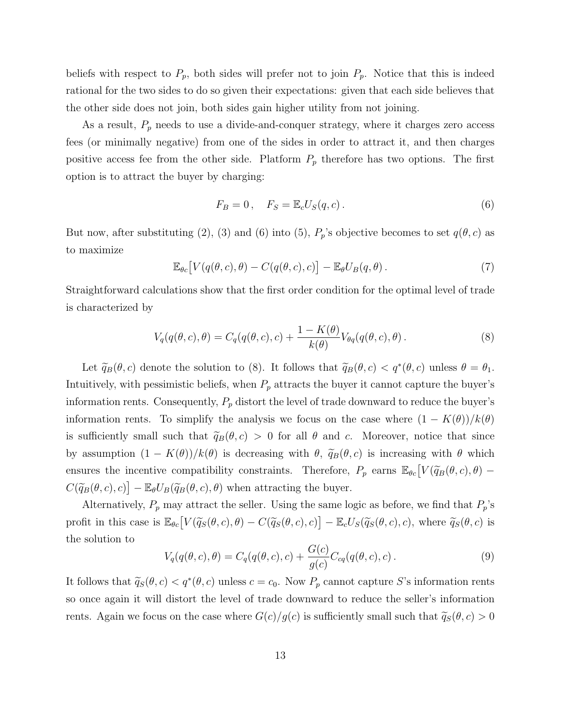beliefs with respect to  $P_p$ , both sides will prefer not to join  $P_p$ . Notice that this is indeed rational for the two sides to do so given their expectations: given that each side believes that the other side does not join, both sides gain higher utility from not joining.

As a result,  $P_p$  needs to use a divide-and-conquer strategy, where it charges zero access fees (or minimally negative) from one of the sides in order to attract it, and then charges positive access fee from the other side. Platform  $P_p$  therefore has two options. The first option is to attract the buyer by charging:

$$
F_B = 0, \quad F_S = \mathbb{E}_c U_S(q, c). \tag{6}
$$

But now, after substituting (2), (3) and (6) into (5),  $P_p$ 's objective becomes to set  $q(\theta, c)$  as to maximize

$$
\mathbb{E}_{\theta c}\big[V(q(\theta, c), \theta) - C(q(\theta, c), c)\big] - \mathbb{E}_{\theta} U_B(q, \theta). \tag{7}
$$

Straightforward calculations show that the first order condition for the optimal level of trade is characterized by

$$
V_q(q(\theta, c), \theta) = C_q(q(\theta, c), c) + \frac{1 - K(\theta)}{k(\theta)} V_{\theta q}(q(\theta, c), \theta).
$$
\n(8)

Let  $\widetilde{q}_B(\theta, c)$  denote the solution to (8). It follows that  $\widetilde{q}_B(\theta, c) < q^*(\theta, c)$  unless  $\theta = \theta_1$ . Intuitively, with pessimistic beliefs, when  $P_p$  attracts the buyer it cannot capture the buyer's information rents. Consequently,  $P_p$  distort the level of trade downward to reduce the buyer's information rents. To simplify the analysis we focus on the case where  $(1 - K(\theta))/k(\theta)$ is sufficiently small such that  $\tilde{q}_B(\theta, c) > 0$  for all  $\theta$  and c. Moreover, notice that since by assumption  $(1 - K(\theta))/k(\theta)$  is decreasing with  $\theta$ ,  $\tilde{q}_B(\theta, c)$  is increasing with  $\theta$  which ensures the incentive compatibility constraints. Therefore,  $P_p$  earns  $\mathbb{E}_{\theta c}[V(\tilde{q}_B(\theta, c), \theta) C(\widetilde{q}_B(\theta, c), c)$  –  $\mathbb{E}_{\theta}U_B(\widetilde{q}_B(\theta, c), \theta)$  when attracting the buyer.

Alternatively,  $P_p$  may attract the seller. Using the same logic as before, we find that  $P_p$ 's profit in this case is  $\mathbb{E}_{\theta c}\big[V(\widetilde{q}_S(\theta, c), \theta) - C(\widetilde{q}_S(\theta, c), c)\big] - \mathbb{E}_c U_S(\widetilde{q}_S(\theta, c), c)$ , where  $\widetilde{q}_S(\theta, c)$  is the solution to

$$
V_q(q(\theta, c), \theta) = C_q(q(\theta, c), c) + \frac{G(c)}{g(c)} C_{cq}(q(\theta, c), c).
$$
\n(9)

It follows that  $\widetilde{q}_S(\theta, c) < q^*(\theta, c)$  unless  $c = c_0$ . Now  $P_p$  cannot capture S's information rents so once again it will distort the level of trade downward to reduce the seller's information rents. Again we focus on the case where  $G(c)/g(c)$  is sufficiently small such that  $\tilde{q}_S(\theta, c) > 0$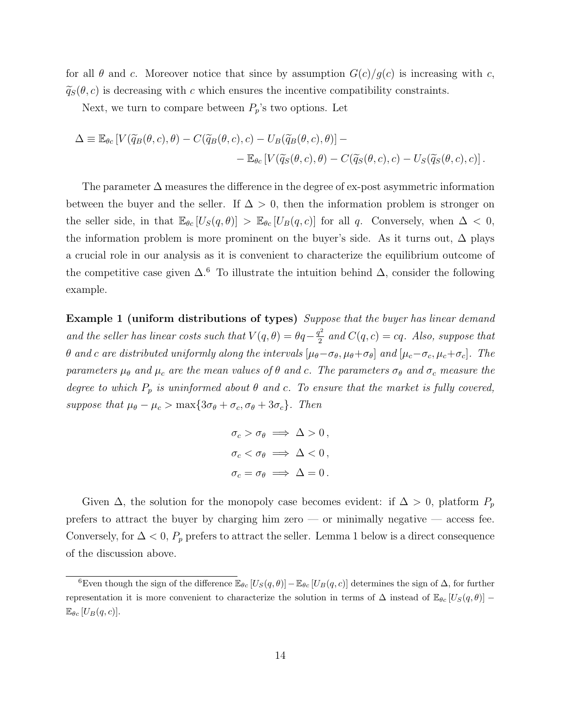for all  $\theta$  and c. Moreover notice that since by assumption  $G(c)/g(c)$  is increasing with c,  $\widetilde{q}_{S}(\theta, c)$  is decreasing with c which ensures the incentive compatibility constraints.

Next, we turn to compare between  $P_p$ 's two options. Let

$$
\Delta \equiv \mathbb{E}_{\theta c} \left[ V(\widetilde{q}_B(\theta, c), \theta) - C(\widetilde{q}_B(\theta, c), c) - U_B(\widetilde{q}_B(\theta, c), \theta) \right] - \mathbb{E}_{\theta c} \left[ V(\widetilde{q}_S(\theta, c), \theta) - C(\widetilde{q}_S(\theta, c), c) - U_S(\widetilde{q}_S(\theta, c), c) \right].
$$

The parameter  $\Delta$  measures the difference in the degree of ex-post asymmetric information between the buyer and the seller. If  $\Delta > 0$ , then the information problem is stronger on the seller side, in that  $\mathbb{E}_{\theta_c}[U_S(q, \theta)] > \mathbb{E}_{\theta_c}[U_B(q, c)]$  for all q. Conversely, when  $\Delta < 0$ , the information problem is more prominent on the buyer's side. As it turns out,  $\Delta$  plays a crucial role in our analysis as it is convenient to characterize the equilibrium outcome of the competitive case given  $\Delta$ .<sup>6</sup> To illustrate the intuition behind  $\Delta$ , consider the following example.

Example 1 (uniform distributions of types) Suppose that the buyer has linear demand and the seller has linear costs such that  $V(q, \theta) = \theta q - \frac{q^2}{2}$  $\frac{d^2}{2}$  and  $C(q, c) = cq$ . Also, suppose that θ and c are distributed uniformly along the intervals  $[\mu_\theta - \sigma_\theta, \mu_\theta + \sigma_\theta]$  and  $[\mu_c - \sigma_c, \mu_c + \sigma_c]$ . The parameters  $\mu_{\theta}$  and  $\mu_c$  are the mean values of  $\theta$  and c. The parameters  $\sigma_{\theta}$  and  $\sigma_c$  measure the degree to which  $P_p$  is uninformed about  $\theta$  and  $c$ . To ensure that the market is fully covered, suppose that  $\mu_{\theta} - \mu_c > \max\{3\sigma_{\theta} + \sigma_c, \sigma_{\theta} + 3\sigma_c\}$ . Then

$$
\sigma_c > \sigma_{\theta} \implies \Delta > 0,
$$
  

$$
\sigma_c < \sigma_{\theta} \implies \Delta < 0,
$$
  

$$
\sigma_c = \sigma_{\theta} \implies \Delta = 0.
$$

Given  $\Delta$ , the solution for the monopoly case becomes evident: if  $\Delta > 0$ , platform  $P_p$ prefers to attract the buyer by charging him zero — or minimally negative — access fee. Conversely, for  $\Delta < 0$ ,  $P_p$  prefers to attract the seller. Lemma 1 below is a direct consequence of the discussion above.

<sup>&</sup>lt;sup>6</sup>Even though the sign of the difference  $\mathbb{E}_{\theta_c}[U_S(q, \theta)]-\mathbb{E}_{\theta_c}[U_B(q, c)]$  determines the sign of  $\Delta$ , for further representation it is more convenient to characterize the solution in terms of  $\Delta$  instead of  $\mathbb{E}_{\theta_c}[U_S(q, \theta)]$  –  $\mathbb{E}_{\theta c}$  [ $U_B(q, c)$ ].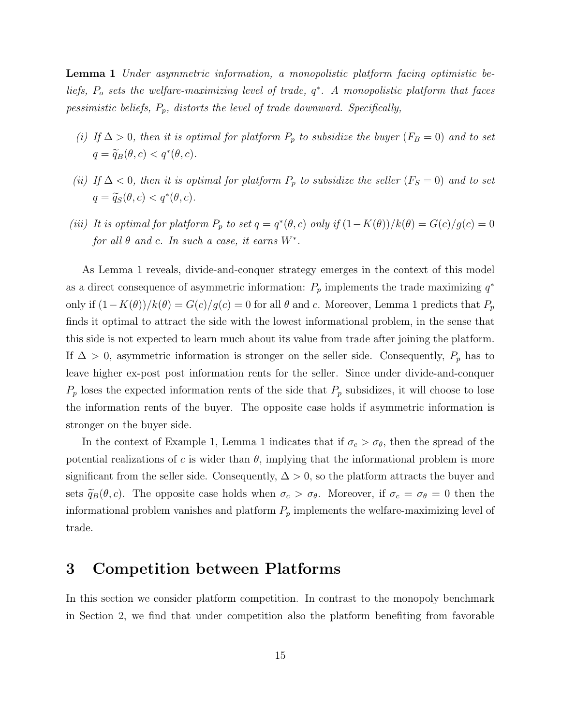Lemma 1 Under asymmetric information, a monopolistic platform facing optimistic beliefs,  $P_o$  sets the welfare-maximizing level of trade,  $q^*$ . A monopolistic platform that faces pessimistic beliefs,  $P_p$ , distorts the level of trade downward. Specifically,

- (i) If  $\Delta > 0$ , then it is optimal for platform  $P_p$  to subsidize the buyer  $(F_B = 0)$  and to set  $q = \widetilde{q}_B(\theta, c) < q^*(\theta, c).$
- (ii) If  $\Delta$  < 0, then it is optimal for platform  $P_p$  to subsidize the seller  $(F_S = 0)$  and to set  $q = \widetilde{q}_S(\theta, c) < q^*(\theta, c).$
- (iii) It is optimal for platform  $P_p$  to set  $q = q^*(\theta, c)$  only if  $(1 K(\theta))/k(\theta) = G(c)/g(c) = 0$ for all  $\theta$  and c. In such a case, it earns  $W^*$ .

As Lemma 1 reveals, divide-and-conquer strategy emerges in the context of this model as a direct consequence of asymmetric information:  $P_p$  implements the trade maximizing  $q^*$ only if  $(1-K(\theta))/k(\theta) = G(c)/g(c) = 0$  for all  $\theta$  and c. Moreover, Lemma 1 predicts that  $P_p$ finds it optimal to attract the side with the lowest informational problem, in the sense that this side is not expected to learn much about its value from trade after joining the platform. If  $\Delta > 0$ , asymmetric information is stronger on the seller side. Consequently,  $P_p$  has to leave higher ex-post post information rents for the seller. Since under divide-and-conquer  $P_p$  loses the expected information rents of the side that  $P_p$  subsidizes, it will choose to lose the information rents of the buyer. The opposite case holds if asymmetric information is stronger on the buyer side.

In the context of Example 1, Lemma 1 indicates that if  $\sigma_c > \sigma_{\theta}$ , then the spread of the potential realizations of c is wider than  $\theta$ , implying that the informational problem is more significant from the seller side. Consequently,  $\Delta > 0$ , so the platform attracts the buyer and sets  $\tilde{q}_B(\theta, c)$ . The opposite case holds when  $\sigma_c > \sigma_{\theta}$ . Moreover, if  $\sigma_c = \sigma_{\theta} = 0$  then the informational problem vanishes and platform  $P_p$  implements the welfare-maximizing level of trade.

### 3 Competition between Platforms

In this section we consider platform competition. In contrast to the monopoly benchmark in Section 2, we find that under competition also the platform benefiting from favorable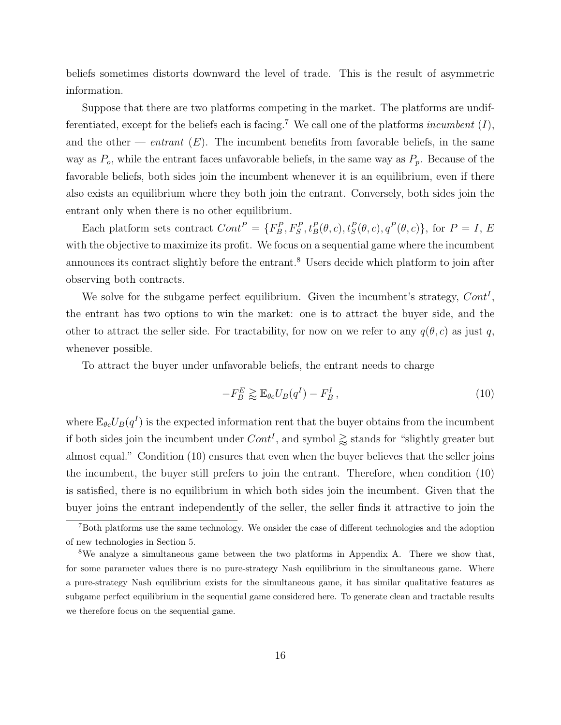beliefs sometimes distorts downward the level of trade. This is the result of asymmetric information.

Suppose that there are two platforms competing in the market. The platforms are undifferentiated, except for the beliefs each is facing.<sup>7</sup> We call one of the platforms *incumbent*  $(I)$ , and the other — *entrant*  $(E)$ . The incumbent benefits from favorable beliefs, in the same way as  $P_o$ , while the entrant faces unfavorable beliefs, in the same way as  $P_p$ . Because of the favorable beliefs, both sides join the incumbent whenever it is an equilibrium, even if there also exists an equilibrium where they both join the entrant. Conversely, both sides join the entrant only when there is no other equilibrium.

Each platform sets contract  $Cont^P = \{F_B^P, F_S^P, t_B^P(\theta, c), t_S^P(\theta, c), q^P(\theta, c)\},$  for  $P = I, E$ with the objective to maximize its profit. We focus on a sequential game where the incumbent announces its contract slightly before the entrant.<sup>8</sup> Users decide which platform to join after observing both contracts.

We solve for the subgame perfect equilibrium. Given the incumbent's strategy,  $Cont<sup>I</sup>$ , the entrant has two options to win the market: one is to attract the buyer side, and the other to attract the seller side. For tractability, for now on we refer to any  $q(\theta, c)$  as just q, whenever possible.

To attract the buyer under unfavorable beliefs, the entrant needs to charge

$$
-F_B^E \gtrsim \mathbb{E}_{\theta c} U_B(q^I) - F_B^I,\tag{10}
$$

where  $\mathbb{E}_{\theta c}U_B(q^I)$  is the expected information rent that the buyer obtains from the incumbent if both sides join the incumbent under  $Cont^I$ , and symbol  $\gtrapprox$  stands for "slightly greater but almost equal." Condition (10) ensures that even when the buyer believes that the seller joins the incumbent, the buyer still prefers to join the entrant. Therefore, when condition (10) is satisfied, there is no equilibrium in which both sides join the incumbent. Given that the buyer joins the entrant independently of the seller, the seller finds it attractive to join the

<sup>7</sup>Both platforms use the same technology. We onsider the case of different technologies and the adoption of new technologies in Section 5.

<sup>8</sup>We analyze a simultaneous game between the two platforms in Appendix A. There we show that, for some parameter values there is no pure-strategy Nash equilibrium in the simultaneous game. Where a pure-strategy Nash equilibrium exists for the simultaneous game, it has similar qualitative features as subgame perfect equilibrium in the sequential game considered here. To generate clean and tractable results we therefore focus on the sequential game.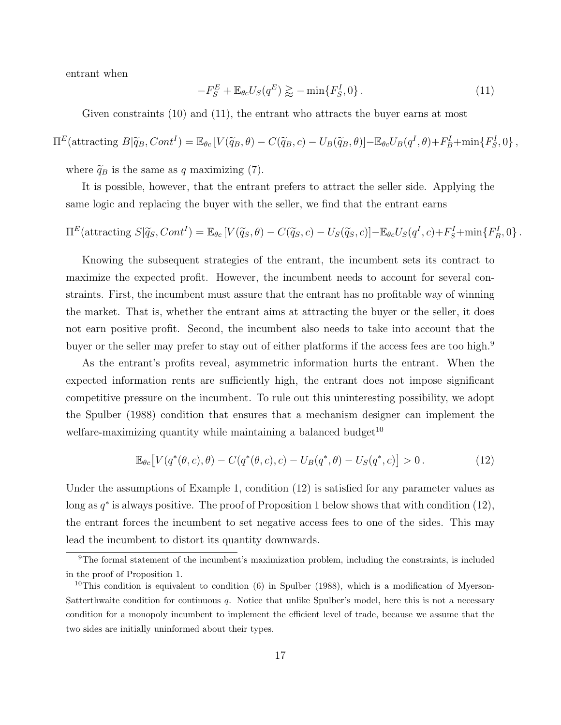entrant when

$$
-F_S^E + \mathbb{E}_{\theta c} U_S(q^E) \gtrapprox -\min\{F_S^I, 0\}.
$$
 (11)

Given constraints (10) and (11), the entrant who attracts the buyer earns at most

$$
\Pi^{E}(\text{attracting }B|\widetilde{q}_{B},Cont^{I}) = \mathbb{E}_{\theta c}[V(\widetilde{q}_{B}, \theta) - C(\widetilde{q}_{B}, c) - U_{B}(\widetilde{q}_{B}, \theta)] - \mathbb{E}_{\theta c}U_{B}(q^{I}, \theta) + F_{B}^{I} + \min\{F_{S}^{I}, 0\},\
$$

where  $\tilde{q}_B$  is the same as q maximizing (7).

It is possible, however, that the entrant prefers to attract the seller side. Applying the same logic and replacing the buyer with the seller, we find that the entrant earns

$$
\Pi^{E}(\text{attracting } S|\widetilde{q}_{S},Cont^{I}) = \mathbb{E}_{\theta c}[V(\widetilde{q}_{S}, \theta) - C(\widetilde{q}_{S}, c) - U_{S}(\widetilde{q}_{S}, c)] - \mathbb{E}_{\theta c}U_{S}(q^{I}, c) + F_{S}^{I} + \min\{F_{B}^{I}, 0\}.
$$

Knowing the subsequent strategies of the entrant, the incumbent sets its contract to maximize the expected profit. However, the incumbent needs to account for several constraints. First, the incumbent must assure that the entrant has no profitable way of winning the market. That is, whether the entrant aims at attracting the buyer or the seller, it does not earn positive profit. Second, the incumbent also needs to take into account that the buyer or the seller may prefer to stay out of either platforms if the access fees are too high.<sup>9</sup>

As the entrant's profits reveal, asymmetric information hurts the entrant. When the expected information rents are sufficiently high, the entrant does not impose significant competitive pressure on the incumbent. To rule out this uninteresting possibility, we adopt the Spulber (1988) condition that ensures that a mechanism designer can implement the welfare-maximizing quantity while maintaining a balanced budget<sup>10</sup>

$$
\mathbb{E}_{\theta c} \big[ V(q^*(\theta, c), \theta) - C(q^*(\theta, c), c) - U_B(q^*, \theta) - U_S(q^*, c) \big] > 0. \tag{12}
$$

Under the assumptions of Example 1, condition (12) is satisfied for any parameter values as long as  $q^*$  is always positive. The proof of Proposition 1 below shows that with condition  $(12)$ , the entrant forces the incumbent to set negative access fees to one of the sides. This may lead the incumbent to distort its quantity downwards.

<sup>9</sup>The formal statement of the incumbent's maximization problem, including the constraints, is included in the proof of Proposition 1.

 $10$ This condition is equivalent to condition (6) in Spulber (1988), which is a modification of Myerson-Satterthwaite condition for continuous q. Notice that unlike Spulber's model, here this is not a necessary condition for a monopoly incumbent to implement the efficient level of trade, because we assume that the two sides are initially uninformed about their types.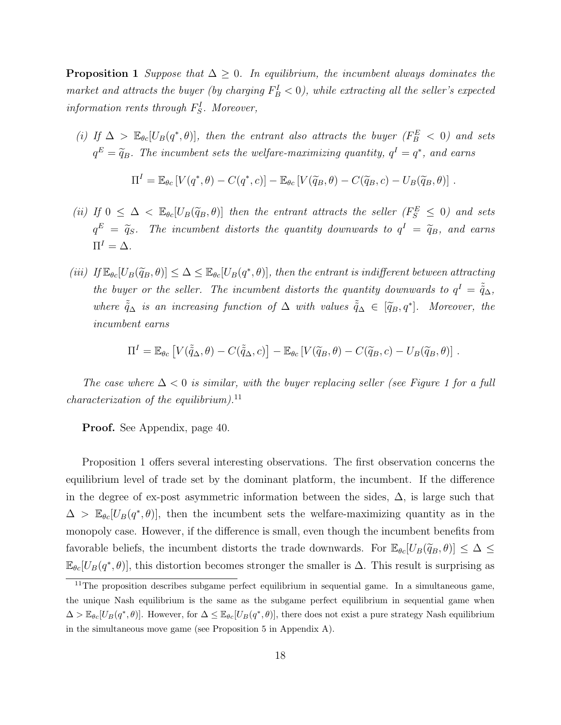**Proposition 1** Suppose that  $\Delta \geq 0$ . In equilibrium, the incumbent always dominates the market and attracts the buyer (by charging  $F_B^I < 0$ ), while extracting all the seller's expected information rents through  $F_S^I$ . Moreover,

(i) If  $\Delta > \mathbb{E}_{\theta c}[U_B(q^*,\theta)],$  then the entrant also attracts the buyer ( $F_B^E < 0$ ) and sets  $q^E = \widetilde{q}_B$ . The incumbent sets the welfare-maximizing quantity,  $q^I = q^*$ , and earns

$$
\Pi^{I} = \mathbb{E}_{\theta c} \left[ V(q^*, \theta) - C(q^*, c) \right] - \mathbb{E}_{\theta c} \left[ V(\widetilde{q}_B, \theta) - C(\widetilde{q}_B, c) - U_B(\widetilde{q}_B, \theta) \right].
$$

- (ii) If  $0 \leq \Delta < \mathbb{E}_{\theta c}[U_B(\tilde{q}_B, \theta)]$  then the entrant attracts the seller  $(F_S^E \leq 0)$  and sets  $q^E = \widetilde{q}_S$ . The incumbent distorts the quantity downwards to  $q^I = \widetilde{q}_B$ , and earns  $\Pi^I = \Delta$ .
- (iii) If  $\mathbb{E}_{\theta c}[U_B(\widetilde{q}_B, \theta)] \leq \Delta \leq \mathbb{E}_{\theta c}[U_B(q^*, \theta)],$  then the entrant is indifferent between attracting the buyer or the seller. The incumbent distorts the quantity downwards to  $q^I = \tilde{\tilde{q}}_{\Delta}$ , where  $\tilde{\tilde{q}}_{\Delta}$  is an increasing function of  $\Delta$  with values  $\tilde{\tilde{q}}_{\Delta} \in [\tilde{q}_B, q^*]$ . Moreover, the incumbent earns

$$
\Pi^{I} = \mathbb{E}_{\theta c} \left[ V(\tilde{\tilde{q}}_{\Delta}, \theta) - C(\tilde{\tilde{q}}_{\Delta}, c) \right] - \mathbb{E}_{\theta c} \left[ V(\tilde{q}_{B}, \theta) - C(\tilde{q}_{B}, c) - U_{B}(\tilde{q}_{B}, \theta) \right].
$$

The case where  $\Delta < 0$  is similar, with the buyer replacing seller (see Figure 1 for a full characterization of the equilibrium). $^{11}$ 

Proof. See Appendix, page 40.

Proposition 1 offers several interesting observations. The first observation concerns the equilibrium level of trade set by the dominant platform, the incumbent. If the difference in the degree of ex-post asymmetric information between the sides,  $\Delta$ , is large such that  $\Delta > \mathbb{E}_{\theta c}[U_B(q^*,\theta)],$  then the incumbent sets the welfare-maximizing quantity as in the monopoly case. However, if the difference is small, even though the incumbent benefits from favorable beliefs, the incumbent distorts the trade downwards. For  $\mathbb{E}_{\theta_c}[U_B(\widetilde{q}_B, \theta)] \leq \Delta \leq$  $\mathbb{E}_{\theta c}[U_B(q^*,\theta)],$  this distortion becomes stronger the smaller is  $\Delta$ . This result is surprising as

 $11$ The proposition describes subgame perfect equilibrium in sequential game. In a simultaneous game, the unique Nash equilibrium is the same as the subgame perfect equilibrium in sequential game when  $\Delta > \mathbb{E}_{\theta c}[U_B(q^*,\theta)].$  However, for  $\Delta \leq \mathbb{E}_{\theta c}[U_B(q^*,\theta)],$  there does not exist a pure strategy Nash equilibrium in the simultaneous move game (see Proposition 5 in Appendix A).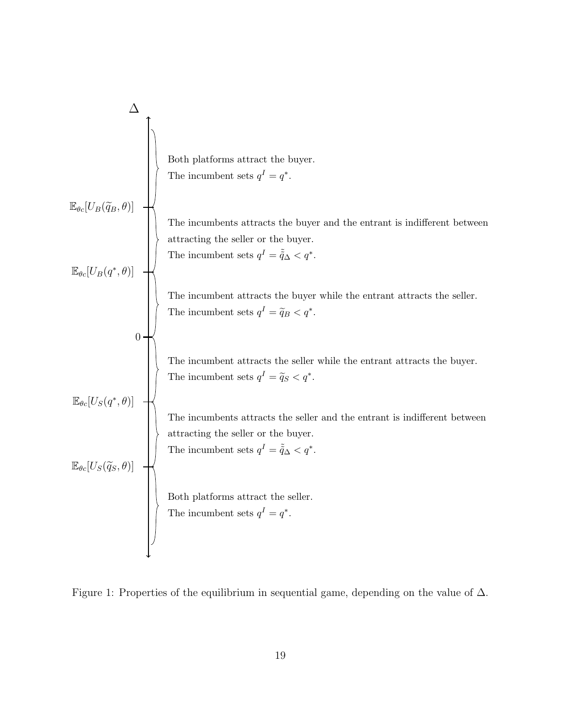

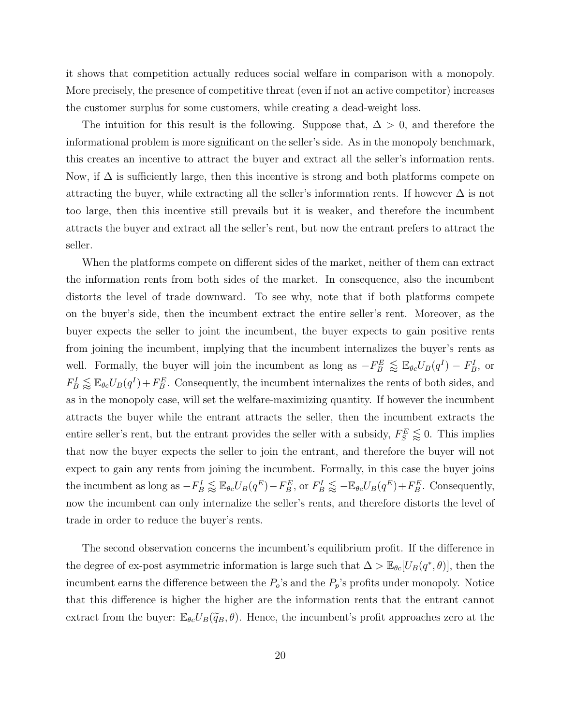it shows that competition actually reduces social welfare in comparison with a monopoly. More precisely, the presence of competitive threat (even if not an active competitor) increases the customer surplus for some customers, while creating a dead-weight loss.

The intuition for this result is the following. Suppose that,  $\Delta > 0$ , and therefore the informational problem is more significant on the seller's side. As in the monopoly benchmark, this creates an incentive to attract the buyer and extract all the seller's information rents. Now, if  $\Delta$  is sufficiently large, then this incentive is strong and both platforms compete on attracting the buyer, while extracting all the seller's information rents. If however  $\Delta$  is not too large, then this incentive still prevails but it is weaker, and therefore the incumbent attracts the buyer and extract all the seller's rent, but now the entrant prefers to attract the seller.

When the platforms compete on different sides of the market, neither of them can extract the information rents from both sides of the market. In consequence, also the incumbent distorts the level of trade downward. To see why, note that if both platforms compete on the buyer's side, then the incumbent extract the entire seller's rent. Moreover, as the buyer expects the seller to joint the incumbent, the buyer expects to gain positive rents from joining the incumbent, implying that the incumbent internalizes the buyer's rents as well. Formally, the buyer will join the incumbent as long as  $-F_B^E \leq \mathbb{E}_{\theta c} U_B(q^I) - F_B^I$ , or  $F_B^I \lessapprox \mathbb{E}_{\theta c} U_B(q^I) + F_B^E$ . Consequently, the incumbent internalizes the rents of both sides, and as in the monopoly case, will set the welfare-maximizing quantity. If however the incumbent attracts the buyer while the entrant attracts the seller, then the incumbent extracts the entire seller's rent, but the entrant provides the seller with a subsidy,  $F_S^E \lessapprox 0$ . This implies that now the buyer expects the seller to join the entrant, and therefore the buyer will not expect to gain any rents from joining the incumbent. Formally, in this case the buyer joins the incumbent as long as  $-F_B^I \leq \mathbb{E}_{\theta c} U_B(q^E) - F_B^E$ , or  $F_B^I \leq -\mathbb{E}_{\theta c} U_B(q^E) + F_B^E$ . Consequently, now the incumbent can only internalize the seller's rents, and therefore distorts the level of trade in order to reduce the buyer's rents.

The second observation concerns the incumbent's equilibrium profit. If the difference in the degree of ex-post asymmetric information is large such that  $\Delta > \mathbb{E}_{\theta c}[U_B(q^*, \theta)],$  then the incumbent earns the difference between the  $P_o$ 's and the  $P_p$ 's profits under monopoly. Notice that this difference is higher the higher are the information rents that the entrant cannot extract from the buyer:  $\mathbb{E}_{\theta c}U_B(\tilde{q}_B, \theta)$ . Hence, the incumbent's profit approaches zero at the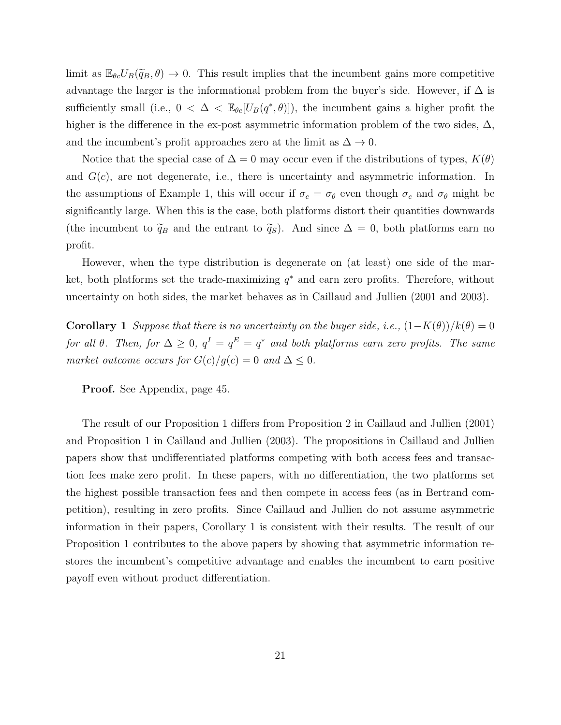limit as  $\mathbb{E}_{\theta_c}U_B(\tilde{q}_B, \theta) \to 0$ . This result implies that the incumbent gains more competitive advantage the larger is the informational problem from the buyer's side. However, if  $\Delta$  is sufficiently small (i.e.,  $0 < \Delta < \mathbb{E}_{\theta c}[U_B(q^*,\theta)]$ ), the incumbent gains a higher profit the higher is the difference in the ex-post asymmetric information problem of the two sides,  $\Delta$ , and the incumbent's profit approaches zero at the limit as  $\Delta \to 0$ .

Notice that the special case of  $\Delta = 0$  may occur even if the distributions of types,  $K(\theta)$ and  $G(c)$ , are not degenerate, i.e., there is uncertainty and asymmetric information. In the assumptions of Example 1, this will occur if  $\sigma_c = \sigma_\theta$  even though  $\sigma_c$  and  $\sigma_\theta$  might be significantly large. When this is the case, both platforms distort their quantities downwards (the incumbent to  $\tilde{q}_B$  and the entrant to  $\tilde{q}_S$ ). And since  $\Delta = 0$ , both platforms earn no profit.

However, when the type distribution is degenerate on (at least) one side of the market, both platforms set the trade-maximizing  $q^*$  and earn zero profits. Therefore, without uncertainty on both sides, the market behaves as in Caillaud and Jullien (2001 and 2003).

**Corollary 1** Suppose that there is no uncertainty on the buyer side, i.e.,  $(1-K(\theta))/k(\theta) = 0$ for all  $\theta$ . Then, for  $\Delta \geq 0$ ,  $q^I = q^E = q^*$  and both platforms earn zero profits. The same market outcome occurs for  $G(c)/g(c) = 0$  and  $\Delta \leq 0$ .

Proof. See Appendix, page 45.

The result of our Proposition 1 differs from Proposition 2 in Caillaud and Jullien (2001) and Proposition 1 in Caillaud and Jullien (2003). The propositions in Caillaud and Jullien papers show that undifferentiated platforms competing with both access fees and transaction fees make zero profit. In these papers, with no differentiation, the two platforms set the highest possible transaction fees and then compete in access fees (as in Bertrand competition), resulting in zero profits. Since Caillaud and Jullien do not assume asymmetric information in their papers, Corollary 1 is consistent with their results. The result of our Proposition 1 contributes to the above papers by showing that asymmetric information restores the incumbent's competitive advantage and enables the incumbent to earn positive payoff even without product differentiation.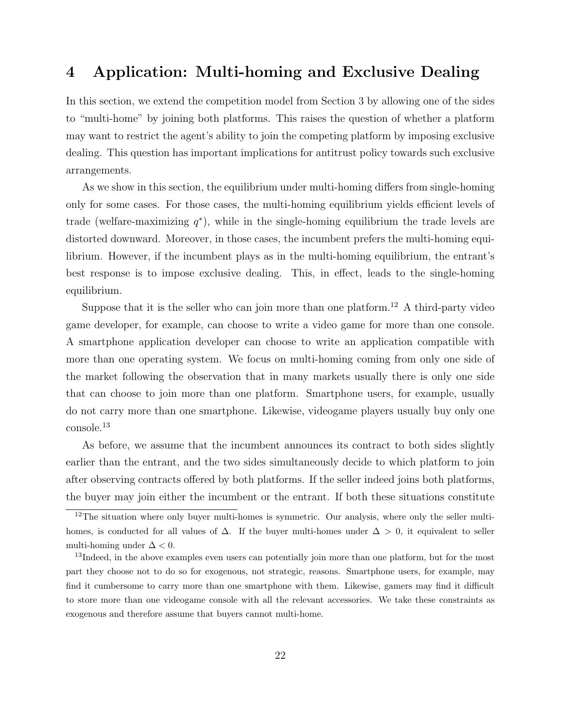# 4 Application: Multi-homing and Exclusive Dealing

In this section, we extend the competition model from Section 3 by allowing one of the sides to "multi-home" by joining both platforms. This raises the question of whether a platform may want to restrict the agent's ability to join the competing platform by imposing exclusive dealing. This question has important implications for antitrust policy towards such exclusive arrangements.

As we show in this section, the equilibrium under multi-homing differs from single-homing only for some cases. For those cases, the multi-homing equilibrium yields efficient levels of trade (welfare-maximizing  $q^*$ ), while in the single-homing equilibrium the trade levels are distorted downward. Moreover, in those cases, the incumbent prefers the multi-homing equilibrium. However, if the incumbent plays as in the multi-homing equilibrium, the entrant's best response is to impose exclusive dealing. This, in effect, leads to the single-homing equilibrium.

Suppose that it is the seller who can join more than one platform.<sup>12</sup> A third-party video game developer, for example, can choose to write a video game for more than one console. A smartphone application developer can choose to write an application compatible with more than one operating system. We focus on multi-homing coming from only one side of the market following the observation that in many markets usually there is only one side that can choose to join more than one platform. Smartphone users, for example, usually do not carry more than one smartphone. Likewise, videogame players usually buy only one console.<sup>13</sup>

As before, we assume that the incumbent announces its contract to both sides slightly earlier than the entrant, and the two sides simultaneously decide to which platform to join after observing contracts offered by both platforms. If the seller indeed joins both platforms, the buyer may join either the incumbent or the entrant. If both these situations constitute

 $12$ The situation where only buyer multi-homes is symmetric. Our analysis, where only the seller multihomes, is conducted for all values of  $\Delta$ . If the buyer multi-homes under  $\Delta > 0$ , it equivalent to seller multi-homing under  $\Delta < 0$ .

<sup>&</sup>lt;sup>13</sup>Indeed, in the above examples even users can potentially join more than one platform, but for the most part they choose not to do so for exogenous, not strategic, reasons. Smartphone users, for example, may find it cumbersome to carry more than one smartphone with them. Likewise, gamers may find it difficult to store more than one videogame console with all the relevant accessories. We take these constraints as exogenous and therefore assume that buyers cannot multi-home.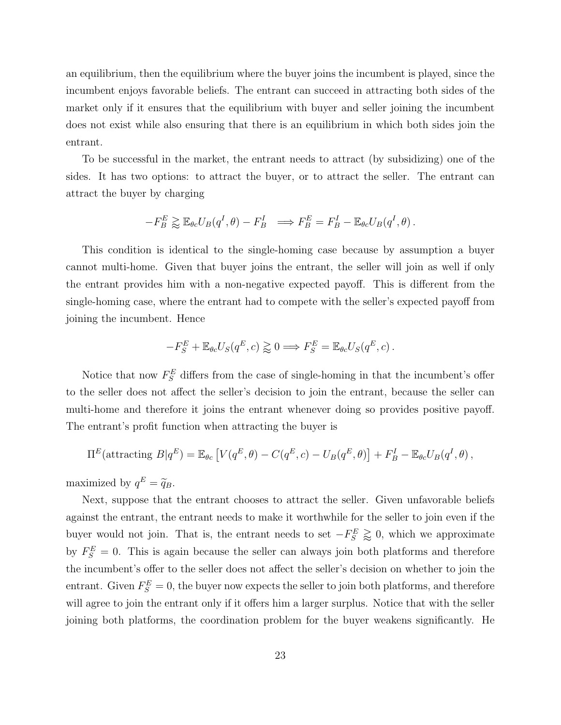an equilibrium, then the equilibrium where the buyer joins the incumbent is played, since the incumbent enjoys favorable beliefs. The entrant can succeed in attracting both sides of the market only if it ensures that the equilibrium with buyer and seller joining the incumbent does not exist while also ensuring that there is an equilibrium in which both sides join the entrant.

To be successful in the market, the entrant needs to attract (by subsidizing) one of the sides. It has two options: to attract the buyer, or to attract the seller. The entrant can attract the buyer by charging

$$
-F_B^E \gtrsim \mathbb{E}_{\theta c} U_B(q^I, \theta) - F_B^I \implies F_B^E = F_B^I - \mathbb{E}_{\theta c} U_B(q^I, \theta).
$$

This condition is identical to the single-homing case because by assumption a buyer cannot multi-home. Given that buyer joins the entrant, the seller will join as well if only the entrant provides him with a non-negative expected payoff. This is different from the single-homing case, where the entrant had to compete with the seller's expected payoff from joining the incumbent. Hence

$$
-F_S^E + \mathbb{E}_{\theta c} U_S(q^E, c) \gtrapprox 0 \Longrightarrow F_S^E = \mathbb{E}_{\theta c} U_S(q^E, c).
$$

Notice that now  $F_S^E$  differs from the case of single-homing in that the incumbent's offer to the seller does not affect the seller's decision to join the entrant, because the seller can multi-home and therefore it joins the entrant whenever doing so provides positive payoff. The entrant's profit function when attracting the buyer is

$$
\Pi^{E}(\text{attracting }B|q^{E}) = \mathbb{E}_{\theta c}\left[V(q^{E}, \theta) - C(q^{E}, c) - U_{B}(q^{E}, \theta)\right] + F_{B}^{I} - \mathbb{E}_{\theta c}U_{B}(q^{I}, \theta),
$$

maximized by  $q^E = \widetilde{q}_B$ .

Next, suppose that the entrant chooses to attract the seller. Given unfavorable beliefs against the entrant, the entrant needs to make it worthwhile for the seller to join even if the buyer would not join. That is, the entrant needs to set  $-F_S^E \geq 0$ , which we approximate by  $F_S^E = 0$ . This is again because the seller can always join both platforms and therefore the incumbent's offer to the seller does not affect the seller's decision on whether to join the entrant. Given  $F_S^E = 0$ , the buyer now expects the seller to join both platforms, and therefore will agree to join the entrant only if it offers him a larger surplus. Notice that with the seller joining both platforms, the coordination problem for the buyer weakens significantly. He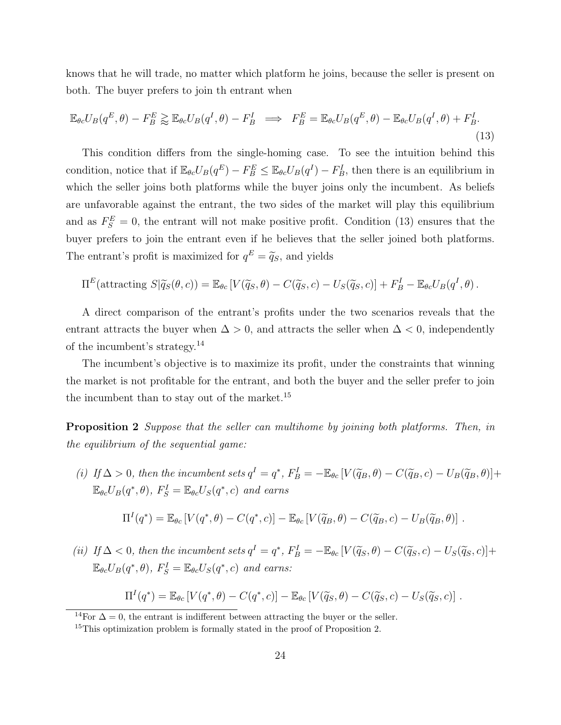knows that he will trade, no matter which platform he joins, because the seller is present on both. The buyer prefers to join th entrant when

$$
\mathbb{E}_{\theta c} U_B(q^E, \theta) - F_B^E \gtrsim \mathbb{E}_{\theta c} U_B(q^I, \theta) - F_B^I \implies F_B^E = \mathbb{E}_{\theta c} U_B(q^E, \theta) - \mathbb{E}_{\theta c} U_B(q^I, \theta) + F_B^I.
$$
\n(13)

This condition differs from the single-homing case. To see the intuition behind this condition, notice that if  $\mathbb{E}_{\theta c}U_B(q^E) - F_B^E \leq \mathbb{E}_{\theta c}U_B(q^I) - F_B^I$ , then there is an equilibrium in which the seller joins both platforms while the buyer joins only the incumbent. As beliefs are unfavorable against the entrant, the two sides of the market will play this equilibrium and as  $F_S^E = 0$ , the entrant will not make positive profit. Condition (13) ensures that the buyer prefers to join the entrant even if he believes that the seller joined both platforms. The entrant's profit is maximized for  $q^E = \tilde{q}_S$ , and yields

$$
\Pi^{E}(\text{attracting } S|\widetilde{q}_{S}(\theta, c)) = \mathbb{E}_{\theta c}[V(\widetilde{q}_{S}, \theta) - C(\widetilde{q}_{S}, c) - U_{S}(\widetilde{q}_{S}, c)] + F_{B}^{I} - \mathbb{E}_{\theta c}U_{B}(q^{I}, \theta).
$$

A direct comparison of the entrant's profits under the two scenarios reveals that the entrant attracts the buyer when  $\Delta > 0$ , and attracts the seller when  $\Delta < 0$ , independently of the incumbent's strategy.<sup>14</sup>

The incumbent's objective is to maximize its profit, under the constraints that winning the market is not profitable for the entrant, and both the buyer and the seller prefer to join the incumbent than to stay out of the market.<sup>15</sup>

**Proposition 2** Suppose that the seller can multihome by joining both platforms. Then, in the equilibrium of the sequential game:

(i) If  $\Delta > 0$ , then the incumbent sets  $q^I = q^*$ ,  $F_B^I = -\mathbb{E}_{\theta c} \left[ V(\tilde{q}_B, \theta) - C(\tilde{q}_B, c) - U_B(\tilde{q}_B, \theta) \right] +$  $\mathbb{E}_{\theta c}U_B(q^*,\theta), F_S^I = \mathbb{E}_{\theta c}U_S(q^*,c)$  and earns

$$
\Pi^{I}(q^{*}) = \mathbb{E}_{\theta c}\left[V(q^{*},\theta) - C(q^{*},c)\right] - \mathbb{E}_{\theta c}\left[V(\widetilde{q}_{B},\theta) - C(\widetilde{q}_{B},c) - U_{B}(\widetilde{q}_{B},\theta)\right].
$$

(ii) If  $\Delta < 0$ , then the incumbent sets  $q^I = q^*$ ,  $F_B^I = -\mathbb{E}_{\theta c} [V(\tilde{q}_S, \theta) - C(\tilde{q}_S, c) - U_S(\tilde{q}_S, c)] +$  $\mathbb{E}_{\theta c}U_B(q^*,\theta), F_S^I = \mathbb{E}_{\theta c}U_S(q^*,c)$  and earns:

$$
\Pi^{I}(q^{*}) = \mathbb{E}_{\theta c}\left[V(q^{*},\theta) - C(q^{*},c)\right] - \mathbb{E}_{\theta c}\left[V(\widetilde{q}_{S},\theta) - C(\widetilde{q}_{S},c) - U_{S}(\widetilde{q}_{S},c)\right].
$$

<sup>&</sup>lt;sup>14</sup>For  $\Delta = 0$ , the entrant is indifferent between attracting the buyer or the seller.

<sup>&</sup>lt;sup>15</sup>This optimization problem is formally stated in the proof of Proposition 2.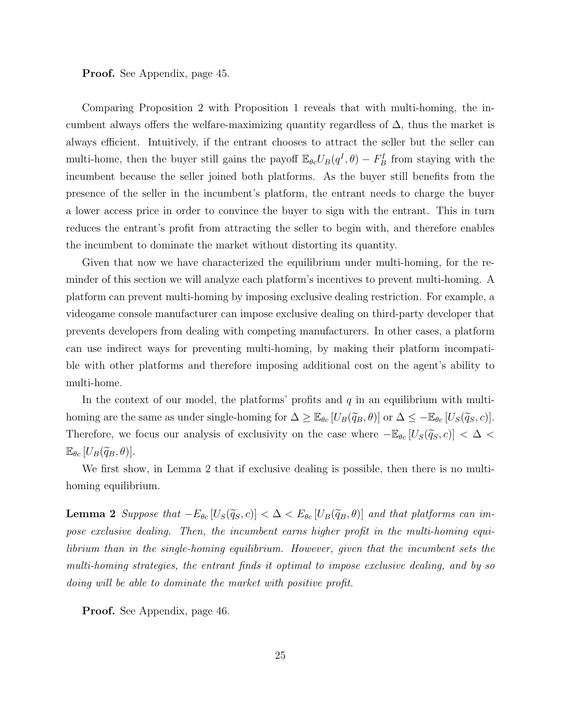Proof. See Appendix, page 45.

Comparing Proposition 2 with Proposition 1 reveals that with multi-homing, the incumbent always offers the welfare-maximizing quantity regardless of  $\Delta$ , thus the market is always efficient. Intuitively, if the entrant chooses to attract the seller but the seller can multi-home, then the buyer still gains the payoff  $\mathbb{E}_{\theta c}U_B(q^I, \theta) - F_B^I$  from staying with the incumbent because the seller joined both platforms. As the buyer still benefits from the presence of the seller in the incumbent's platform, the entrant needs to charge the buyer a lower access price in order to convince the buyer to sign with the entrant. This in turn reduces the entrant's profit from attracting the seller to begin with, and therefore enables the incumbent to dominate the market without distorting its quantity.

Given that now we have characterized the equilibrium under multi-homing, for the reminder of this section we will analyze each platform's incentives to prevent multi-homing. A platform can prevent multi-homing by imposing exclusive dealing restriction. For example, a videogame console manufacturer can impose exclusive dealing on third-party developer that prevents developers from dealing with competing manufacturers. In other cases, a platform can use indirect ways for preventing multi-homing, by making their platform incompatible with other platforms and therefore imposing additional cost on the agent's ability to multi-home.

In the context of our model, the platforms' profits and  $q$  in an equilibrium with multihoming are the same as under single-homing for  $\Delta \geq \mathbb{E}_{\theta_c}[U_B(\tilde{q}_B, \theta)]$  or  $\Delta \leq -\mathbb{E}_{\theta_c}[U_S(\tilde{q}_S, c)]$ . Therefore, we focus our analysis of exclusivity on the case where  $-\mathbb{E}_{\theta c} [U_S(\tilde{q}_S, c)] < \Delta$  $\mathbb{E}_{\theta c} [U_B(\widetilde{q}_B, \theta)].$ 

We first show, in Lemma 2 that if exclusive dealing is possible, then there is no multihoming equilibrium.

**Lemma 2** Suppose that  $-E_{\theta c}[U_{S}(\widetilde{q}_{S}, c)] < \Delta < E_{\theta c}[U_{B}(\widetilde{q}_{B}, \theta)]$  and that platforms can impose exclusive dealing. Then, the incumbent earns higher profit in the multi-homing equilibrium than in the single-homing equilibrium. However, given that the incumbent sets the multi-homing strategies, the entrant finds it optimal to impose exclusive dealing, and by so doing will be able to dominate the market with positive profit.

Proof. See Appendix, page 46.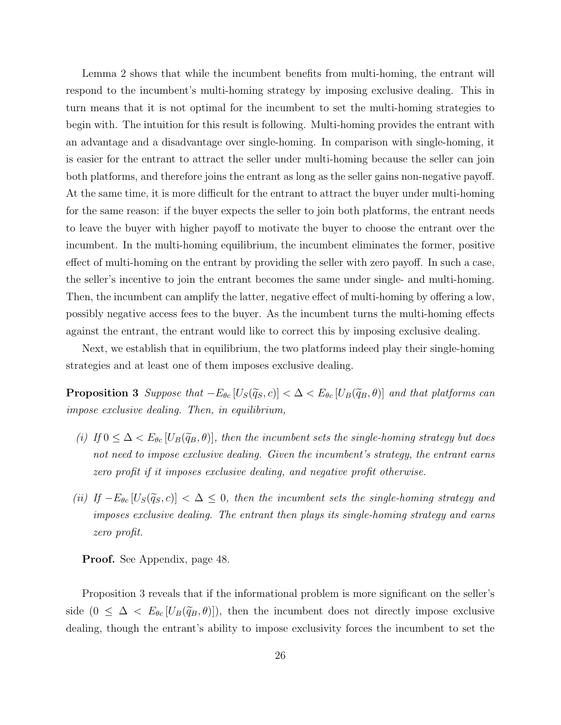Lemma 2 shows that while the incumbent benefits from multi-homing, the entrant will respond to the incumbent's multi-homing strategy by imposing exclusive dealing. This in turn means that it is not optimal for the incumbent to set the multi-homing strategies to begin with. The intuition for this result is following. Multi-homing provides the entrant with an advantage and a disadvantage over single-homing. In comparison with single-homing, it is easier for the entrant to attract the seller under multi-homing because the seller can join both platforms, and therefore joins the entrant as long as the seller gains non-negative payoff. At the same time, it is more difficult for the entrant to attract the buyer under multi-homing for the same reason: if the buyer expects the seller to join both platforms, the entrant needs to leave the buyer with higher payoff to motivate the buyer to choose the entrant over the incumbent. In the multi-homing equilibrium, the incumbent eliminates the former, positive effect of multi-homing on the entrant by providing the seller with zero payoff. In such a case, the seller's incentive to join the entrant becomes the same under single- and multi-homing. Then, the incumbent can amplify the latter, negative effect of multi-homing by offering a low, possibly negative access fees to the buyer. As the incumbent turns the multi-homing effects against the entrant, the entrant would like to correct this by imposing exclusive dealing.

Next, we establish that in equilibrium, the two platforms indeed play their single-homing strategies and at least one of them imposes exclusive dealing.

**Proposition 3** Suppose that  $-E_{\theta c} [U_S(\widetilde{q}_S, c)] < \Delta < E_{\theta c} [U_B(\widetilde{q}_B, \theta)]$  and that platforms can impose exclusive dealing. Then, in equilibrium,

- (i) If  $0 \leq \Delta < E_{\theta c}$  [ $U_B(\tilde{q}_B, \theta)$ ], then the incumbent sets the single-homing strategy but does not need to impose exclusive dealing. Given the incumbent's strategy, the entrant earns zero profit if it imposes exclusive dealing, and negative profit otherwise.
- (ii) If  $-E_{\theta e}[U_{S}(\tilde{q}_{S}, c)] < \Delta \leq 0$ , then the incumbent sets the single-homing strategy and imposes exclusive dealing. The entrant then plays its single-homing strategy and earns zero profit.

Proof. See Appendix, page 48.

Proposition 3 reveals that if the informational problem is more significant on the seller's side  $(0 \leq \Delta < E_{\theta_c}[U_B(\tilde{q}_B, \theta)]$ , then the incumbent does not directly impose exclusive dealing, though the entrant's ability to impose exclusivity forces the incumbent to set the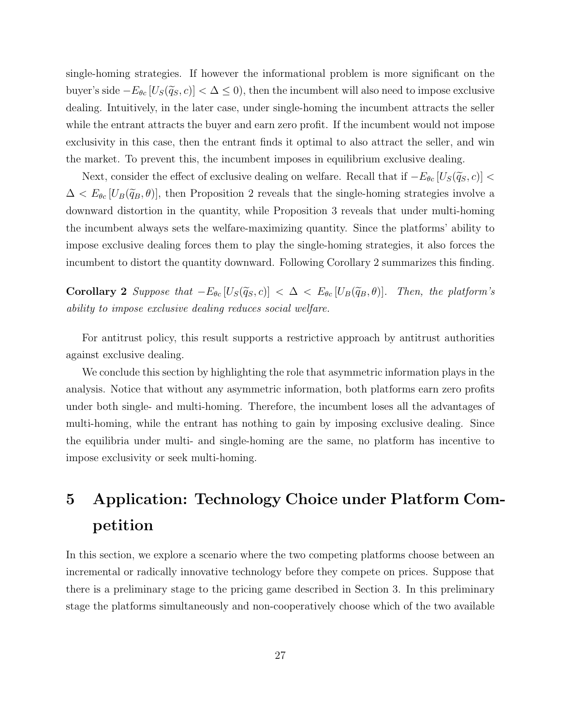single-homing strategies. If however the informational problem is more significant on the buyer's side  $-E_{\theta c}[U_{S}(\tilde{q}_{S}, c)] < \Delta \leq 0$ , then the incumbent will also need to impose exclusive dealing. Intuitively, in the later case, under single-homing the incumbent attracts the seller while the entrant attracts the buyer and earn zero profit. If the incumbent would not impose exclusivity in this case, then the entrant finds it optimal to also attract the seller, and win the market. To prevent this, the incumbent imposes in equilibrium exclusive dealing.

Next, consider the effect of exclusive dealing on welfare. Recall that if  $-E_{\theta c} [U_S(\tilde{q}_S, c)]$  $\Delta < E_{\theta c}$  [ $U_B(\tilde{q}_B, \theta)$ ], then Proposition 2 reveals that the single-homing strategies involve a downward distortion in the quantity, while Proposition 3 reveals that under multi-homing the incumbent always sets the welfare-maximizing quantity. Since the platforms' ability to impose exclusive dealing forces them to play the single-homing strategies, it also forces the incumbent to distort the quantity downward. Following Corollary 2 summarizes this finding.

Corollary 2 Suppose that  $-E_{\theta c}[U_S(\widetilde{q}_S, c)] < \Delta < E_{\theta c}[U_B(\widetilde{q}_B, \theta)]$ . Then, the platform's ability to impose exclusive dealing reduces social welfare.

For antitrust policy, this result supports a restrictive approach by antitrust authorities against exclusive dealing.

We conclude this section by highlighting the role that asymmetric information plays in the analysis. Notice that without any asymmetric information, both platforms earn zero profits under both single- and multi-homing. Therefore, the incumbent loses all the advantages of multi-homing, while the entrant has nothing to gain by imposing exclusive dealing. Since the equilibria under multi- and single-homing are the same, no platform has incentive to impose exclusivity or seek multi-homing.

# 5 Application: Technology Choice under Platform Competition

In this section, we explore a scenario where the two competing platforms choose between an incremental or radically innovative technology before they compete on prices. Suppose that there is a preliminary stage to the pricing game described in Section 3. In this preliminary stage the platforms simultaneously and non-cooperatively choose which of the two available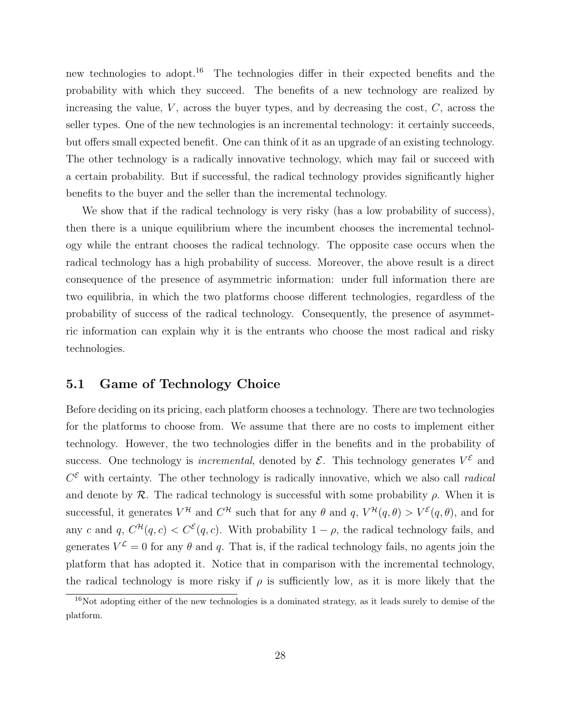new technologies to adopt.<sup>16</sup> The technologies differ in their expected benefits and the probability with which they succeed. The benefits of a new technology are realized by increasing the value,  $V$ , across the buyer types, and by decreasing the cost,  $C$ , across the seller types. One of the new technologies is an incremental technology: it certainly succeeds, but offers small expected benefit. One can think of it as an upgrade of an existing technology. The other technology is a radically innovative technology, which may fail or succeed with a certain probability. But if successful, the radical technology provides significantly higher benefits to the buyer and the seller than the incremental technology.

We show that if the radical technology is very risky (has a low probability of success), then there is a unique equilibrium where the incumbent chooses the incremental technology while the entrant chooses the radical technology. The opposite case occurs when the radical technology has a high probability of success. Moreover, the above result is a direct consequence of the presence of asymmetric information: under full information there are two equilibria, in which the two platforms choose different technologies, regardless of the probability of success of the radical technology. Consequently, the presence of asymmetric information can explain why it is the entrants who choose the most radical and risky technologies.

#### 5.1 Game of Technology Choice

Before deciding on its pricing, each platform chooses a technology. There are two technologies for the platforms to choose from. We assume that there are no costs to implement either technology. However, the two technologies differ in the benefits and in the probability of success. One technology is *incremental*, denoted by  $\mathcal{E}$ . This technology generates  $V^{\mathcal{E}}$  and  $C^{\mathcal{E}}$  with certainty. The other technology is radically innovative, which we also call *radical* and denote by  $\mathcal R$ . The radical technology is successful with some probability  $\rho$ . When it is successful, it generates  $V^{\mathcal{H}}$  and  $C^{\mathcal{H}}$  such that for any  $\theta$  and  $q$ ,  $V^{\mathcal{H}}(q, \theta) > V^{\mathcal{E}}(q, \theta)$ , and for any c and q,  $C^{\mathcal{H}}(q, c) < C^{\mathcal{E}}(q, c)$ . With probability  $1 - \rho$ , the radical technology fails, and generates  $V^{\mathcal{L}} = 0$  for any  $\theta$  and  $q$ . That is, if the radical technology fails, no agents join the platform that has adopted it. Notice that in comparison with the incremental technology, the radical technology is more risky if  $\rho$  is sufficiently low, as it is more likely that the

 $16$ Not adopting either of the new technologies is a dominated strategy, as it leads surely to demise of the platform.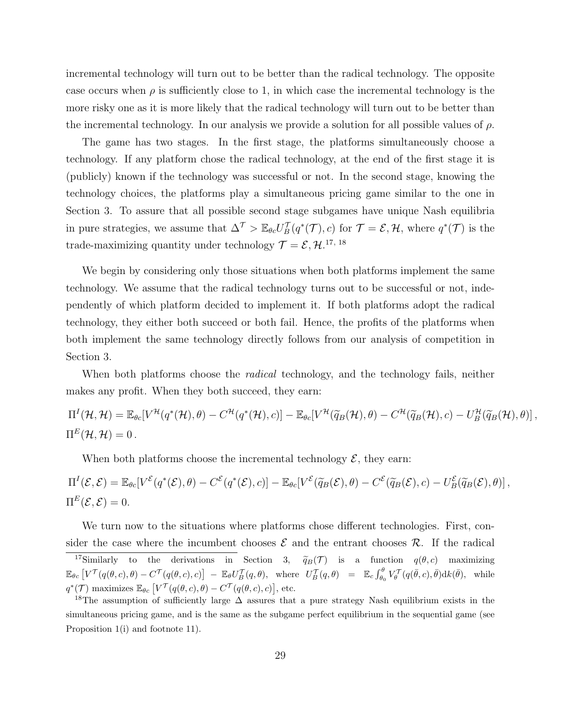incremental technology will turn out to be better than the radical technology. The opposite case occurs when  $\rho$  is sufficiently close to 1, in which case the incremental technology is the more risky one as it is more likely that the radical technology will turn out to be better than the incremental technology. In our analysis we provide a solution for all possible values of  $\rho$ .

The game has two stages. In the first stage, the platforms simultaneously choose a technology. If any platform chose the radical technology, at the end of the first stage it is (publicly) known if the technology was successful or not. In the second stage, knowing the technology choices, the platforms play a simultaneous pricing game similar to the one in Section 3. To assure that all possible second stage subgames have unique Nash equilibria in pure strategies, we assume that  $\Delta^{\mathcal{T}} > \mathbb{E}_{\theta c} U_B^{\mathcal{T}}(q^*(\mathcal{T}), c)$  for  $\mathcal{T} = \mathcal{E}, \mathcal{H}$ , where  $q^*(\mathcal{T})$  is the trade-maximizing quantity under technology  $\mathcal{T} = \mathcal{E}, \mathcal{H}$ .<sup>17, 18</sup>

We begin by considering only those situations when both platforms implement the same technology. We assume that the radical technology turns out to be successful or not, independently of which platform decided to implement it. If both platforms adopt the radical technology, they either both succeed or both fail. Hence, the profits of the platforms when both implement the same technology directly follows from our analysis of competition in Section 3.

When both platforms choose the *radical* technology, and the technology fails, neither makes any profit. When they both succeed, they earn:

 $\Pi^{I}(\mathcal{H},\mathcal{H})=\mathbb{E}_{\theta c}[V^{\mathcal{H}}(q^{*}(\mathcal{H}),\theta)-C^{\mathcal{H}}(q^{*}(\mathcal{H}),c)]-\mathbb{E}_{\theta c}[V^{\mathcal{H}}(\widetilde{q}_{B}(\mathcal{H}),\theta)-C^{\mathcal{H}}(\widetilde{q}_{B}(\mathcal{H}),c)-U_{B}^{\mathcal{H}}(\widetilde{q}_{B}(\mathcal{H}),\theta)],$  $\Pi^E(\mathcal{H},\mathcal{H})=0$  .

When both platforms choose the incremental technology  $\mathcal{E}$ , they earn:

$$
\Pi^{I}(\mathcal{E}, \mathcal{E}) = \mathbb{E}_{\theta c}[V^{\mathcal{E}}(q^{*}(\mathcal{E}), \theta) - C^{\mathcal{E}}(q^{*}(\mathcal{E}), c)] - \mathbb{E}_{\theta c}[V^{\mathcal{E}}(\widetilde{q}_{B}(\mathcal{E}), \theta) - C^{\mathcal{E}}(\widetilde{q}_{B}(\mathcal{E}), c) - U^{\mathcal{E}}_{B}(\widetilde{q}_{B}(\mathcal{E}), \theta)],
$$
  
\n
$$
\Pi^{E}(\mathcal{E}, \mathcal{E}) = 0.
$$

We turn now to the situations where platforms chose different technologies. First, consider the case where the incumbent chooses  $\mathcal E$  and the entrant chooses  $\mathcal R$ . If the radical

<sup>&</sup>lt;sup>17</sup>Similarly to the derivations in Section 3,  $\tilde{q}_B(\mathcal{T})$  is a function  $q(\theta, c)$  maximizing  $\mathbb{E}_{\theta c}\left[V^{\mathcal{T}}(q(\theta, c), \theta) - C^{\mathcal{T}}(q(\theta, c), c)\right] - \mathbb{E}_{\theta} U_{B}^{\mathcal{T}}(q, \theta), \text{ where } U_{B}^{\mathcal{T}}(q, \theta) = \mathbb{E}_{c} \int_{\theta_{0}}^{\theta} V_{\theta}^{\mathcal{T}}(q(\bar{\theta}, c), \bar{\theta}) \mathrm{d}k(\bar{\theta}), \text{ while }$  $q^*(\mathcal{T})$  maximizes  $\mathbb{E}_{\theta c} \left[ V^{\mathcal{T}}(q(\theta, c), \theta) - C^{\mathcal{T}}(q(\theta, c), c) \right],$  etc.

<sup>&</sup>lt;sup>18</sup>The assumption of sufficiently large  $\Delta$  assures that a pure strategy Nash equilibrium exists in the simultaneous pricing game, and is the same as the subgame perfect equilibrium in the sequential game (see Proposition 1(i) and footnote 11).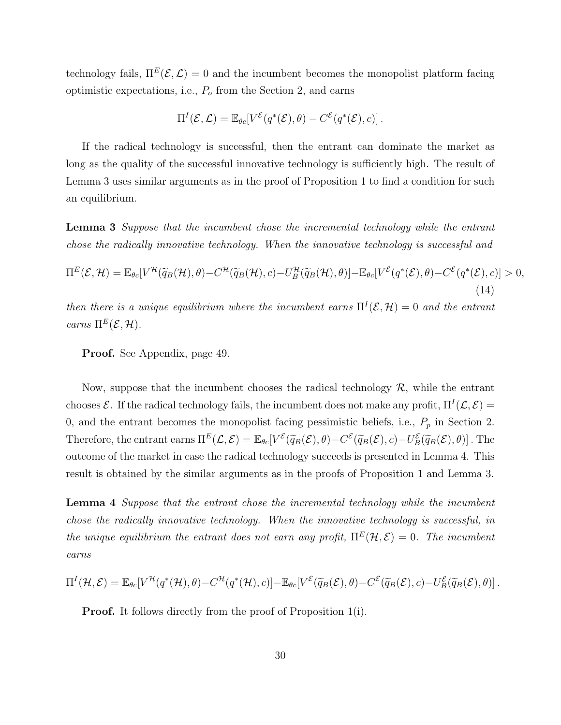technology fails,  $\Pi^E(\mathcal{E}, \mathcal{L}) = 0$  and the incumbent becomes the monopolist platform facing optimistic expectations, i.e.,  $P<sub>o</sub>$  from the Section 2, and earns

$$
\Pi^I(\mathcal{E}, \mathcal{L}) = \mathbb{E}_{\theta c}[V^{\mathcal{E}}(q^*(\mathcal{E}), \theta) - C^{\mathcal{E}}(q^*(\mathcal{E}), c)].
$$

If the radical technology is successful, then the entrant can dominate the market as long as the quality of the successful innovative technology is sufficiently high. The result of Lemma 3 uses similar arguments as in the proof of Proposition 1 to find a condition for such an equilibrium.

Lemma 3 Suppose that the incumbent chose the incremental technology while the entrant chose the radically innovative technology. When the innovative technology is successful and

$$
\Pi^{E}(\mathcal{E},\mathcal{H}) = \mathbb{E}_{\theta c}[V^{\mathcal{H}}(\widetilde{q}_{B}(\mathcal{H}),\theta) - C^{\mathcal{H}}(\widetilde{q}_{B}(\mathcal{H}),c) - U_{B}^{\mathcal{H}}(\widetilde{q}_{B}(\mathcal{H}),\theta)] - \mathbb{E}_{\theta c}[V^{\mathcal{E}}(q^{*}(\mathcal{E}),\theta) - C^{\mathcal{E}}(q^{*}(\mathcal{E}),c)] > 0,
$$
\n(14)

then there is a unique equilibrium where the incumbent earns  $\Pi^I(\mathcal{E}, \mathcal{H}) = 0$  and the entrant earns  $\Pi^E(\mathcal{E}, \mathcal{H})$ .

Proof. See Appendix, page 49.

Now, suppose that the incumbent chooses the radical technology  $\mathcal{R}$ , while the entrant chooses  $\mathcal{E}$ . If the radical technology fails, the incumbent does not make any profit,  $\Pi^I(\mathcal{L}, \mathcal{E}) =$ 0, and the entrant becomes the monopolist facing pessimistic beliefs, i.e.,  $P_p$  in Section 2. Therefore, the entrant earns  $\Pi^{E}(\mathcal{L}, \mathcal{E}) = \mathbb{E}_{\theta c}[V^{\mathcal{E}}(\widetilde{q}_{B}(\mathcal{E}), \theta) - C^{\mathcal{E}}(\widetilde{q}_{B}(\mathcal{E}), c) - U^{\mathcal{E}}_{B}(\widetilde{q}_{B}(\mathcal{E}), \theta)].$  The outcome of the market in case the radical technology succeeds is presented in Lemma 4. This result is obtained by the similar arguments as in the proofs of Proposition 1 and Lemma 3.

Lemma 4 Suppose that the entrant chose the incremental technology while the incumbent chose the radically innovative technology. When the innovative technology is successful, in the unique equilibrium the entrant does not earn any profit,  $\Pi^{E}(\mathcal{H}, \mathcal{E}) = 0$ . The incumbent earns

$$
\Pi^{I}(\mathcal{H},\mathcal{E})=\mathbb{E}_{\theta c}[V^{\mathcal{H}}(q^{*}(\mathcal{H}),\theta)-C^{\mathcal{H}}(q^{*}(\mathcal{H}),c)]-\mathbb{E}_{\theta c}[V^{\mathcal{E}}(\widetilde{q}_{B}(\mathcal{E}),\theta)-C^{\mathcal{E}}(\widetilde{q}_{B}(\mathcal{E}),c)-U^{\mathcal{E}}_{B}(\widetilde{q}_{B}(\mathcal{E}),\theta)].
$$

Proof. It follows directly from the proof of Proposition 1(i).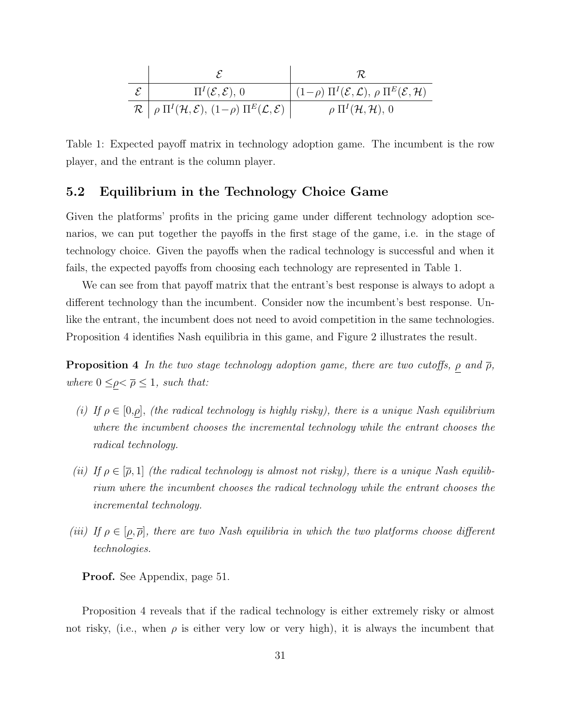| $\Pi^I({\mathcal E},{\mathcal E}),\,0$                                                                     | $\mid (1-\rho) \Pi^{I}(\mathcal{E}, \mathcal{L}), \rho \Pi^{E}(\mathcal{E}, \mathcal{H})\mid$ |
|------------------------------------------------------------------------------------------------------------|-----------------------------------------------------------------------------------------------|
| $\mathcal{R} \mid \rho \Pi^{I}(\mathcal{H}, \mathcal{E}), (1-\rho) \Pi^{E}(\mathcal{L}, \mathcal{E}) \mid$ | $\rho \Pi^I(\mathcal{H},\mathcal{H}), 0$                                                      |

Table 1: Expected payoff matrix in technology adoption game. The incumbent is the row player, and the entrant is the column player.

#### 5.2 Equilibrium in the Technology Choice Game

Given the platforms' profits in the pricing game under different technology adoption scenarios, we can put together the payoffs in the first stage of the game, i.e. in the stage of technology choice. Given the payoffs when the radical technology is successful and when it fails, the expected payoffs from choosing each technology are represented in Table 1.

We can see from that payoff matrix that the entrant's best response is always to adopt a different technology than the incumbent. Consider now the incumbent's best response. Unlike the entrant, the incumbent does not need to avoid competition in the same technologies. Proposition 4 identifies Nash equilibria in this game, and Figure 2 illustrates the result.

**Proposition 4** In the two stage technology adoption game, there are two cutoffs,  $\rho$  and  $\overline{\rho}$ , where  $0 \leq_{\underline{\rho}} < \overline{\rho} \leq 1$ , such that:

- (i) If  $\rho \in [0,\rho]$ , (the radical technology is highly risky), there is a unique Nash equilibrium where the incumbent chooses the incremental technology while the entrant chooses the radical technology.
- (ii) If  $\rho \in [\overline{\rho},1]$  (the radical technology is almost not risky), there is a unique Nash equilibrium where the incumbent chooses the radical technology while the entrant chooses the incremental technology.
- (iii) If  $\rho \in [\rho, \overline{\rho}]$ , there are two Nash equilibria in which the two platforms choose different technologies.

Proof. See Appendix, page 51.

Proposition 4 reveals that if the radical technology is either extremely risky or almost not risky, (i.e., when  $\rho$  is either very low or very high), it is always the incumbent that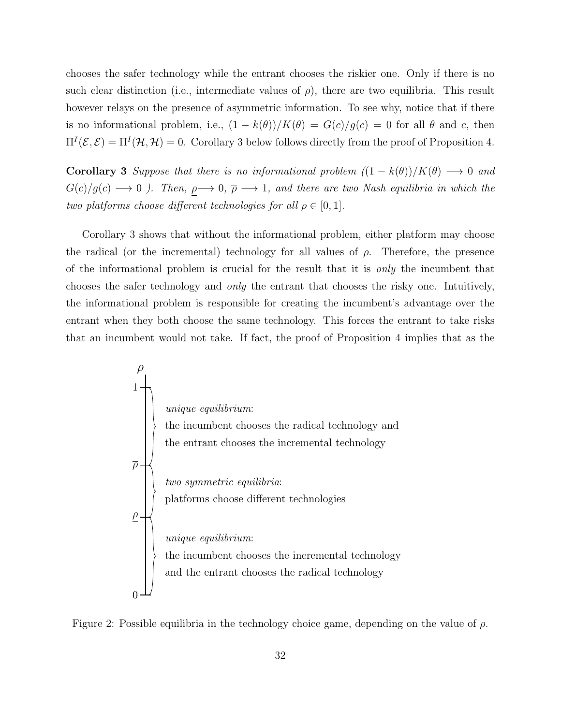chooses the safer technology while the entrant chooses the riskier one. Only if there is no such clear distinction (i.e., intermediate values of  $\rho$ ), there are two equilibria. This result however relays on the presence of asymmetric information. To see why, notice that if there is no informational problem, i.e.,  $(1 - k(\theta))/K(\theta) = G(c)/g(c) = 0$  for all  $\theta$  and c, then  $\Pi^{I}(\mathcal{E}, \mathcal{E}) = \Pi^{I}(\mathcal{H}, \mathcal{H}) = 0.$  Corollary 3 below follows directly from the proof of Proposition 4.

**Corollary 3** Suppose that there is no informational problem  $((1 - k(\theta))/K(\theta) \longrightarrow 0$  and  $G(c)/g(c) \longrightarrow 0$ ). Then,  $\rho \longrightarrow 0$ ,  $\bar{\rho} \longrightarrow 1$ , and there are two Nash equilibria in which the two platforms choose different technologies for all  $\rho \in [0,1]$ .

Corollary 3 shows that without the informational problem, either platform may choose the radical (or the incremental) technology for all values of  $\rho$ . Therefore, the presence of the informational problem is crucial for the result that it is only the incumbent that chooses the safer technology and only the entrant that chooses the risky one. Intuitively, the informational problem is responsible for creating the incumbent's advantage over the entrant when they both choose the same technology. This forces the entrant to take risks that an incumbent would not take. If fact, the proof of Proposition 4 implies that as the



Figure 2: Possible equilibria in the technology choice game, depending on the value of  $\rho$ .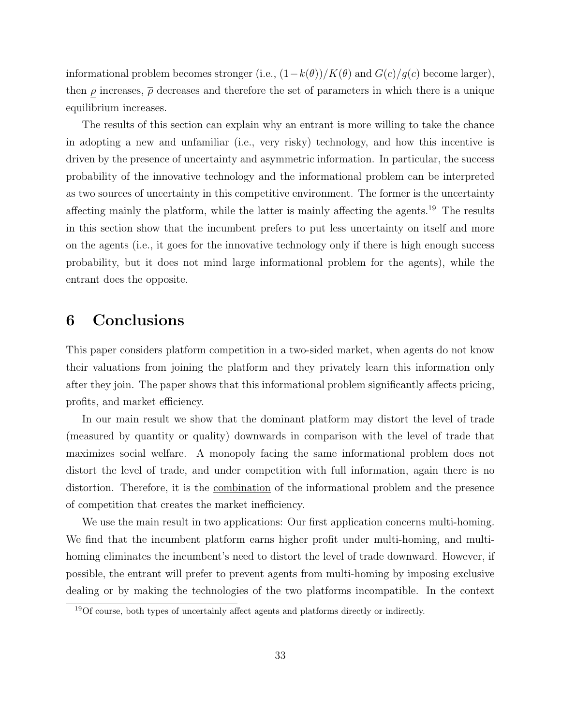informational problem becomes stronger (i.e.,  $(1-k(\theta))/K(\theta)$  and  $G(c)/g(c)$  become larger), then  $\rho$  increases,  $\bar{\rho}$  decreases and therefore the set of parameters in which there is a unique equilibrium increases.

The results of this section can explain why an entrant is more willing to take the chance in adopting a new and unfamiliar (i.e., very risky) technology, and how this incentive is driven by the presence of uncertainty and asymmetric information. In particular, the success probability of the innovative technology and the informational problem can be interpreted as two sources of uncertainty in this competitive environment. The former is the uncertainty affecting mainly the platform, while the latter is mainly affecting the agents.<sup>19</sup> The results in this section show that the incumbent prefers to put less uncertainty on itself and more on the agents (i.e., it goes for the innovative technology only if there is high enough success probability, but it does not mind large informational problem for the agents), while the entrant does the opposite.

# 6 Conclusions

This paper considers platform competition in a two-sided market, when agents do not know their valuations from joining the platform and they privately learn this information only after they join. The paper shows that this informational problem significantly affects pricing, profits, and market efficiency.

In our main result we show that the dominant platform may distort the level of trade (measured by quantity or quality) downwards in comparison with the level of trade that maximizes social welfare. A monopoly facing the same informational problem does not distort the level of trade, and under competition with full information, again there is no distortion. Therefore, it is the combination of the informational problem and the presence of competition that creates the market inefficiency.

We use the main result in two applications: Our first application concerns multi-homing. We find that the incumbent platform earns higher profit under multi-homing, and multihoming eliminates the incumbent's need to distort the level of trade downward. However, if possible, the entrant will prefer to prevent agents from multi-homing by imposing exclusive dealing or by making the technologies of the two platforms incompatible. In the context

<sup>19</sup>Of course, both types of uncertainly affect agents and platforms directly or indirectly.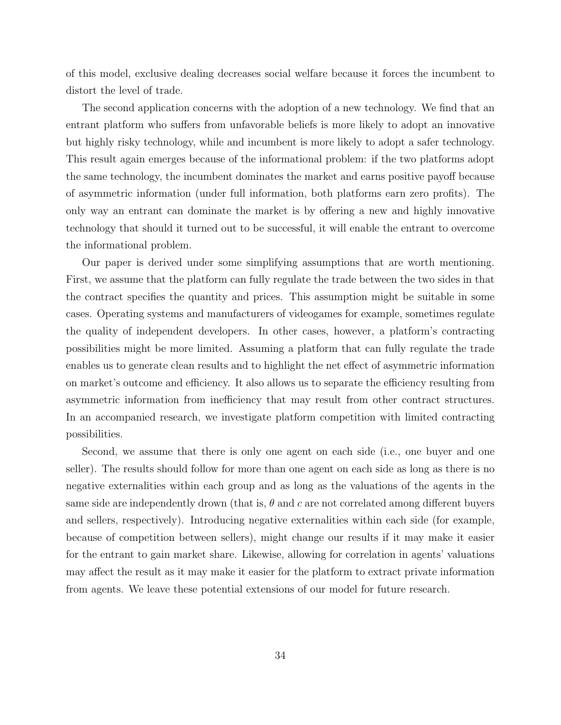of this model, exclusive dealing decreases social welfare because it forces the incumbent to distort the level of trade.

The second application concerns with the adoption of a new technology. We find that an entrant platform who suffers from unfavorable beliefs is more likely to adopt an innovative but highly risky technology, while and incumbent is more likely to adopt a safer technology. This result again emerges because of the informational problem: if the two platforms adopt the same technology, the incumbent dominates the market and earns positive payoff because of asymmetric information (under full information, both platforms earn zero profits). The only way an entrant can dominate the market is by offering a new and highly innovative technology that should it turned out to be successful, it will enable the entrant to overcome the informational problem.

Our paper is derived under some simplifying assumptions that are worth mentioning. First, we assume that the platform can fully regulate the trade between the two sides in that the contract specifies the quantity and prices. This assumption might be suitable in some cases. Operating systems and manufacturers of videogames for example, sometimes regulate the quality of independent developers. In other cases, however, a platform's contracting possibilities might be more limited. Assuming a platform that can fully regulate the trade enables us to generate clean results and to highlight the net effect of asymmetric information on market's outcome and efficiency. It also allows us to separate the efficiency resulting from asymmetric information from inefficiency that may result from other contract structures. In an accompanied research, we investigate platform competition with limited contracting possibilities.

Second, we assume that there is only one agent on each side (i.e., one buyer and one seller). The results should follow for more than one agent on each side as long as there is no negative externalities within each group and as long as the valuations of the agents in the same side are independently drown (that is,  $\theta$  and c are not correlated among different buyers and sellers, respectively). Introducing negative externalities within each side (for example, because of competition between sellers), might change our results if it may make it easier for the entrant to gain market share. Likewise, allowing for correlation in agents' valuations may affect the result as it may make it easier for the platform to extract private information from agents. We leave these potential extensions of our model for future research.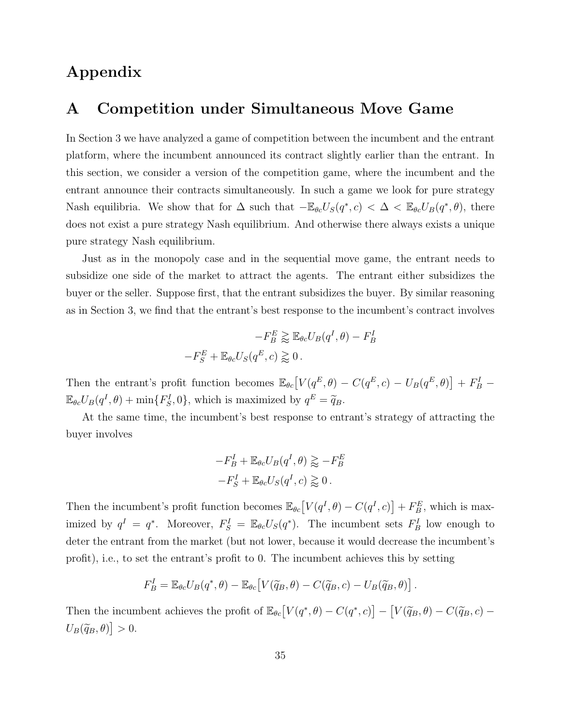## Appendix

# A Competition under Simultaneous Move Game

In Section 3 we have analyzed a game of competition between the incumbent and the entrant platform, where the incumbent announced its contract slightly earlier than the entrant. In this section, we consider a version of the competition game, where the incumbent and the entrant announce their contracts simultaneously. In such a game we look for pure strategy Nash equilibria. We show that for  $\Delta$  such that  $-\mathbb{E}_{\theta c}U_S(q^*, c) < \Delta < \mathbb{E}_{\theta c}U_B(q^*, \theta)$ , there does not exist a pure strategy Nash equilibrium. And otherwise there always exists a unique pure strategy Nash equilibrium.

Just as in the monopoly case and in the sequential move game, the entrant needs to subsidize one side of the market to attract the agents. The entrant either subsidizes the buyer or the seller. Suppose first, that the entrant subsidizes the buyer. By similar reasoning as in Section 3, we find that the entrant's best response to the incumbent's contract involves

$$
-F_B^E \gtrapprox \mathbb{E}_{\theta c} U_B(q^I, \theta) - F_B^I
$$
  

$$
-F_S^E + \mathbb{E}_{\theta c} U_S(q^E, c) \gtrapprox 0.
$$

Then the entrant's profit function becomes  $\mathbb{E}_{\theta c}[V(q^E, \theta) - C(q^E, c) - U_B(q^E, \theta)] + F_B^I$  $\mathbb{E}_{\theta c} U_B(q^I, \theta) + \min\{F_S^I, 0\}$ , which is maximized by  $q^E = \widetilde{q}_B$ .

At the same time, the incumbent's best response to entrant's strategy of attracting the buyer involves

$$
-F_B^I + \mathbb{E}_{\theta c} U_B(q^I, \theta) \gtrapprox -F_B^E
$$
  

$$
-F_S^I + \mathbb{E}_{\theta c} U_S(q^I, c) \gtrapprox 0.
$$

Then the incumbent's profit function becomes  $\mathbb{E}_{\theta c}[V(q^I, \theta) - C(q^I, c)] + F_B^E$ , which is maximized by  $q^I = q^*$ . Moreover,  $F_S^I = \mathbb{E}_{\theta c} U_S(q^*)$ . The incumbent sets  $F_B^I$  low enough to deter the entrant from the market (but not lower, because it would decrease the incumbent's profit), i.e., to set the entrant's profit to 0. The incumbent achieves this by setting

$$
F_B^I = \mathbb{E}_{\theta c} U_B(q^*, \theta) - \mathbb{E}_{\theta c} \big[ V(\widetilde{q}_B, \theta) - C(\widetilde{q}_B, c) - U_B(\widetilde{q}_B, \theta) \big].
$$

Then the incumbent achieves the profit of  $\mathbb{E}_{\theta c}[V(q^*, \theta) - C(q^*, c)] - [V(\tilde{q}_B, \theta) - C(\tilde{q}_B, c) U_B(\widetilde{q}_B, \theta)\big] > 0.$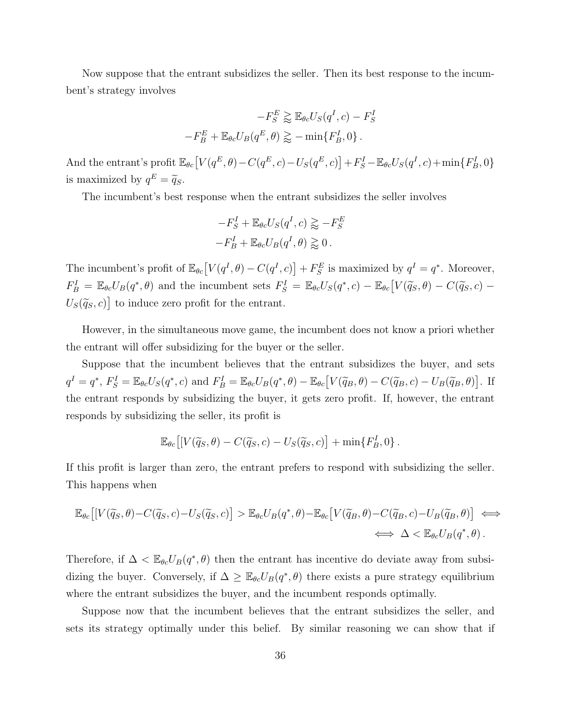Now suppose that the entrant subsidizes the seller. Then its best response to the incumbent's strategy involves

$$
-F_S^E \gtrapprox \mathbb{E}_{\theta c} U_S(q^I, c) - F_S^I
$$

$$
-F_B^E + \mathbb{E}_{\theta c} U_B(q^E, \theta) \gtrsim -\min\{F_B^I, 0\}.
$$

And the entrant's profit  $\mathbb{E}_{\theta c} \left[ V(q^E, \theta) - C(q^E, c) - U_S(q^E, c) \right] + F_S^I - \mathbb{E}_{\theta c} U_S(q^I, c) + \min \{ F_B^I, 0 \}$ is maximized by  $q^E = \tilde{q}_S$ .

The incumbent's best response when the entrant subsidizes the seller involves

$$
-F_S^I + \mathbb{E}_{\theta c} U_S(q^I, c) \gtrapprox -F_S^E
$$

$$
-F_B^I + \mathbb{E}_{\theta c} U_B(q^I, \theta) \gtrapprox 0.
$$

The incumbent's profit of  $\mathbb{E}_{\theta c}[V(q^I, \theta) - C(q^I, c)] + F_S^E$  is maximized by  $q^I = q^*$ . Moreover,  $F_B^I = \mathbb{E}_{\theta c} U_B(q^*, \theta)$  and the incumbent sets  $F_S^I = \mathbb{E}_{\theta c} U_S(q^*, c) - \mathbb{E}_{\theta c} [V(\widetilde{q}_S, \theta) - C(\widetilde{q}_S, c) U_S(\widetilde{q}_S, c)$  to induce zero profit for the entrant.

However, in the simultaneous move game, the incumbent does not know a priori whether the entrant will offer subsidizing for the buyer or the seller.

Suppose that the incumbent believes that the entrant subsidizes the buyer, and sets  $q^I = q^*, F_S^I = \mathbb{E}_{\theta c} U_S(q^*, c)$  and  $F_B^I = \mathbb{E}_{\theta c} U_B(q^*, \theta) - \mathbb{E}_{\theta c} [V(\widetilde{q}_B, \theta) - C(\widetilde{q}_B, c) - U_B(\widetilde{q}_B, \theta)].$  If the entrant responds by subsidizing the buyer, it gets zero profit. If, however, the entrant responds by subsidizing the seller, its profit is

$$
\mathbb{E}_{\theta c}\big[ [V(\widetilde{q}_S,\theta) - C(\widetilde{q}_S,c) - U_S(\widetilde{q}_S,c) \big] + \min \{F_B^I,0\}.
$$

If this profit is larger than zero, the entrant prefers to respond with subsidizing the seller. This happens when

$$
\mathbb{E}_{\theta c} \big[ [V(\widetilde{q}_S, \theta) - C(\widetilde{q}_S, c) - U_S(\widetilde{q}_S, c) \big] > \mathbb{E}_{\theta c} U_B(q^*, \theta) - \mathbb{E}_{\theta c} \big[ V(\widetilde{q}_B, \theta) - C(\widetilde{q}_B, c) - U_B(\widetilde{q}_B, \theta) \big] \iff
$$
  

$$
\iff \Delta < \mathbb{E}_{\theta c} U_B(q^*, \theta).
$$

Therefore, if  $\Delta < \mathbb{E}_{\theta c} U_B(q^*, \theta)$  then the entrant has incentive do deviate away from subsidizing the buyer. Conversely, if  $\Delta \geq \mathbb{E}_{\theta c} U_B(q^*, \theta)$  there exists a pure strategy equilibrium where the entrant subsidizes the buyer, and the incumbent responds optimally.

Suppose now that the incumbent believes that the entrant subsidizes the seller, and sets its strategy optimally under this belief. By similar reasoning we can show that if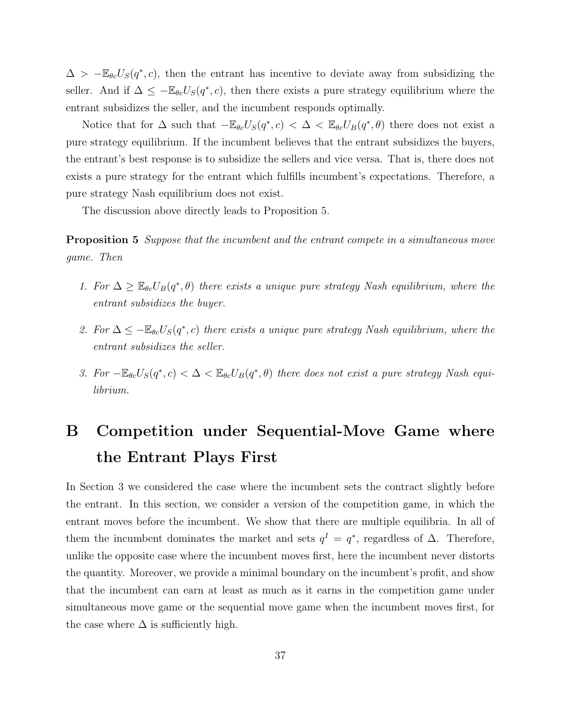$\Delta > -\mathbb{E}_{\theta c}U_S(q^*, c)$ , then the entrant has incentive to deviate away from subsidizing the seller. And if  $\Delta \leq -\mathbb{E}_{\theta c}U_{S}(q^*, c)$ , then there exists a pure strategy equilibrium where the entrant subsidizes the seller, and the incumbent responds optimally.

Notice that for  $\Delta$  such that  $-\mathbb{E}_{\theta c}U_S(q^*, c) < \Delta < \mathbb{E}_{\theta c}U_B(q^*, \theta)$  there does not exist a pure strategy equilibrium. If the incumbent believes that the entrant subsidizes the buyers, the entrant's best response is to subsidize the sellers and vice versa. That is, there does not exists a pure strategy for the entrant which fulfills incumbent's expectations. Therefore, a pure strategy Nash equilibrium does not exist.

The discussion above directly leads to Proposition 5.

**Proposition 5** Suppose that the incumbent and the entrant compete in a simultaneous move game. Then

- 1. For  $\Delta \geq \mathbb{E}_{\theta c}U_B(q^*,\theta)$  there exists a unique pure strategy Nash equilibrium, where the entrant subsidizes the buyer.
- 2. For  $\Delta \leq -\mathbb{E}_{\theta c}U_S(q^*, c)$  there exists a unique pure strategy Nash equilibrium, where the entrant subsidizes the seller.
- 3. For  $-\mathbb{E}_{\theta c}U_S(q^*, c) < \Delta < \mathbb{E}_{\theta c}U_B(q^*, \theta)$  there does not exist a pure strategy Nash equilibrium.

# B Competition under Sequential-Move Game where the Entrant Plays First

In Section 3 we considered the case where the incumbent sets the contract slightly before the entrant. In this section, we consider a version of the competition game, in which the entrant moves before the incumbent. We show that there are multiple equilibria. In all of them the incumbent dominates the market and sets  $q^I = q^*$ , regardless of  $\Delta$ . Therefore, unlike the opposite case where the incumbent moves first, here the incumbent never distorts the quantity. Moreover, we provide a minimal boundary on the incumbent's profit, and show that the incumbent can earn at least as much as it earns in the competition game under simultaneous move game or the sequential move game when the incumbent moves first, for the case where  $\Delta$  is sufficiently high.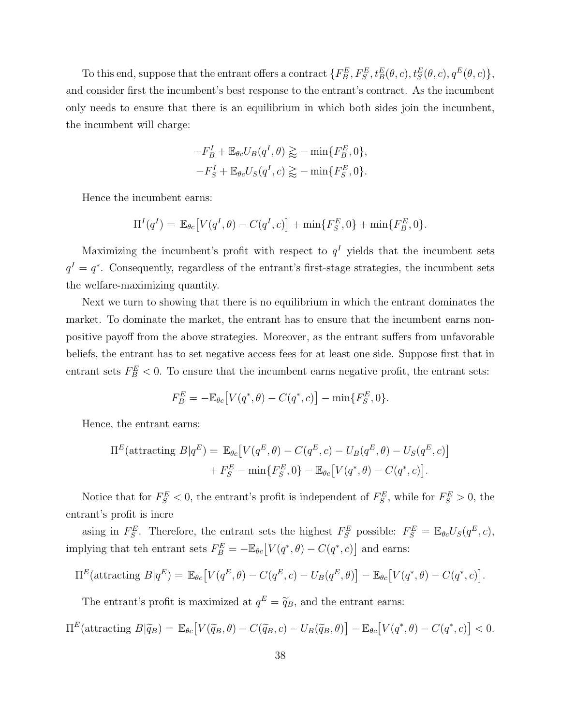To this end, suppose that the entrant offers a contract  $\{F_B^E, F_S^E, t_B^E(\theta, c), t_S^E(\theta, c), q^E(\theta, c)\},$ and consider first the incumbent's best response to the entrant's contract. As the incumbent only needs to ensure that there is an equilibrium in which both sides join the incumbent, the incumbent will charge:

$$
-F_B^I + \mathbb{E}_{\theta c} U_B(q^I, \theta) \gtrsim -\min\{F_B^E, 0\},
$$
  

$$
-F_S^I + \mathbb{E}_{\theta c} U_S(q^I, c) \gtrsim -\min\{F_S^E, 0\}.
$$

Hence the incumbent earns:

$$
\Pi^{I}(q^{I}) = \mathbb{E}_{\theta c}[V(q^{I}, \theta) - C(q^{I}, c)] + \min\{F_{S}^{E}, 0\} + \min\{F_{B}^{E}, 0\}.
$$

Maximizing the incumbent's profit with respect to  $q<sup>I</sup>$  yields that the incumbent sets  $q<sup>I</sup> = q<sup>*</sup>$ . Consequently, regardless of the entrant's first-stage strategies, the incumbent sets the welfare-maximizing quantity.

Next we turn to showing that there is no equilibrium in which the entrant dominates the market. To dominate the market, the entrant has to ensure that the incumbent earns nonpositive payoff from the above strategies. Moreover, as the entrant suffers from unfavorable beliefs, the entrant has to set negative access fees for at least one side. Suppose first that in entrant sets  $F_B^E < 0$ . To ensure that the incumbent earns negative profit, the entrant sets:

$$
F_B^E = -\mathbb{E}_{\theta c} [V(q^*, \theta) - C(q^*, c)] - \min\{F_S^E, 0\}.
$$

Hence, the entrant earns:

$$
\Pi^{E}(\text{attracting }B|q^{E}) = \mathbb{E}_{\theta c} [V(q^{E}, \theta) - C(q^{E}, c) - U_{B}(q^{E}, \theta) - U_{S}(q^{E}, c)]
$$

$$
+ F_{S}^{E} - \min\{F_{S}^{E}, 0\} - \mathbb{E}_{\theta c} [V(q^{*}, \theta) - C(q^{*}, c)].
$$

Notice that for  $F_S^E < 0$ , the entrant's profit is independent of  $F_S^E$ , while for  $F_S^E > 0$ , the entrant's profit is incre

asing in  $F_S^E$ . Therefore, the entrant sets the highest  $F_S^E$  possible:  $F_S^E = \mathbb{E}_{\theta c} U_S(q^E, c)$ , implying that teh entrant sets  $F_B^E = -\mathbb{E}_{\theta c} [V(q^*, \theta) - C(q^*, c)]$  and earns:

$$
\Pi^{E}(\text{attracting }B|q^{E}) = \mathbb{E}_{\theta c}[V(q^{E}, \theta) - C(q^{E}, c) - U_{B}(q^{E}, \theta)] - \mathbb{E}_{\theta c}[V(q^{*}, \theta) - C(q^{*}, c)].
$$

The entrant's profit is maximized at  $q^E = \tilde{q}_B$ , and the entrant earns:

 $\Pi^{E}(\text{attracting } B|\tilde{q}_{B}) = \mathbb{E}_{\theta c}[V(\tilde{q}_{B}, \theta) - C(\tilde{q}_{B}, c) - U_{B}(\tilde{q}_{B}, \theta)] - \mathbb{E}_{\theta c}[V(q^*, \theta) - C(q^*, c)] < 0.$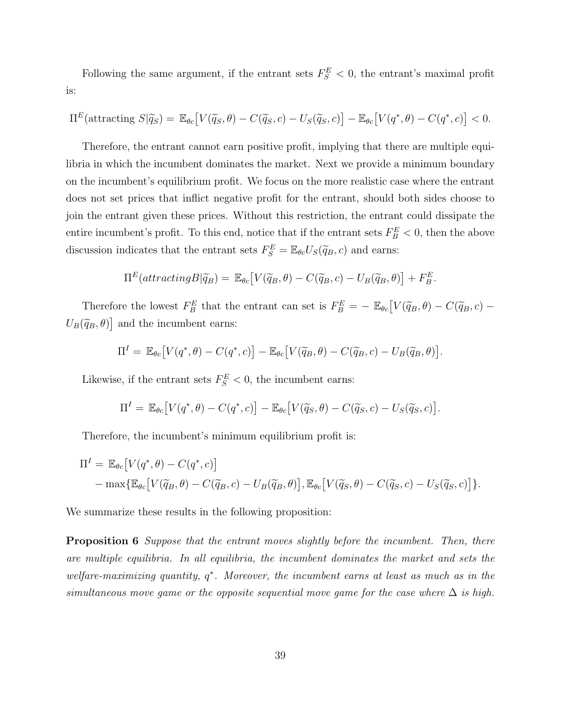Following the same argument, if the entrant sets  $F_S^E < 0$ , the entrant's maximal profit is:

$$
\Pi^{E}(\text{attracting }S|\widetilde{q}_{S}) = \mathbb{E}_{\theta c}\big[V(\widetilde{q}_{S},\theta) - C(\widetilde{q}_{S},c) - U_{S}(\widetilde{q}_{S},c)\big] - \mathbb{E}_{\theta c}\big[V(q^{*},\theta) - C(q^{*},c)\big] < 0.
$$

Therefore, the entrant cannot earn positive profit, implying that there are multiple equilibria in which the incumbent dominates the market. Next we provide a minimum boundary on the incumbent's equilibrium profit. We focus on the more realistic case where the entrant does not set prices that inflict negative profit for the entrant, should both sides choose to join the entrant given these prices. Without this restriction, the entrant could dissipate the entire incumbent's profit. To this end, notice that if the entrant sets  $F_B^E < 0$ , then the above discussion indicates that the entrant sets  $F_S^E = \mathbb{E}_{\theta c} U_S(\tilde{q}_B, c)$  and earns:

$$
\Pi^{E}(attracting B|\widetilde{q}_{B}) = \mathbb{E}_{\theta c}\big[V(\widetilde{q}_{B},\theta) - C(\widetilde{q}_{B},c) - U_{B}(\widetilde{q}_{B},\theta)\big] + F_{B}^{E}.
$$

Therefore the lowest  $F_B^E$  that the entrant can set is  $F_B^E = - \mathbb{E}_{\theta c} [V(\tilde{q}_B, \theta) - C(\tilde{q}_B, c) U_B(\widetilde{q}_B, \theta)$  and the incumbent earns:

$$
\Pi^{I} = \mathbb{E}_{\theta c} [V(q^*, \theta) - C(q^*, c)] - \mathbb{E}_{\theta c} [V(\widetilde{q}_B, \theta) - C(\widetilde{q}_B, c) - U_B(\widetilde{q}_B, \theta)].
$$

Likewise, if the entrant sets  $F_S^E < 0$ , the incumbent earns:

$$
\Pi^{I} = \mathbb{E}_{\theta c} \big[ V(q^*, \theta) - C(q^*, c) \big] - \mathbb{E}_{\theta c} \big[ V(\widetilde{q}_S, \theta) - C(\widetilde{q}_S, c) - U_S(\widetilde{q}_S, c) \big].
$$

Therefore, the incumbent's minimum equilibrium profit is:

$$
\Pi^{I} = \mathbb{E}_{\theta c} [V(q^*, \theta) - C(q^*, c)]
$$
  
- max{ $\mathbb{E}_{\theta c} [V(\tilde{q}_B, \theta) - C(\tilde{q}_B, c) - U_B(\tilde{q}_B, \theta)], \mathbb{E}_{\theta c} [V(\tilde{q}_S, \theta) - C(\tilde{q}_S, c) - U_S(\tilde{q}_S, c)]}.$ 

We summarize these results in the following proposition:

**Proposition 6** Suppose that the entrant moves slightly before the incumbent. Then, there are multiple equilibria. In all equilibria, the incumbent dominates the market and sets the welfare-maximizing quantity,  $q^*$ . Moreover, the incumbent earns at least as much as in the simultaneous move game or the opposite sequential move game for the case where  $\Delta$  is high.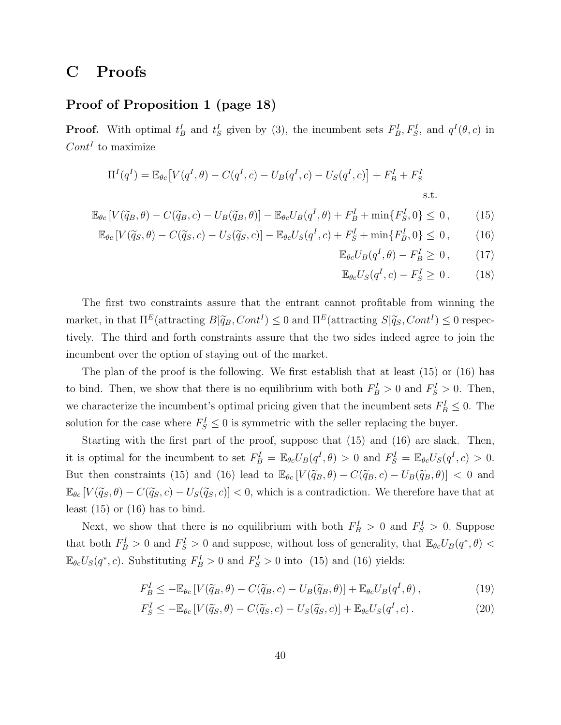### C Proofs

#### Proof of Proposition 1 (page 18)

**Proof.** With optimal  $t_B^I$  and  $t_S^I$  given by (3), the incumbent sets  $F_B^I, F_S^I$ , and  $q^I(\theta, c)$  in  $Cont<sup>I</sup>$  to maximize

$$
\Pi^{I}(q^{I}) = \mathbb{E}_{\theta c}[V(q^{I}, \theta) - C(q^{I}, c) - U_{B}(q^{I}, c) - U_{S}(q^{I}, c)] + F_{B}^{I} + F_{S}^{I}
$$
  
s.t.

$$
\mathbb{E}_{\theta c}\left[V(\widetilde{q}_B,\theta) - C(\widetilde{q}_B,c) - U_B(\widetilde{q}_B,\theta)\right] - \mathbb{E}_{\theta c}U_B(q^I,\theta) + F_B^I + \min\{F_S^I,0\} \le 0, \quad (15)
$$

$$
\mathbb{E}_{\theta c}\left[V(\widetilde{q}_S,\theta) - C(\widetilde{q}_S,c) - U_S(\widetilde{q}_S,c)\right] - \mathbb{E}_{\theta c}U_S(q^I,c) + F_S^I + \min\{F_B^I,0\} \leq 0, \quad (16)
$$

$$
\mathbb{E}_{\theta c} U_B(q^I, \theta) - F_B^I \geq 0, \qquad (17)
$$

$$
\mathbb{E}_{\theta c} U_S(q^I, c) - F_S^I \ge 0. \tag{18}
$$

The first two constraints assure that the entrant cannot profitable from winning the market, in that  $\Pi^E(\text{attracting } B|\tilde{q}_B, Cont^I) \leq 0$  and  $\Pi^E(\text{attracting } S|\tilde{q}_S, Cont^I) \leq 0$  respectively. The third and forth constraints assure that the two sides indeed agree to join the incumbent over the option of staying out of the market.

The plan of the proof is the following. We first establish that at least (15) or (16) has to bind. Then, we show that there is no equilibrium with both  $F_B^I > 0$  and  $F_S^I > 0$ . Then, we characterize the incumbent's optimal pricing given that the incumbent sets  $F_B^I \leq 0$ . The solution for the case where  $F_S^I \leq 0$  is symmetric with the seller replacing the buyer.

Starting with the first part of the proof, suppose that (15) and (16) are slack. Then, it is optimal for the incumbent to set  $F_B^I = \mathbb{E}_{\theta_c} U_B(q^I, \theta) > 0$  and  $F_S^I = \mathbb{E}_{\theta_c} U_S(q^I, c) > 0$ . But then constraints (15) and (16) lead to  $\mathbb{E}_{\theta_c}[V(\tilde{q}_B, \theta) - C(\tilde{q}_B, c) - U_B(\tilde{q}_B, \theta)] < 0$  and  $\mathbb{E}_{\theta c}\left[V(\tilde{q}_S,\theta)-C(\tilde{q}_S,c)-U_S(\tilde{q}_S,c)\right]<0$ , which is a contradiction. We therefore have that at least  $(15)$  or  $(16)$  has to bind.

Next, we show that there is no equilibrium with both  $F_B^I > 0$  and  $F_S^I > 0$ . Suppose that both  $F_B^I > 0$  and  $F_S^I > 0$  and suppose, without loss of generality, that  $\mathbb{E}_{\theta c}U_B(q^*,\theta)$  $\mathbb{E}_{\theta c}U_S(q^*, c)$ . Substituting  $F_B^I > 0$  and  $F_S^I > 0$  into (15) and (16) yields:

$$
F_B^I \le -\mathbb{E}_{\theta c} \left[ V(\tilde{q}_B, \theta) - C(\tilde{q}_B, c) - U_B(\tilde{q}_B, \theta) \right] + \mathbb{E}_{\theta c} U_B(q^I, \theta) ,\tag{19}
$$

$$
F_S^I \le -\mathbb{E}_{\theta c} \left[ V(\tilde{q}_S, \theta) - C(\tilde{q}_S, c) - U_S(\tilde{q}_S, c) \right] + \mathbb{E}_{\theta c} U_S(q^I, c).
$$
 (20)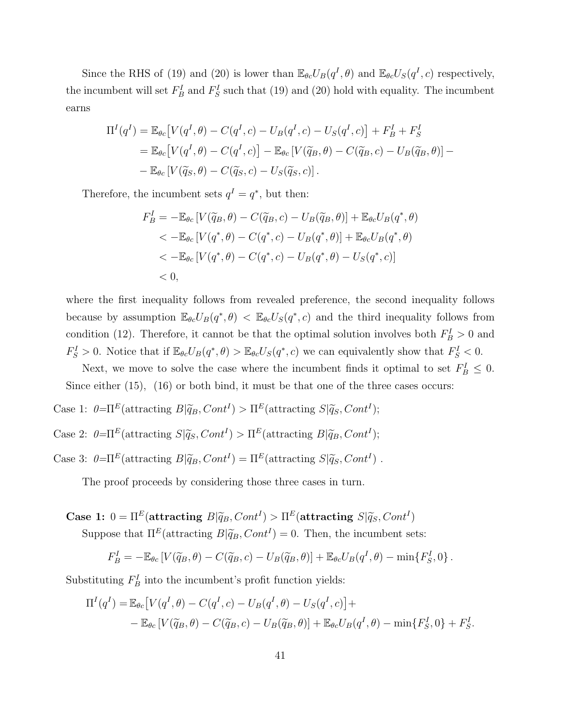Since the RHS of (19) and (20) is lower than  $\mathbb{E}_{\theta_c}U_B(q^I,\theta)$  and  $\mathbb{E}_{\theta_c}U_S(q^I,c)$  respectively, the incumbent will set  $F_B^I$  and  $F_S^I$  such that (19) and (20) hold with equality. The incumbent earns

$$
\Pi^{I}(q^{I}) = \mathbb{E}_{\theta c}[V(q^{I}, \theta) - C(q^{I}, c) - U_{B}(q^{I}, c) - U_{S}(q^{I}, c)] + F_{B}^{I} + F_{S}^{I}
$$
  
= 
$$
\mathbb{E}_{\theta c}[V(q^{I}, \theta) - C(q^{I}, c)] - \mathbb{E}_{\theta c}[V(\widetilde{q}_{B}, \theta) - C(\widetilde{q}_{B}, c) - U_{B}(\widetilde{q}_{B}, \theta)] -
$$
  
- 
$$
\mathbb{E}_{\theta c}[V(\widetilde{q}_{S}, \theta) - C(\widetilde{q}_{S}, c) - U_{S}(\widetilde{q}_{S}, c)].
$$

Therefore, the incumbent sets  $q^I = q^*$ , but then:

$$
F_B^I = -\mathbb{E}_{\theta c} \left[ V(\widetilde{q}_B, \theta) - C(\widetilde{q}_B, c) - U_B(\widetilde{q}_B, \theta) \right] + \mathbb{E}_{\theta c} U_B(q^*, \theta)
$$
  

$$
< -\mathbb{E}_{\theta c} \left[ V(q^*, \theta) - C(q^*, c) - U_B(q^*, \theta) \right] + \mathbb{E}_{\theta c} U_B(q^*, \theta)
$$
  

$$
< -\mathbb{E}_{\theta c} \left[ V(q^*, \theta) - C(q^*, c) - U_B(q^*, \theta) - U_S(q^*, c) \right]
$$
  

$$
< 0,
$$

where the first inequality follows from revealed preference, the second inequality follows because by assumption  $\mathbb{E}_{\theta c}U_B(q^*,\theta) < \mathbb{E}_{\theta c}U_S(q^*,c)$  and the third inequality follows from condition (12). Therefore, it cannot be that the optimal solution involves both  $F_B^I > 0$  and  $F_S^I > 0$ . Notice that if  $\mathbb{E}_{\theta c} U_B(q^*, \theta) > \mathbb{E}_{\theta c} U_S(q^*, c)$  we can equivalently show that  $F_S^I < 0$ .

Next, we move to solve the case where the incumbent finds it optimal to set  $F_B^I \leq 0$ . Since either (15), (16) or both bind, it must be that one of the three cases occurs:

Case 1:  $\theta = \Pi^E(\text{attracting } B|\tilde{q}_B, Cont^I) > \Pi^E(\text{attracting } S|\tilde{q}_S, Cont^I);$ 

Case 2:  $\theta = \Pi^E(\text{attracting } S | \tilde{q}_S, Cont^I) > \Pi^E(\text{attracting } B | \tilde{q}_B, Cont^I);$ 

Case 3:  $\theta = \Pi^E(\text{attracting } B|\tilde{q}_B, Cont^I) = \Pi^E(\text{attracting } S|\tilde{q}_S, Cont^I)$ .

The proof proceeds by considering those three cases in turn.

Case 1: 
$$
0 = \Pi^E
$$
(attracting  $B|\tilde{q}_B, Cont^I| > \Pi^E$ (attracting  $S|\tilde{q}_S, Cont^I|$ )

Suppose that  $\Pi^E(\text{attracting } B|\tilde{q}_B, Cont^I) = 0$ . Then, the incumbent sets:

$$
F_B^I = -\mathbb{E}_{\theta c} \left[ V(\widetilde{q}_B, \theta) - C(\widetilde{q}_B, c) - U_B(\widetilde{q}_B, \theta) \right] + \mathbb{E}_{\theta c} U_B(q^I, \theta) - \min \{ F_S^I, 0 \}.
$$

Substituting  $F_B^I$  into the incumbent's profit function yields:

$$
\Pi^{I}(q^{I}) = \mathbb{E}_{\theta c} [V(q^{I}, \theta) - C(q^{I}, c) - U_{B}(q^{I}, \theta) - U_{S}(q^{I}, c)] +
$$
  
- 
$$
\mathbb{E}_{\theta c} [V(\widetilde{q}_{B}, \theta) - C(\widetilde{q}_{B}, c) - U_{B}(\widetilde{q}_{B}, \theta)] + \mathbb{E}_{\theta c} U_{B}(q^{I}, \theta) - \min\{F_{S}^{I}, 0\} + F_{S}^{I}.
$$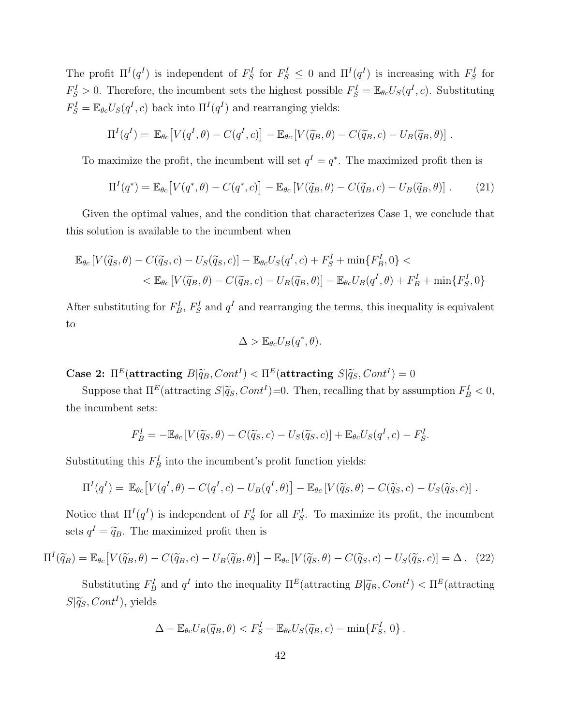The profit  $\Pi^I(q^I)$  is independent of  $F_S^I$  for  $F_S^I \leq 0$  and  $\Pi^I(q^I)$  is increasing with  $F_S^I$  for  $F_S^I > 0$ . Therefore, the incumbent sets the highest possible  $F_S^I = \mathbb{E}_{\theta c} U_S(q^I, c)$ . Substituting  $F_S^I = \mathbb{E}_{\theta c} U_S(q^I, c)$  back into  $\Pi^I(q^I)$  and rearranging yields:

$$
\Pi^{I}(q^{I}) = \mathbb{E}_{\theta c}[V(q^{I}, \theta) - C(q^{I}, c)] - \mathbb{E}_{\theta c}[V(\widetilde{q}_{B}, \theta) - C(\widetilde{q}_{B}, c) - U_{B}(\widetilde{q}_{B}, \theta)].
$$

To maximize the profit, the incumbent will set  $q^I = q^*$ . The maximized profit then is

$$
\Pi^{I}(q^{*}) = \mathbb{E}_{\theta c}\big[V(q^{*},\theta) - C(q^{*},c)\big] - \mathbb{E}_{\theta c}\big[V(\widetilde{q}_{B},\theta) - C(\widetilde{q}_{B},c) - U_{B}(\widetilde{q}_{B},\theta)\big].
$$
 (21)

Given the optimal values, and the condition that characterizes Case 1, we conclude that this solution is available to the incumbent when

$$
\mathbb{E}_{\theta c} \left[ V(\widetilde{q}_S, \theta) - C(\widetilde{q}_S, c) - U_S(\widetilde{q}_S, c) \right] - \mathbb{E}_{\theta c} U_S(q^I, c) + F_S^I + \min \{ F_B^I, 0 \} \n< \mathbb{E}_{\theta c} \left[ V(\widetilde{q}_B, \theta) - C(\widetilde{q}_B, c) - U_B(\widetilde{q}_B, \theta) \right] - \mathbb{E}_{\theta c} U_B(q^I, \theta) + F_B^I + \min \{ F_S^I, 0 \}
$$

After substituting for  $F_B^I$ ,  $F_S^I$  and  $q^I$  and rearranging the terms, this inequality is equivalent to

$$
\Delta > \mathbb{E}_{\theta c} U_B(q^*, \theta).
$$

Case 2:  $\Pi^E(\text{attracting } B|\tilde{q}_B, Cont^I) < \Pi^E(\text{attracting } S|\tilde{q}_S, Cont^I) = 0$ 

Suppose that  $\Pi^E(\text{attracting } S|\tilde{q}_S, Cont^I) = 0$ . Then, recalling that by assumption  $F^I_B < 0$ , the incumbent sets:

$$
F_B^I = -\mathbb{E}_{\theta c} \left[ V(\widetilde{q}_S, \theta) - C(\widetilde{q}_S, c) - U_S(\widetilde{q}_S, c) \right] + \mathbb{E}_{\theta c} U_S(q^I, c) - F_S^I.
$$

Substituting this  $F_B^I$  into the incumbent's profit function yields:

$$
\Pi^I(q^I) = \mathbb{E}_{\theta c} [V(q^I, \theta) - C(q^I, c) - U_B(q^I, \theta)] - \mathbb{E}_{\theta c} [V(\widetilde{q}_S, \theta) - C(\widetilde{q}_S, c) - U_S(\widetilde{q}_S, c)].
$$

Notice that  $\Pi^{I}(q^{I})$  is independent of  $F_{S}^{I}$  for all  $F_{S}^{I}$ . To maximize its profit, the incumbent sets  $q^I = \tilde{q}_B$ . The maximized profit then is

$$
\Pi^{I}(\widetilde{q}_{B}) = \mathbb{E}_{\theta c} \big[ V(\widetilde{q}_{B}, \theta) - C(\widetilde{q}_{B}, c) - U_{B}(\widetilde{q}_{B}, \theta) \big] - \mathbb{E}_{\theta c} \big[ V(\widetilde{q}_{S}, \theta) - C(\widetilde{q}_{S}, c) - U_{S}(\widetilde{q}_{S}, c) \big] = \Delta. \tag{22}
$$

Substituting  $F_B^I$  and  $q^I$  into the inequality  $\Pi^E(\text{attracting } B|\tilde{q}_B, Cont^I) < \Pi^E(\text{attracting } B|\tilde{q}_B, Cont^I)$  $S|\tilde{q}_S, Cont^I$ , yields

$$
\Delta - \mathbb{E}_{\theta c} U_B(\widetilde{q}_B, \theta) < F_S^I - \mathbb{E}_{\theta c} U_S(\widetilde{q}_B, c) - \min\{F_S^I, 0\} \,.
$$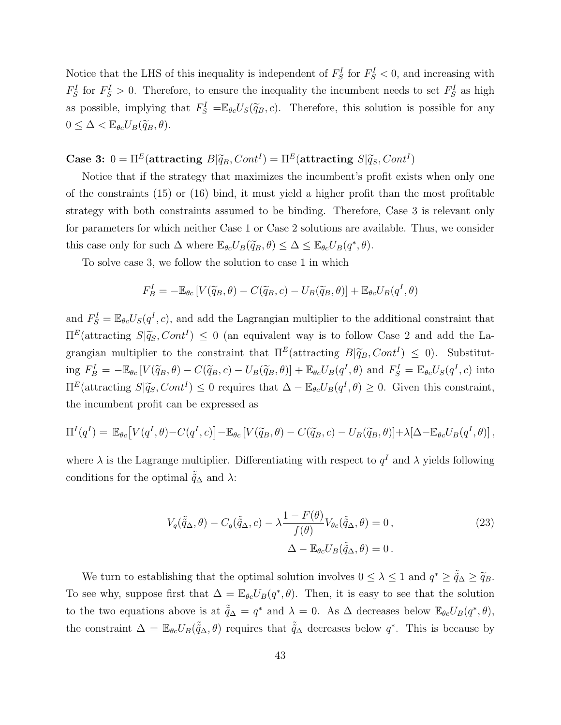Notice that the LHS of this inequality is independent of  $F_S^I$  for  $F_S^I < 0$ , and increasing with  $F_S^I$  for  $F_S^I > 0$ . Therefore, to ensure the inequality the incumbent needs to set  $F_S^I$  as high as possible, implying that  $F_S^I = \mathbb{E}_{\theta c} U_S(\tilde{q}_B, c)$ . Therefore, this solution is possible for any  $0 \leq \Delta < \mathbb{E}_{\theta c} U_B(\widetilde{q}_B, \theta).$ 

# Case 3:  $0 = \Pi^E(\text{attracting } B | \tilde{q}_B, Cont^I) = \Pi^E(\text{attracting } S | \tilde{q}_S, Cont^I)$

Notice that if the strategy that maximizes the incumbent's profit exists when only one of the constraints (15) or (16) bind, it must yield a higher profit than the most profitable strategy with both constraints assumed to be binding. Therefore, Case 3 is relevant only for parameters for which neither Case 1 or Case 2 solutions are available. Thus, we consider this case only for such  $\Delta$  where  $\mathbb{E}_{\theta c}U_B(\widetilde{q}_B, \theta) \leq \Delta \leq \mathbb{E}_{\theta c}U_B(q^*, \theta)$ .

To solve case 3, we follow the solution to case 1 in which

$$
F_B^I = -\mathbb{E}_{\theta c} \left[ V(\widetilde{q}_B, \theta) - C(\widetilde{q}_B, c) - U_B(\widetilde{q}_B, \theta) \right] + \mathbb{E}_{\theta c} U_B(q^I, \theta)
$$

and  $F_S^I = \mathbb{E}_{\theta c} U_S(q^I, c)$ , and add the Lagrangian multiplier to the additional constraint that  $\Pi^E(\text{attracting } S|\tilde{q}_S, Cont^I) \leq 0$  (an equivalent way is to follow Case 2 and add the Lagrangian multiplier to the constraint that  $\Pi^E(\text{attracting } B|\tilde{q}_B, Cont^I) \leq 0$ . Substituting  $F_B^I = -\mathbb{E}_{\theta c} [V(\tilde{q}_B, \theta) - C(\tilde{q}_B, c) - U_B(\tilde{q}_B, \theta)] + \mathbb{E}_{\theta c} U_B(q^I, \theta)$  and  $F_S^I = \mathbb{E}_{\theta c} U_S(q^I, c)$  into  $\Pi^{E}(\text{attracting } S|\tilde{q}_{S}, Cont^{I}) \leq 0$  requires that  $\Delta - \mathbb{E}_{\theta c}U_{B}(q^{I}, \theta) \geq 0$ . Given this constraint, the incumbent profit can be expressed as

$$
\Pi^{I}(q^{I}) = \mathbb{E}_{\theta c}[V(q^{I}, \theta) - C(q^{I}, c)] - \mathbb{E}_{\theta c}[V(\widetilde{q}_{B}, \theta) - C(\widetilde{q}_{B}, c) - U_{B}(\widetilde{q}_{B}, \theta)] + \lambda[\Delta - \mathbb{E}_{\theta c}U_{B}(q^{I}, \theta)],
$$

where  $\lambda$  is the Lagrange multiplier. Differentiating with respect to  $q<sup>I</sup>$  and  $\lambda$  yields following conditions for the optimal  $\tilde{\tilde{q}}_{\Delta}$  and  $\lambda$ :

$$
V_q(\tilde{\tilde{q}}_{\Delta}, \theta) - C_q(\tilde{\tilde{q}}_{\Delta}, c) - \lambda \frac{1 - F(\theta)}{f(\theta)} V_{\theta c}(\tilde{\tilde{q}}_{\Delta}, \theta) = 0, \qquad (23)
$$

$$
\Delta - \mathbb{E}_{\theta c} U_B(\tilde{\tilde{q}}_{\Delta}, \theta) = 0.
$$

We turn to establishing that the optimal solution involves  $0 \leq \lambda \leq 1$  and  $q^* \geq \tilde{q}_{\Delta} \geq \tilde{q}_{B}$ . To see why, suppose first that  $\Delta = \mathbb{E}_{\theta c} U_B(q^*, \theta)$ . Then, it is easy to see that the solution to the two equations above is at  $\tilde{q}_{\Delta} = q^*$  and  $\lambda = 0$ . As  $\Delta$  decreases below  $\mathbb{E}_{\theta c}U_B(q^*, \theta)$ , the constraint  $\Delta = \mathbb{E}_{\theta c} U_B(\tilde{\tilde{q}}_{\Delta}, \theta)$  requires that  $\tilde{\tilde{q}}_{\Delta}$  decreases below  $q^*$ . This is because by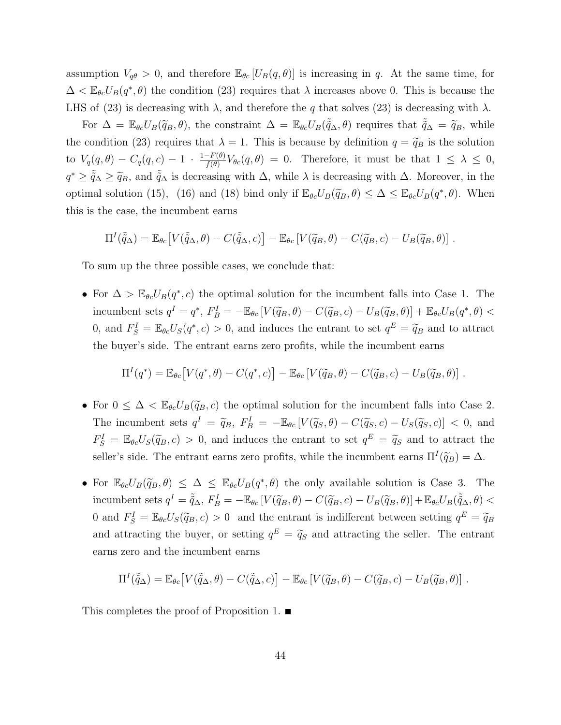assumption  $V_{q\theta} > 0$ , and therefore  $\mathbb{E}_{\theta c} [U_B(q, \theta)]$  is increasing in q. At the same time, for  $\Delta < \mathbb{E}_{\theta c} U_B(q^*, \theta)$  the condition (23) requires that  $\lambda$  increases above 0. This is because the LHS of (23) is decreasing with  $\lambda$ , and therefore the q that solves (23) is decreasing with  $\lambda$ .

For  $\Delta = \mathbb{E}_{\theta c} U_B(\tilde{q}_B, \theta)$ , the constraint  $\Delta = \mathbb{E}_{\theta c} U_B(\tilde{q}_\Delta, \theta)$  requires that  $\tilde{q}_\Delta = \tilde{q}_B$ , while the condition (23) requires that  $\lambda = 1$ . This is because by definition  $q = \tilde{q}_B$  is the solution to  $V_q(q, \theta) - C_q(q, c) - 1 \cdot \frac{1 - F(\theta)}{f(\theta)}$  $\frac{f^{-(\mu)}f(\theta)}{f(\theta)}V_{\theta c}(q,\theta) = 0.$  Therefore, it must be that  $1 \leq \lambda \leq 0,$  $q^* \geq \tilde{\tilde{q}}_{\Delta} \geq \tilde{q}_{B}$ , and  $\tilde{\tilde{q}}_{\Delta}$  is decreasing with  $\Delta$ , while  $\lambda$  is decreasing with  $\Delta$ . Moreover, in the optimal solution (15), (16) and (18) bind only if  $\mathbb{E}_{\theta c}U_B(\tilde{q}_B, \theta) \leq \Delta \leq \mathbb{E}_{\theta c}U_B(q^*, \theta)$ . When this is the case, the incumbent earns

$$
\Pi^{I}(\tilde{\tilde{q}}_{\Delta}) = \mathbb{E}_{\theta c}[V(\tilde{\tilde{q}}_{\Delta},\theta) - C(\tilde{\tilde{q}}_{\Delta},c)] - \mathbb{E}_{\theta c}[V(\tilde{q}_{B},\theta) - C(\tilde{q}_{B},c) - U_{B}(\tilde{q}_{B},\theta)].
$$

To sum up the three possible cases, we conclude that:

• For  $\Delta > \mathbb{E}_{\theta c} U_B(q^*, c)$  the optimal solution for the incumbent falls into Case 1. The incumbent sets  $q^I = q^*$ ,  $F_B^I = -\mathbb{E}_{\theta c} \left[ V(\tilde{q}_B, \theta) - C(\tilde{q}_B, c) - U_B(\tilde{q}_B, \theta) \right] + \mathbb{E}_{\theta c} U_B(q^*, \theta) <$ 0, and  $F_S^I = \mathbb{E}_{\theta_c} U_S(q^*, c) > 0$ , and induces the entrant to set  $q^E = \widetilde{q}_B$  and to attract the buyer's side. The entrant earns zero profits, while the incumbent earns

$$
\Pi^{I}(q^{*}) = \mathbb{E}_{\theta c}\big[V(q^{*},\theta) - C(q^{*},c)\big] - \mathbb{E}_{\theta c}\big[V(\widetilde{q}_{B},\theta) - C(\widetilde{q}_{B},c) - U_{B}(\widetilde{q}_{B},\theta)\big].
$$

- For  $0 \leq \Delta < \mathbb{E}_{\theta_c} U_B(\widetilde{q}_B, c)$  the optimal solution for the incumbent falls into Case 2. The incumbent sets  $q^I = \tilde{q}_B$ ,  $F_B^I = -\mathbb{E}_{\theta c} [V(\tilde{q}_S, \theta) - C(\tilde{q}_S, c) - U_S(\tilde{q}_S, c)] < 0$ , and  $F_S^I = \mathbb{E}_{\theta c} U_S(\tilde{q}_B, c) > 0$ , and induces the entrant to set  $q^E = \tilde{q}_S$  and to attract the seller's side. The entrant earns zero profits, while the incumbent earns  $\Pi^I(\tilde{q}_B) = \Delta$ .
- For  $\mathbb{E}_{\theta c}U_B(\widetilde{q}_B,\theta) \leq \Delta \leq \mathbb{E}_{\theta c}U_B(q^*,\theta)$  the only available solution is Case 3. The incumbent sets  $q^I = \tilde{\tilde{q}}_{\Delta}, F_B^I = -\mathbb{E}_{\theta c} \left[ V(\tilde{q}_B, \theta) - C(\tilde{q}_B, c) - U_B(\tilde{q}_B, \theta) \right] + \mathbb{E}_{\theta c} U_B(\tilde{\tilde{q}}_{\Delta}, \theta) <$ 0 and  $F_S^I = \mathbb{E}_{\theta c} U_S(\tilde{q}_B, c) > 0$  and the entrant is indifferent between setting  $q^E = \tilde{q}_B$ and attracting the buyer, or setting  $q^E = \tilde{q}_S$  and attracting the seller. The entrant earns zero and the incumbent earns

$$
\Pi^I(\tilde{\tilde{q}}_{\Delta}) = \mathbb{E}_{\theta c} [V(\tilde{\tilde{q}}_{\Delta}, \theta) - C(\tilde{\tilde{q}}_{\Delta}, c)] - \mathbb{E}_{\theta c} [V(\tilde{q}_B, \theta) - C(\tilde{q}_B, c) - U_B(\tilde{q}_B, \theta)].
$$

This completes the proof of Proposition 1.  $\blacksquare$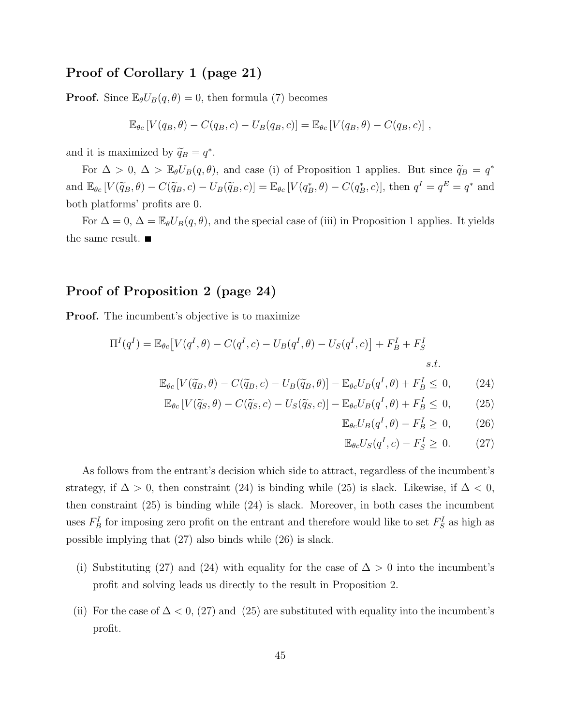### Proof of Corollary 1 (page 21)

**Proof.** Since  $\mathbb{E}_{\theta}U_B(q, \theta) = 0$ , then formula (7) becomes

$$
\mathbb{E}_{\theta c}\left[V(q_B,\theta)-C(q_B,c)-U_B(q_B,c)\right]=\mathbb{E}_{\theta c}\left[V(q_B,\theta)-C(q_B,c)\right],
$$

and it is maximized by  $\widetilde{q}_B = q^*$ .

For  $\Delta > 0$ ,  $\Delta > \mathbb{E}_{\theta}U_B(q, \theta)$ , and case (i) of Proposition 1 applies. But since  $\widetilde{q}_B = q^*$ and  $\mathbb{E}_{\theta c}\left[V(\tilde{q}_B,\theta)-C(\tilde{q}_B,c)-U_B(\tilde{q}_B,c)\right]=\mathbb{E}_{\theta c}\left[V(q_B^*,\theta)-C(q_B^*,c)\right],$  then  $q^I=q^E=q^*$  and both platforms' profits are 0.

For  $\Delta = 0$ ,  $\Delta = \mathbb{E}_{\theta} U_B(q, \theta)$ , and the special case of (iii) in Proposition 1 applies. It yields the same result.  $\blacksquare$ 

### Proof of Proposition 2 (page 24)

**Proof.** The incumbent's objective is to maximize

$$
\Pi^{I}(q^{I}) = \mathbb{E}_{\theta c} \left[ V(q^{I}, \theta) - C(q^{I}, c) - U_{B}(q^{I}, \theta) - U_{S}(q^{I}, c) \right] + F_{B}^{I} + F_{S}^{I}
$$
  
s.t.  

$$
\mathbb{E}_{c} \left[ V(\tilde{\alpha}_{D}, \theta) - C(\tilde{\alpha}_{D}, c) - U_{D}(\tilde{\alpha}_{D}, \theta) \right] - \mathbb{E}_{c} \left[ U_{D}(q^{I}, \theta) + F_{S}^{I} \leq 0 \right] \tag{2}
$$

$$
\mathbb{E}_{\theta c}\left[V(\widetilde{q}_B,\theta) - C(\widetilde{q}_B,c) - U_B(\widetilde{q}_B,\theta)\right] - \mathbb{E}_{\theta c}U_B(q^I,\theta) + F_B^I \leq 0, \quad (24)
$$

$$
\mathbb{E}_{\theta c}\left[V(\widetilde{q}_S,\theta) - C(\widetilde{q}_S,c) - U_S(\widetilde{q}_S,c)\right] - \mathbb{E}_{\theta c}U_B(q^I,\theta) + F_B^I \leq 0, \tag{25}
$$

$$
\mathbb{E}_{\theta c} U_B(q^I, \theta) - F_B^I \ge 0, \qquad (26)
$$

$$
\mathbb{E}_{\theta c} U_S(q^I, c) - F_S^I \ge 0. \tag{27}
$$

As follows from the entrant's decision which side to attract, regardless of the incumbent's strategy, if  $\Delta > 0$ , then constraint (24) is binding while (25) is slack. Likewise, if  $\Delta < 0$ , then constraint (25) is binding while (24) is slack. Moreover, in both cases the incumbent uses  $F_B^I$  for imposing zero profit on the entrant and therefore would like to set  $F_S^I$  as high as possible implying that (27) also binds while (26) is slack.

- (i) Substituting (27) and (24) with equality for the case of  $\Delta > 0$  into the incumbent's profit and solving leads us directly to the result in Proposition 2.
- (ii) For the case of  $\Delta < 0$ , (27) and (25) are substituted with equality into the incumbent's profit.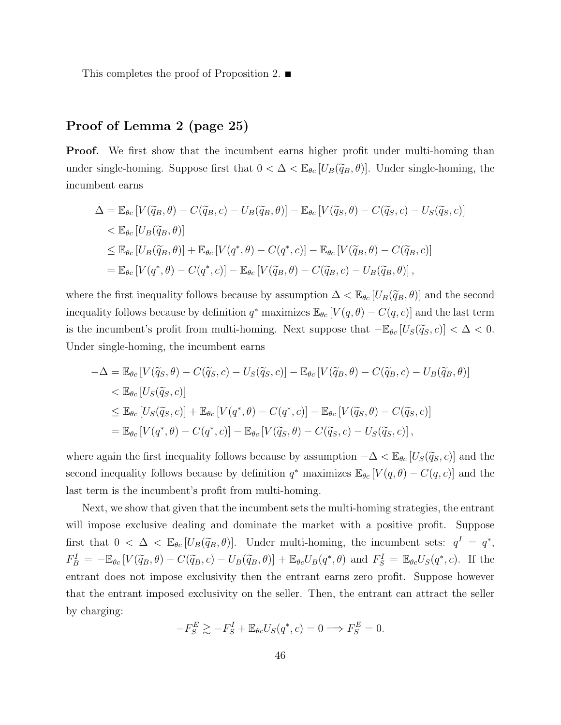This completes the proof of Proposition 2.  $\blacksquare$ 

### Proof of Lemma 2 (page 25)

**Proof.** We first show that the incumbent earns higher profit under multi-homing than under single-homing. Suppose first that  $0 < \Delta < \mathbb{E}_{\theta_c}[U_B(\widetilde{q}_B, \theta)]$ . Under single-homing, the incumbent earns

$$
\Delta = \mathbb{E}_{\theta c} \left[ V(\widetilde{q}_B, \theta) - C(\widetilde{q}_B, c) - U_B(\widetilde{q}_B, \theta) \right] - \mathbb{E}_{\theta c} \left[ V(\widetilde{q}_S, \theta) - C(\widetilde{q}_S, c) - U_S(\widetilde{q}_S, c) \right]
$$
  

$$
< \mathbb{E}_{\theta c} \left[ U_B(\widetilde{q}_B, \theta) \right]
$$
  

$$
\leq \mathbb{E}_{\theta c} \left[ U_B(\widetilde{q}_B, \theta) \right] + \mathbb{E}_{\theta c} \left[ V(q^*, \theta) - C(q^*, c) \right] - \mathbb{E}_{\theta c} \left[ V(\widetilde{q}_B, \theta) - C(\widetilde{q}_B, c) \right]
$$
  

$$
= \mathbb{E}_{\theta c} \left[ V(q^*, \theta) - C(q^*, c) \right] - \mathbb{E}_{\theta c} \left[ V(\widetilde{q}_B, \theta) - C(\widetilde{q}_B, c) - U_B(\widetilde{q}_B, \theta) \right],
$$

where the first inequality follows because by assumption  $\Delta < \mathbb{E}_{\theta_c}[U_B(\tilde{q}_B, \theta)]$  and the second inequality follows because by definition  $q^*$  maximizes  $\mathbb{E}_{\theta c}[V(q, \theta) - C(q, c)]$  and the last term is the incumbent's profit from multi-homing. Next suppose that  $-\mathbb{E}_{\theta c}[U_S(\tilde{q}_S, c)] < \Delta < 0$ . Under single-homing, the incumbent earns

$$
-\Delta = \mathbb{E}_{\theta c} \left[ V(\widetilde{q}_S, \theta) - C(\widetilde{q}_S, c) - U_S(\widetilde{q}_S, c) \right] - \mathbb{E}_{\theta c} \left[ V(\widetilde{q}_B, \theta) - C(\widetilde{q}_B, c) - U_B(\widetilde{q}_B, \theta) \right]
$$
  

$$
\leq \mathbb{E}_{\theta c} \left[ U_S(\widetilde{q}_S, c) \right]
$$
  

$$
\leq \mathbb{E}_{\theta c} \left[ U_S(\widetilde{q}_S, c) \right] + \mathbb{E}_{\theta c} \left[ V(q^*, \theta) - C(q^*, c) \right] - \mathbb{E}_{\theta c} \left[ V(\widetilde{q}_S, \theta) - C(\widetilde{q}_S, c) \right]
$$
  

$$
= \mathbb{E}_{\theta c} \left[ V(q^*, \theta) - C(q^*, c) \right] - \mathbb{E}_{\theta c} \left[ V(\widetilde{q}_S, \theta) - C(\widetilde{q}_S, c) - U_S(\widetilde{q}_S, c) \right],
$$

where again the first inequality follows because by assumption  $-\Delta < \mathbb{E}_{\theta_c} [U_S(\tilde{q}_S, c)]$  and the second inequality follows because by definition  $q^*$  maximizes  $\mathbb{E}_{\theta c}[V(q, \theta) - C(q, c)]$  and the last term is the incumbent's profit from multi-homing.

Next, we show that given that the incumbent sets the multi-homing strategies, the entrant will impose exclusive dealing and dominate the market with a positive profit. Suppose first that  $0 < \Delta < \mathbb{E}_{\theta c} [U_B(\tilde{q}_B, \theta)].$  Under multi-homing, the incumbent sets:  $q^I = q^*$ ,  $F_B^I = -\mathbb{E}_{\theta c} \left[ V(\tilde{q}_B, \theta) - C(\tilde{q}_B, c) - U_B(\tilde{q}_B, \theta) \right] + \mathbb{E}_{\theta c} U_B(q^*, \theta)$  and  $F_S^I = \mathbb{E}_{\theta c} U_S(q^*, c)$ . If the entrant does not impose exclusivity then the entrant earns zero profit. Suppose however that the entrant imposed exclusivity on the seller. Then, the entrant can attract the seller by charging:

$$
-F_S^E \gtrsim -F_S^I + \mathbb{E}_{\theta c} U_S(q^*, c) = 0 \Longrightarrow F_S^E = 0.
$$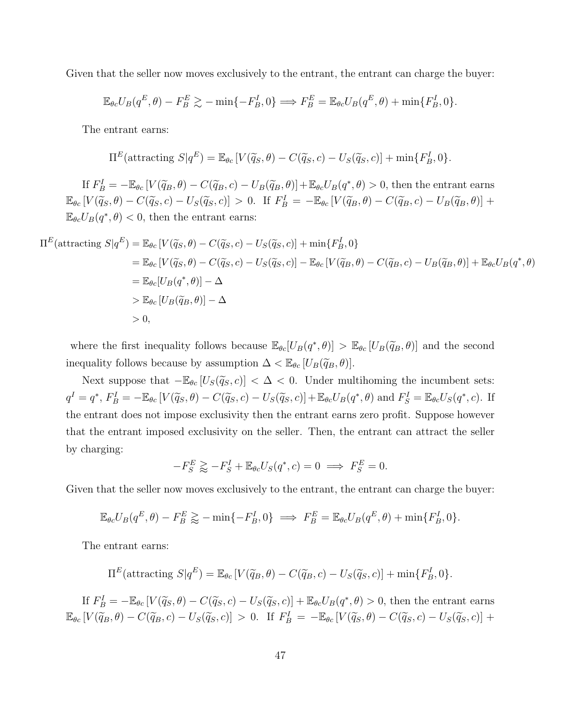Given that the seller now moves exclusively to the entrant, the entrant can charge the buyer:

$$
\mathbb{E}_{\theta c} U_B(q^E, \theta) - F_B^E \gtrsim -\min\{-F_B^I, 0\} \Longrightarrow F_B^E = \mathbb{E}_{\theta c} U_B(q^E, \theta) + \min\{F_B^I, 0\}.
$$

The entrant earns:

$$
\Pi^{E}(\text{attracting } S|q^{E}) = \mathbb{E}_{\theta c} \left[ V(\widetilde{q}_{S}, \theta) - C(\widetilde{q}_{S}, c) - U_{S}(\widetilde{q}_{S}, c) \right] + \min \{ F_{B}^{I}, 0 \}.
$$

If  $F_B^I = -\mathbb{E}_{\theta c} [V(\tilde{q}_B, \theta) - C(\tilde{q}_B, c) - U_B(\tilde{q}_B, \theta)] + \mathbb{E}_{\theta c} U_B(q^*, \theta) > 0$ , then the entrant earns  $\mathbb{E}_{\theta c}\left[V(\widetilde{q}_S,\theta) - C(\widetilde{q}_S,c) - U_S(\widetilde{q}_S,c)\right] > 0.$  If  $F_B^I = -\mathbb{E}_{\theta c}\left[V(\widetilde{q}_B,\theta) - C(\widetilde{q}_B,c) - U_B(\widetilde{q}_B,\theta)\right] +$  $\mathbb{E}_{\theta c}U_B(q^*,\theta) < 0$ , then the entrant earns:

$$
\Pi^{E}(\text{attracting } S|q^{E}) = \mathbb{E}_{\theta c} \left[ V(\widetilde{q}_{S}, \theta) - C(\widetilde{q}_{S}, c) - U_{S}(\widetilde{q}_{S}, c) \right] + \min \{ F_{B}^{I}, 0 \}
$$
\n
$$
= \mathbb{E}_{\theta c} \left[ V(\widetilde{q}_{S}, \theta) - C(\widetilde{q}_{S}, c) - U_{S}(\widetilde{q}_{S}, c) \right] - \mathbb{E}_{\theta c} \left[ V(\widetilde{q}_{B}, \theta) - C(\widetilde{q}_{B}, c) - U_{B}(\widetilde{q}_{B}, \theta) \right] + \mathbb{E}_{\theta c} U_{B}(q^{*}, \theta)
$$
\n
$$
= \mathbb{E}_{\theta c} \left[ U_{B}(q^{*}, \theta) \right] - \Delta
$$
\n
$$
> \mathbb{E}_{\theta c} \left[ U_{B}(\widetilde{q}_{B}, \theta) \right] - \Delta
$$
\n
$$
> 0,
$$

where the first inequality follows because  $\mathbb{E}_{\theta c}[U_B(q^*,\theta)] > \mathbb{E}_{\theta c}[U_B(\widetilde{q}_B,\theta)]$  and the second inequality follows because by assumption  $\Delta < \mathbb{E}_{\theta c} [U_B(\widetilde{q}_B, \theta)].$ 

Next suppose that  $-\mathbb{E}_{\theta c}[U_{S}(\tilde{q}_{S}, c)] < \Delta < 0$ . Under multihoming the incumbent sets:  $q^I = q^*, F_B^I = -\mathbb{E}_{\theta c} \left[ V(\tilde{q}_S, \theta) - C(\tilde{q}_S, c) - U_S(\tilde{q}_S, c) \right] + \mathbb{E}_{\theta c} U_B(q^*, \theta)$  and  $F_S^I = \mathbb{E}_{\theta c} U_S(q^*, c)$ . If the entrant does not impose exclusivity then the entrant earns zero profit. Suppose however that the entrant imposed exclusivity on the seller. Then, the entrant can attract the seller by charging:

$$
-F_S^E \gtrapprox -F_S^I + \mathbb{E}_{\theta c} U_S(q^*, c) = 0 \implies F_S^E = 0.
$$

Given that the seller now moves exclusively to the entrant, the entrant can charge the buyer:

$$
\mathbb{E}_{\theta c} U_B(q^E, \theta) - F_B^E \gtrsim -\min\{-F_B^I, 0\} \implies F_B^E = \mathbb{E}_{\theta c} U_B(q^E, \theta) + \min\{F_B^I, 0\}.
$$

The entrant earns:

$$
\Pi^{E}(\text{attracting }S|q^{E}) = \mathbb{E}_{\theta c}\left[V(\widetilde{q}_{B},\theta) - C(\widetilde{q}_{B},c) - U_{S}(\widetilde{q}_{S},c)\right] + \min\{F_{B}^{I},0\}.
$$

If  $F_B^I = -\mathbb{E}_{\theta c} [V(\tilde{q}_S, \theta) - C(\tilde{q}_S, c) - U_S(\tilde{q}_S, c)] + \mathbb{E}_{\theta c} U_B(q^*, \theta) > 0$ , then the entrant earns  $\mathbb{E}_{\theta c}\left[V(\widetilde{q}_B,\theta)-C(\widetilde{q}_B,c)-U_S(\widetilde{q}_S,c)\right] > 0.$  If  $F_B^I = -\mathbb{E}_{\theta c}\left[V(\widetilde{q}_S,\theta)-C(\widetilde{q}_S,c)-U_S(\widetilde{q}_S,c)\right] +$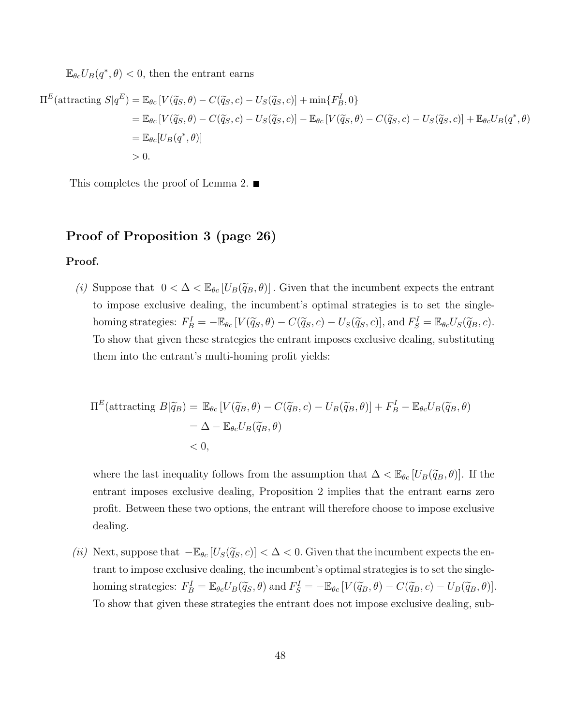$\mathbb{E}_{\theta c}U_B(q^*,\theta) < 0$ , then the entrant earns

$$
\Pi^{E}(\text{attracting } S|q^{E}) = \mathbb{E}_{\theta c} \left[ V(\widetilde{q}_{S}, \theta) - C(\widetilde{q}_{S}, c) - U_{S}(\widetilde{q}_{S}, c) \right] + \min \{ F_{B}^{I}, 0 \}
$$
\n
$$
= \mathbb{E}_{\theta c} \left[ V(\widetilde{q}_{S}, \theta) - C(\widetilde{q}_{S}, c) - U_{S}(\widetilde{q}_{S}, c) \right] - \mathbb{E}_{\theta c} \left[ V(\widetilde{q}_{S}, \theta) - C(\widetilde{q}_{S}, c) - U_{S}(\widetilde{q}_{S}, c) \right] + \mathbb{E}_{\theta c} U_{B}(q^{*}, \theta)
$$
\n
$$
= \mathbb{E}_{\theta c} \left[ U_{B}(q^{*}, \theta) \right]
$$
\n
$$
> 0.
$$

This completes the proof of Lemma 2.  $\blacksquare$ 

#### Proof of Proposition 3 (page 26)

#### Proof.

(i) Suppose that  $0 < \Delta < \mathbb{E}_{\theta_c}[U_B(\tilde{q}_B, \theta)]$ . Given that the incumbent expects the entrant to impose exclusive dealing, the incumbent's optimal strategies is to set the singlehoming strategies:  $F_B^I = -\mathbb{E}_{\theta c} [V(\tilde{q}_S, \theta) - C(\tilde{q}_S, c) - U_S(\tilde{q}_S, c)],$  and  $F_S^I = \mathbb{E}_{\theta c} U_S(\tilde{q}_B, c).$ To show that given these strategies the entrant imposes exclusive dealing, substituting them into the entrant's multi-homing profit yields:

$$
\Pi^{E}(\text{attracting } B|\tilde{q}_{B}) = \mathbb{E}_{\theta c} [V(\tilde{q}_{B}, \theta) - C(\tilde{q}_{B}, c) - U_{B}(\tilde{q}_{B}, \theta)] + F_{B}^{I} - \mathbb{E}_{\theta c} U_{B}(\tilde{q}_{B}, \theta)
$$
  
=  $\Delta - \mathbb{E}_{\theta c} U_{B}(\tilde{q}_{B}, \theta)$   
< 0,

where the last inequality follows from the assumption that  $\Delta < \mathbb{E}_{\theta_c}[U_B(\widetilde{q}_B, \theta)]$ . If the entrant imposes exclusive dealing, Proposition 2 implies that the entrant earns zero profit. Between these two options, the entrant will therefore choose to impose exclusive dealing.

(ii) Next, suppose that  $-\mathbb{E}_{\theta c} [U_S(\widetilde{q}_S, c)] < \Delta < 0$ . Given that the incumbent expects the entrant to impose exclusive dealing, the incumbent's optimal strategies is to set the singlehoming strategies:  $F_B^I = \mathbb{E}_{\theta c} U_B(\tilde{q}_S, \theta)$  and  $F_S^I = -\mathbb{E}_{\theta c} [V(\tilde{q}_B, \theta) - C(\tilde{q}_B, c) - U_B(\tilde{q}_B, \theta)].$ To show that given these strategies the entrant does not impose exclusive dealing, sub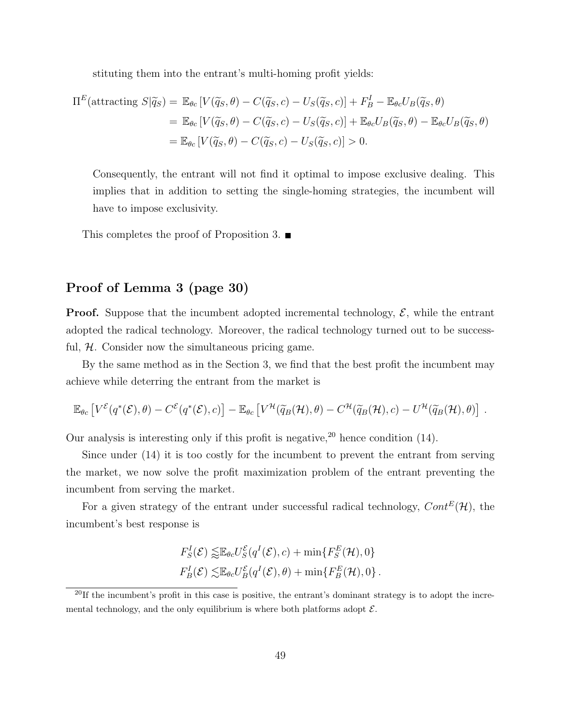stituting them into the entrant's multi-homing profit yields:

$$
\Pi^{E}(\text{attracting } S|\tilde{q}_{S}) = \mathbb{E}_{\theta c} \left[ V(\tilde{q}_{S}, \theta) - C(\tilde{q}_{S}, c) - U_{S}(\tilde{q}_{S}, c) \right] + F_{B}^{I} - \mathbb{E}_{\theta c} U_{B}(\tilde{q}_{S}, \theta)
$$
  
\n
$$
= \mathbb{E}_{\theta c} \left[ V(\tilde{q}_{S}, \theta) - C(\tilde{q}_{S}, c) - U_{S}(\tilde{q}_{S}, c) \right] + \mathbb{E}_{\theta c} U_{B}(\tilde{q}_{S}, \theta) - \mathbb{E}_{\theta c} U_{B}(\tilde{q}_{S}, \theta)
$$
  
\n
$$
= \mathbb{E}_{\theta c} \left[ V(\tilde{q}_{S}, \theta) - C(\tilde{q}_{S}, c) - U_{S}(\tilde{q}_{S}, c) \right] > 0.
$$

Consequently, the entrant will not find it optimal to impose exclusive dealing. This implies that in addition to setting the single-homing strategies, the incumbent will have to impose exclusivity.

This completes the proof of Proposition 3.  $\blacksquare$ 

#### Proof of Lemma 3 (page 30)

**Proof.** Suppose that the incumbent adopted incremental technology,  $\mathcal{E}$ , while the entrant adopted the radical technology. Moreover, the radical technology turned out to be successful,  $H$ . Consider now the simultaneous pricing game.

By the same method as in the Section 3, we find that the best profit the incumbent may achieve while deterring the entrant from the market is

$$
\mathbb{E}_{\theta c}\left[V^{\mathcal{E}}(q^*(\mathcal{E}),\theta)-C^{\mathcal{E}}(q^*(\mathcal{E}),c)\right]-\mathbb{E}_{\theta c}\left[V^{\mathcal{H}}(\widetilde{q}_B(\mathcal{H}),\theta)-C^{\mathcal{H}}(\widetilde{q}_B(\mathcal{H}),c)-U^{\mathcal{H}}(\widetilde{q}_B(\mathcal{H}),\theta)\right].
$$

Our analysis is interesting only if this profit is negative,  $^{20}$  hence condition (14).

Since under (14) it is too costly for the incumbent to prevent the entrant from serving the market, we now solve the profit maximization problem of the entrant preventing the incumbent from serving the market.

For a given strategy of the entrant under successful radical technology,  $Cont^E(\mathcal{H})$ , the incumbent's best response is

$$
F_S^I(\mathcal{E}) \lesssim \mathbb{E}_{\theta c} U_S^{\mathcal{E}}(q^I(\mathcal{E}), c) + \min\{F_S^E(\mathcal{H}), 0\}
$$
  

$$
F_B^I(\mathcal{E}) \lesssim \mathbb{E}_{\theta c} U_B^{\mathcal{E}}(q^I(\mathcal{E}), \theta) + \min\{F_B^E(\mathcal{H}), 0\}.
$$

<sup>&</sup>lt;sup>20</sup>If the incumbent's profit in this case is positive, the entrant's dominant strategy is to adopt the incremental technology, and the only equilibrium is where both platforms adopt  $\mathcal{E}$ .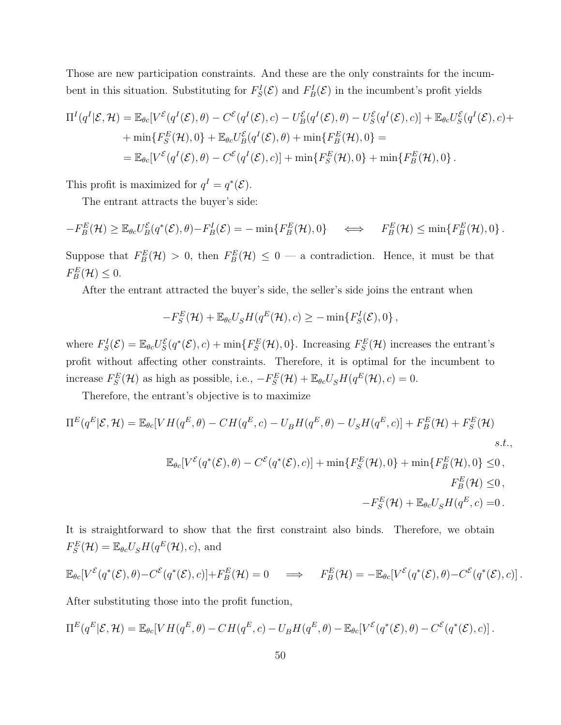Those are new participation constraints. And these are the only constraints for the incumbent in this situation. Substituting for  $F_S^I(\mathcal{E})$  and  $F_B^I(\mathcal{E})$  in the incumbent's profit yields

$$
\Pi^{I}(q^{I}|\mathcal{E},\mathcal{H}) = \mathbb{E}_{\theta c}[V^{\mathcal{E}}(q^{I}(\mathcal{E}),\theta) - C^{\mathcal{E}}(q^{I}(\mathcal{E}),c) - U_{B}^{\mathcal{E}}(q^{I}(\mathcal{E}),\theta) - U_{S}^{\mathcal{E}}(q^{I}(\mathcal{E}),c)] + \mathbb{E}_{\theta c}U_{S}^{\mathcal{E}}(q^{I}(\mathcal{E}),c) ++ \min\{F_{S}^{E}(\mathcal{H}),0\} + \mathbb{E}_{\theta c}U_{B}^{\mathcal{E}}(q^{I}(\mathcal{E}),\theta) + \min\{F_{B}^{E}(\mathcal{H}),0\} == \mathbb{E}_{\theta c}[V^{\mathcal{E}}(q^{I}(\mathcal{E}),\theta) - C^{\mathcal{E}}(q^{I}(\mathcal{E}),c)] + \min\{F_{S}^{E}(\mathcal{H}),0\} + \min\{F_{B}^{E}(\mathcal{H}),0\}.
$$

This profit is maximized for  $q^I = q^*(\mathcal{E})$ .

The entrant attracts the buyer's side:

$$
-F_B^E(\mathcal{H}) \geq \mathbb{E}_{\theta c} U_B^{\mathcal{E}}(q^*(\mathcal{E}), \theta) - F_B^I(\mathcal{E}) = -\min\{F_B^E(\mathcal{H}), 0\} \quad \Longleftrightarrow \quad F_B^E(\mathcal{H}) \leq \min\{F_B^E(\mathcal{H}), 0\}.
$$

Suppose that  $F_B^E(\mathcal{H}) > 0$ , then  $F_B^E(\mathcal{H}) \leq 0$  — a contradiction. Hence, it must be that  $F_B^E(\mathcal{H}) \leq 0.$ 

After the entrant attracted the buyer's side, the seller's side joins the entrant when

$$
-F_S^E(\mathcal{H})+\mathbb{E}_{\theta c}U_S H(q^E(\mathcal{H}),c)\geq -\min\{F_S^I(\mathcal{E}),0\},\,
$$

where  $F_S^I(\mathcal{E}) = \mathbb{E}_{\theta c} U_S^{\mathcal{E}}(q^*(\mathcal{E}), c) + \min\{F_S^E(\mathcal{H}), 0\}$ . Increasing  $F_S^E(\mathcal{H})$  increases the entrant's profit without affecting other constraints. Therefore, it is optimal for the incumbent to increase  $F_S^E(\mathcal{H})$  as high as possible, i.e.,  $-F_S^E(\mathcal{H}) + \mathbb{E}_{\theta c} U_S H(q^E(\mathcal{H}), c) = 0$ .

Therefore, the entrant's objective is to maximize

$$
\Pi^{E}(q^{E}|\mathcal{E},\mathcal{H}) = \mathbb{E}_{\theta c}[V H(q^{E},\theta) - CH(q^{E},c) - U_{B}H(q^{E},\theta) - U_{S}H(q^{E},c)] + F_{B}^{E}(\mathcal{H}) + F_{S}^{E}(\mathcal{H})
$$
  
s.t.,  

$$
\mathbb{E}_{\theta c}[V^{\mathcal{E}}(q^{*}(\mathcal{E}),\theta) - C^{\mathcal{E}}(q^{*}(\mathcal{E}),c)] + \min\{F_{S}^{E}(\mathcal{H}),0\} + \min\{F_{B}^{E}(\mathcal{H}),0\} \leq 0,
$$

$$
\mathbb{E}_{\theta c}[V^{\mathcal{E}}(q^*(\mathcal{E}), \theta) - C^{\mathcal{E}}(q^*(\mathcal{E}), c)] + \min\{F_S^E(\mathcal{H}), 0\} + \min\{F_B^E(\mathcal{H}), 0\} \le 0,
$$
  

$$
F_B^E(\mathcal{H}) \le 0,
$$
  

$$
-F_S^E(\mathcal{H}) + \mathbb{E}_{\theta c} U_S H(q^E, c) = 0.
$$

It is straightforward to show that the first constraint also binds. Therefore, we obtain  $F_S^E(\mathcal{H}) = \mathbb{E}_{\theta c} U_S H(q^E(\mathcal{H}), c)$ , and

$$
\mathbb{E}_{\theta c}[V^{\mathcal{E}}(q^*(\mathcal{E}),\theta)-C^{\mathcal{E}}(q^*(\mathcal{E}),c)]+F^E_B(\mathcal{H})=0 \implies F^E_B(\mathcal{H})=-\mathbb{E}_{\theta c}[V^{\mathcal{E}}(q^*(\mathcal{E}),\theta)-C^{\mathcal{E}}(q^*(\mathcal{E}),c)].
$$

After substituting those into the profit function,

$$
\Pi^{E}(q^{E}|\mathcal{E},\mathcal{H})=\mathbb{E}_{\theta c}[V H(q^{E},\theta)-CH(q^{E},c)-U_{B}H(q^{E},\theta)-\mathbb{E}_{\theta c}[V^{\mathcal{E}}(q^{*}(\mathcal{E}),\theta)-C^{\mathcal{E}}(q^{*}(\mathcal{E}),c)].
$$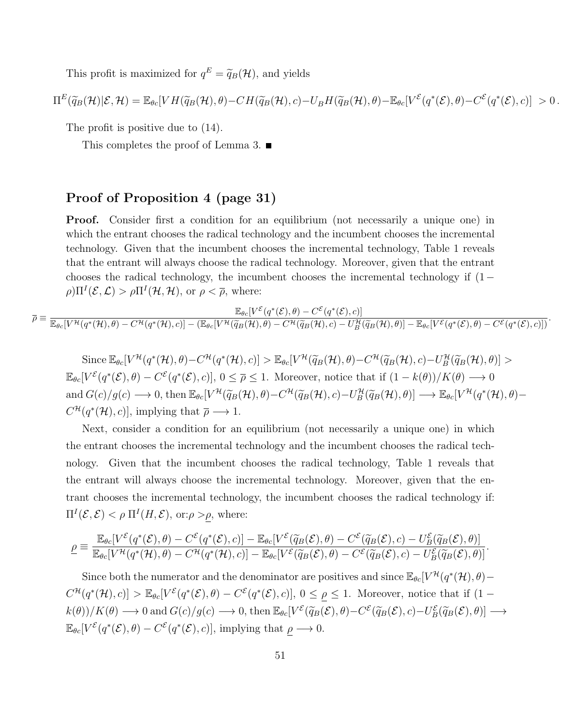This profit is maximized for  $q^E = \tilde{q}_B(\mathcal{H})$ , and yields

 $\Pi^{E}(\widetilde{q}_{B}(\mathcal{H})|\mathcal{E},\mathcal{H})=\mathbb{E}_{\theta c}[V H(\widetilde{q}_{B}(\mathcal{H}),\theta)-CH(\widetilde{q}_{B}(\mathcal{H}),c)-U_{B}H(\widetilde{q}_{B}(\mathcal{H}),\theta)-\mathbb{E}_{\theta c}[V^{\mathcal{E}}(q^{*}(\mathcal{E}),\theta)-C^{\mathcal{E}}(q^{*}(\mathcal{E}),c)] > 0.$ 

The profit is positive due to (14).

This completes the proof of Lemma 3.

#### Proof of Proposition 4 (page 31)

Proof. Consider first a condition for an equilibrium (not necessarily a unique one) in which the entrant chooses the radical technology and the incumbent chooses the incremental technology. Given that the incumbent chooses the incremental technology, Table 1 reveals that the entrant will always choose the radical technology. Moreover, given that the entrant chooses the radical technology, the incumbent chooses the incremental technology if  $(1-\mathbf{C})$  $\rho \Pi^{I}(\mathcal{E}, \mathcal{L}) > \rho \Pi^{I}(\mathcal{H}, \mathcal{H})$ , or  $\rho < \overline{\rho}$ , where:

$$
\overline{\rho} \equiv \frac{\mathbb{E}_{\theta c}[V^{\mathcal{E}}(q^*(\mathcal{E}), \theta) - C^{\mathcal{E}}(q^*(\mathcal{E}), c)]}{\mathbb{E}_{\theta c}[V^{\mathcal{H}}(q^*(\mathcal{H}), \theta) - C^{\mathcal{H}}(q^*(\mathcal{H}), c)] - (\mathbb{E}_{\theta c}[V^{\mathcal{H}}(\widetilde{q}_B(\mathcal{H}), \theta) - C^{\mathcal{H}}(\widetilde{q}_B(\mathcal{H}), c) - U_B^{\mathcal{H}}(\widetilde{q}_B(\mathcal{H}), \theta)] - \mathbb{E}_{\theta c}[V^{\mathcal{E}}(q^*(\mathcal{E}), \theta) - C^{\mathcal{E}}(q^*(\mathcal{E}), c)]}.
$$

Since  $\mathbb{E}_{\theta c}[V^{\mathcal{H}}(q^*(\mathcal{H}), \theta) - C^{\mathcal{H}}(q^*(\mathcal{H}), c)] > \mathbb{E}_{\theta c}[V^{\mathcal{H}}(\widetilde{q}_B(\mathcal{H}), \theta) - C^{\mathcal{H}}(\widetilde{q}_B(\mathcal{H}), c) - U_B^{\mathcal{H}}(\widetilde{q}_B(\mathcal{H}), \theta)] >$  $\mathbb{E}_{\theta c}[V^{\mathcal{E}}(q^*(\mathcal{E}),\theta)-C^{\mathcal{E}}(q^*(\mathcal{E}),c)], 0 \leq \overline{\rho} \leq 1.$  Moreover, notice that if  $(1-k(\theta))/K(\theta) \longrightarrow 0$ and  $G(c)/g(c) \longrightarrow 0$ , then  $\mathbb{E}_{\theta c}[V^{\mathcal{H}}(\widetilde{q}_B(\mathcal{H}), \theta) - C^{\mathcal{H}}(\widetilde{q}_B(\mathcal{H}), c) - U^{\mathcal{H}}_B(\widetilde{q}_B(\mathcal{H}), \theta)] \longrightarrow \mathbb{E}_{\theta c}[V^{\mathcal{H}}(q^*(\mathcal{H}), \theta) C^{\mathcal{H}}(q^*(\mathcal{H}), c)$ , implying that  $\overline{\rho} \longrightarrow 1$ .

Next, consider a condition for an equilibrium (not necessarily a unique one) in which the entrant chooses the incremental technology and the incumbent chooses the radical technology. Given that the incumbent chooses the radical technology, Table 1 reveals that the entrant will always choose the incremental technology. Moreover, given that the entrant chooses the incremental technology, the incumbent chooses the radical technology if:  $\Pi^I(\mathcal{E}, \mathcal{E}) < \rho \Pi^I(H, \mathcal{E}), \text{ or:} \rho > \rho, \text{ where:}$ 

$$
\underline{\rho} \equiv \frac{\mathbb{E}_{\theta c}[V^{\mathcal{E}}(q^*(\mathcal{E}), \theta) - C^{\mathcal{E}}(q^*(\mathcal{E}), c)] - \mathbb{E}_{\theta c}[V^{\mathcal{E}}(\widetilde{q}_B(\mathcal{E}), \theta) - C^{\mathcal{E}}(\widetilde{q}_B(\mathcal{E}), c) - U^{\mathcal{E}}_B(\widetilde{q}_B(\mathcal{E}), \theta)]}{\mathbb{E}_{\theta c}[V^{\mathcal{H}}(q^*(\mathcal{H}), \theta) - C^{\mathcal{H}}(q^*(\mathcal{H}), c)] - \mathbb{E}_{\theta c}[V^{\mathcal{E}}(\widetilde{q}_B(\mathcal{E}), \theta) - C^{\mathcal{E}}(\widetilde{q}_B(\mathcal{E}), c) - U^{\mathcal{E}}_B(\widetilde{q}_B(\mathcal{E}), \theta)].}
$$

Since both the numerator and the denominator are positives and since  $\mathbb{E}_{\theta c}[V^{\mathcal{H}}(q^*(\mathcal{H}),\theta) C^{\mathcal{H}}(q^*(\mathcal{H}),c)] > \mathbb{E}_{\theta c}[V^{\mathcal{E}}(q^*(\mathcal{E}),\theta) - C^{\mathcal{E}}(q^*(\mathcal{E}),c)], 0 \leq \rho \leq 1$ . Moreover, notice that if  $(1-\rho)^2$  $k(\theta)/K(\theta) \longrightarrow 0$  and  $G(c)/g(c) \longrightarrow 0$ , then  $\mathbb{E}_{\theta c}[V^{\mathcal{E}}(\widetilde{q}_B(\mathcal{E}), \theta) - C^{\mathcal{E}}(\widetilde{q}_B(\mathcal{E}), c) - U^{\mathcal{E}}_B(\widetilde{q}_B(\mathcal{E}), \theta)] \longrightarrow$  $\mathbb{E}_{\theta c}[V^{\mathcal{E}}(q^*(\mathcal{E}), \theta) - C^{\mathcal{E}}(q^*(\mathcal{E}), c)],$  implying that  $\rho \longrightarrow 0$ .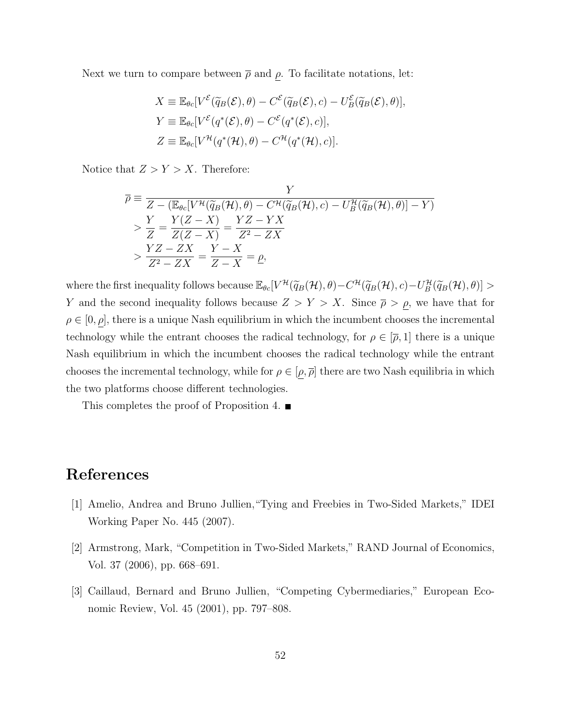Next we turn to compare between  $\bar{\rho}$  and  $\rho$ . To facilitate notations, let:

$$
X \equiv \mathbb{E}_{\theta c}[V^{\mathcal{E}}(\widetilde{q}_B(\mathcal{E}), \theta) - C^{\mathcal{E}}(\widetilde{q}_B(\mathcal{E}), c) - U^{\mathcal{E}}_B(\widetilde{q}_B(\mathcal{E}), \theta)],
$$
  
\n
$$
Y \equiv \mathbb{E}_{\theta c}[V^{\mathcal{E}}(q^*(\mathcal{E}), \theta) - C^{\mathcal{E}}(q^*(\mathcal{E}), c)],
$$
  
\n
$$
Z \equiv \mathbb{E}_{\theta c}[V^{\mathcal{H}}(q^*(\mathcal{H}), \theta) - C^{\mathcal{H}}(q^*(\mathcal{H}), c)].
$$

Notice that  $Z > Y > X$ . Therefore:

$$
\overline{\rho} \equiv \frac{Y}{Z - (\mathbb{E}_{\theta c}[V^{\mathcal{H}}(\widetilde{q}_B(\mathcal{H}), \theta) - C^{\mathcal{H}}(\widetilde{q}_B(\mathcal{H}), c) - U_B^{\mathcal{H}}(\widetilde{q}_B(\mathcal{H}), \theta)] - Y)}> \frac{Y}{Z} = \frac{Y(Z - X)}{Z(Z - X)} = \frac{YZ - YX}{Z^2 - ZX} > \frac{YZ - ZX}{Z^2 - ZX} = \frac{Y - X}{Z - X} = \rho,
$$

where the first inequality follows because  $\mathbb{E}_{\theta c}[V^{\mathcal{H}}(\widetilde{q}_B(\mathcal{H}), \theta) - C^{\mathcal{H}}(\widetilde{q}_B(\mathcal{H}), c) - U^{\mathcal{H}}_B(\widetilde{q}_B(\mathcal{H}), \theta)] >$ Y and the second inequality follows because  $Z > Y > X$ . Since  $\bar{\rho} > \rho$ , we have that for  $\rho \in [0, \rho]$ , there is a unique Nash equilibrium in which the incumbent chooses the incremental technology while the entrant chooses the radical technology, for  $\rho \in [\bar{\rho}, 1]$  there is a unique Nash equilibrium in which the incumbent chooses the radical technology while the entrant chooses the incremental technology, while for  $\rho \in [\rho, \overline{\rho}]$  there are two Nash equilibria in which the two platforms choose different technologies.

This completes the proof of Proposition 4.  $\blacksquare$ 

## References

- [1] Amelio, Andrea and Bruno Jullien,"Tying and Freebies in Two-Sided Markets," IDEI Working Paper No. 445 (2007).
- [2] Armstrong, Mark, "Competition in Two-Sided Markets," RAND Journal of Economics, Vol. 37 (2006), pp. 668–691.
- [3] Caillaud, Bernard and Bruno Jullien, "Competing Cybermediaries," European Economic Review, Vol. 45 (2001), pp. 797–808.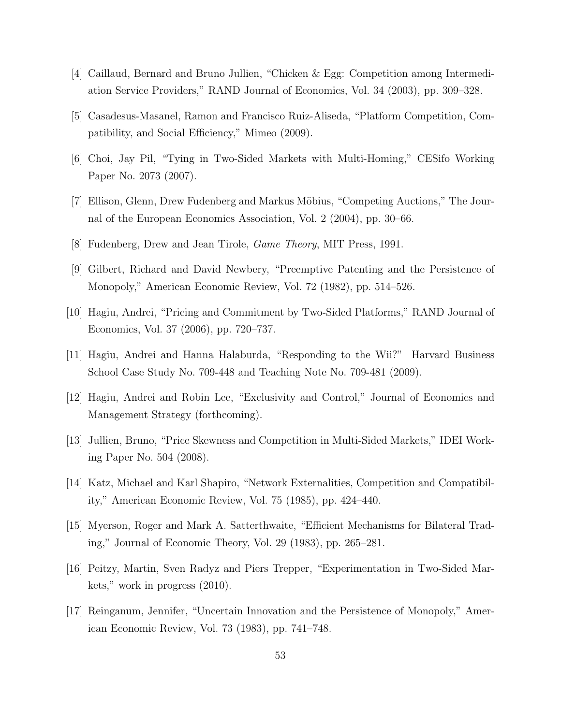- [4] Caillaud, Bernard and Bruno Jullien, "Chicken & Egg: Competition among Intermediation Service Providers," RAND Journal of Economics, Vol. 34 (2003), pp. 309–328.
- [5] Casadesus-Masanel, Ramon and Francisco Ruiz-Aliseda, "Platform Competition, Compatibility, and Social Efficiency," Mimeo (2009).
- [6] Choi, Jay Pil, "Tying in Two-Sided Markets with Multi-Homing," CESifo Working Paper No. 2073 (2007).
- [7] Ellison, Glenn, Drew Fudenberg and Markus Möbius, "Competing Auctions," The Journal of the European Economics Association, Vol. 2 (2004), pp. 30–66.
- [8] Fudenberg, Drew and Jean Tirole, Game Theory, MIT Press, 1991.
- [9] Gilbert, Richard and David Newbery, "Preemptive Patenting and the Persistence of Monopoly," American Economic Review, Vol. 72 (1982), pp. 514–526.
- [10] Hagiu, Andrei, "Pricing and Commitment by Two-Sided Platforms," RAND Journal of Economics, Vol. 37 (2006), pp. 720–737.
- [11] Hagiu, Andrei and Hanna Halaburda, "Responding to the Wii?" Harvard Business School Case Study No. 709-448 and Teaching Note No. 709-481 (2009).
- [12] Hagiu, Andrei and Robin Lee, "Exclusivity and Control," Journal of Economics and Management Strategy (forthcoming).
- [13] Jullien, Bruno, "Price Skewness and Competition in Multi-Sided Markets," IDEI Working Paper No. 504 (2008).
- [14] Katz, Michael and Karl Shapiro, "Network Externalities, Competition and Compatibility," American Economic Review, Vol. 75 (1985), pp. 424–440.
- [15] Myerson, Roger and Mark A. Satterthwaite, "Efficient Mechanisms for Bilateral Trading," Journal of Economic Theory, Vol. 29 (1983), pp. 265–281.
- [16] Peitzy, Martin, Sven Radyz and Piers Trepper, "Experimentation in Two-Sided Markets," work in progress (2010).
- [17] Reinganum, Jennifer, "Uncertain Innovation and the Persistence of Monopoly," American Economic Review, Vol. 73 (1983), pp. 741–748.